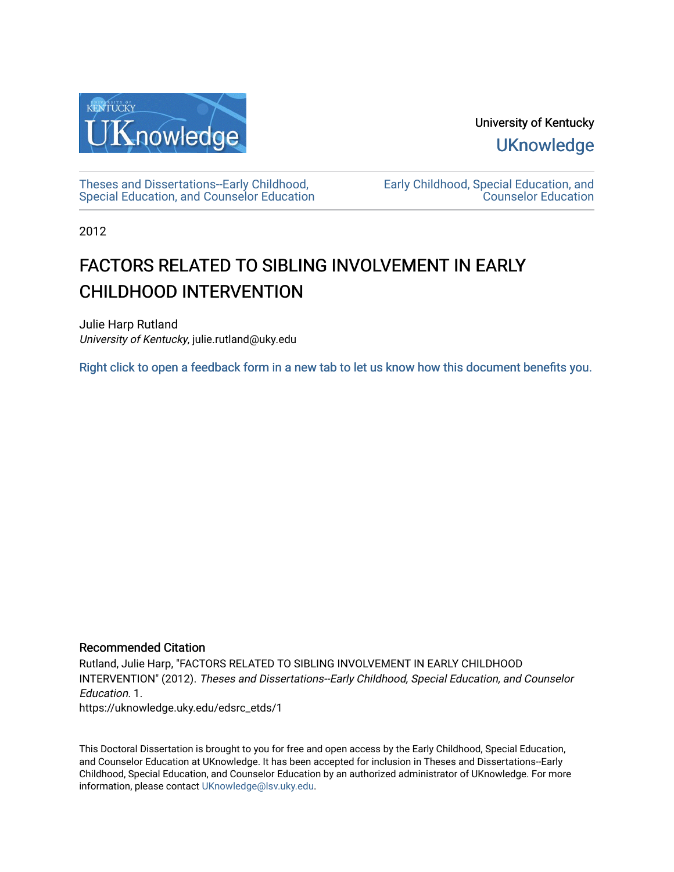

University of Kentucky **UKnowledge** 

[Theses and Dissertations--Early Childhood,](https://uknowledge.uky.edu/edsrc_etds)  [Special Education, and Counselor Education](https://uknowledge.uky.edu/edsrc_etds) [Early Childhood, Special Education, and](https://uknowledge.uky.edu/edsrc)  [Counselor Education](https://uknowledge.uky.edu/edsrc) 

2012

# FACTORS RELATED TO SIBLING INVOLVEMENT IN EARLY CHILDHOOD INTERVENTION

Julie Harp Rutland University of Kentucky, julie.rutland@uky.edu

[Right click to open a feedback form in a new tab to let us know how this document benefits you.](https://uky.az1.qualtrics.com/jfe/form/SV_9mq8fx2GnONRfz7)

## Recommended Citation

Rutland, Julie Harp, "FACTORS RELATED TO SIBLING INVOLVEMENT IN EARLY CHILDHOOD INTERVENTION" (2012). Theses and Dissertations--Early Childhood, Special Education, and Counselor Education. 1. https://uknowledge.uky.edu/edsrc\_etds/1

This Doctoral Dissertation is brought to you for free and open access by the Early Childhood, Special Education, and Counselor Education at UKnowledge. It has been accepted for inclusion in Theses and Dissertations--Early Childhood, Special Education, and Counselor Education by an authorized administrator of UKnowledge. For more information, please contact [UKnowledge@lsv.uky.edu](mailto:UKnowledge@lsv.uky.edu).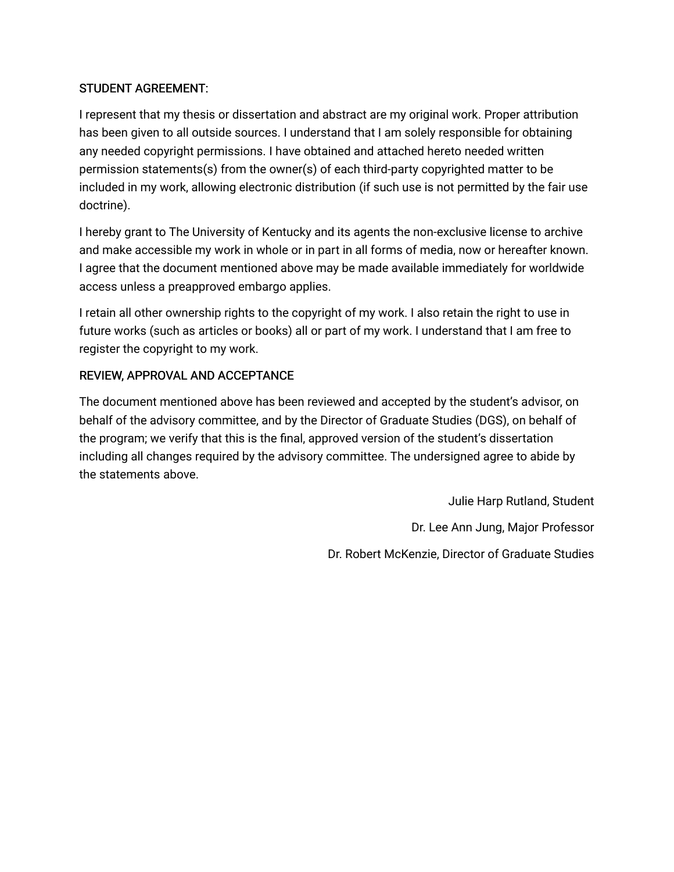# STUDENT AGREEMENT:

I represent that my thesis or dissertation and abstract are my original work. Proper attribution has been given to all outside sources. I understand that I am solely responsible for obtaining any needed copyright permissions. I have obtained and attached hereto needed written permission statements(s) from the owner(s) of each third-party copyrighted matter to be included in my work, allowing electronic distribution (if such use is not permitted by the fair use doctrine).

I hereby grant to The University of Kentucky and its agents the non-exclusive license to archive and make accessible my work in whole or in part in all forms of media, now or hereafter known. I agree that the document mentioned above may be made available immediately for worldwide access unless a preapproved embargo applies.

I retain all other ownership rights to the copyright of my work. I also retain the right to use in future works (such as articles or books) all or part of my work. I understand that I am free to register the copyright to my work.

# REVIEW, APPROVAL AND ACCEPTANCE

The document mentioned above has been reviewed and accepted by the student's advisor, on behalf of the advisory committee, and by the Director of Graduate Studies (DGS), on behalf of the program; we verify that this is the final, approved version of the student's dissertation including all changes required by the advisory committee. The undersigned agree to abide by the statements above.

Julie Harp Rutland, Student

Dr. Lee Ann Jung, Major Professor

Dr. Robert McKenzie, Director of Graduate Studies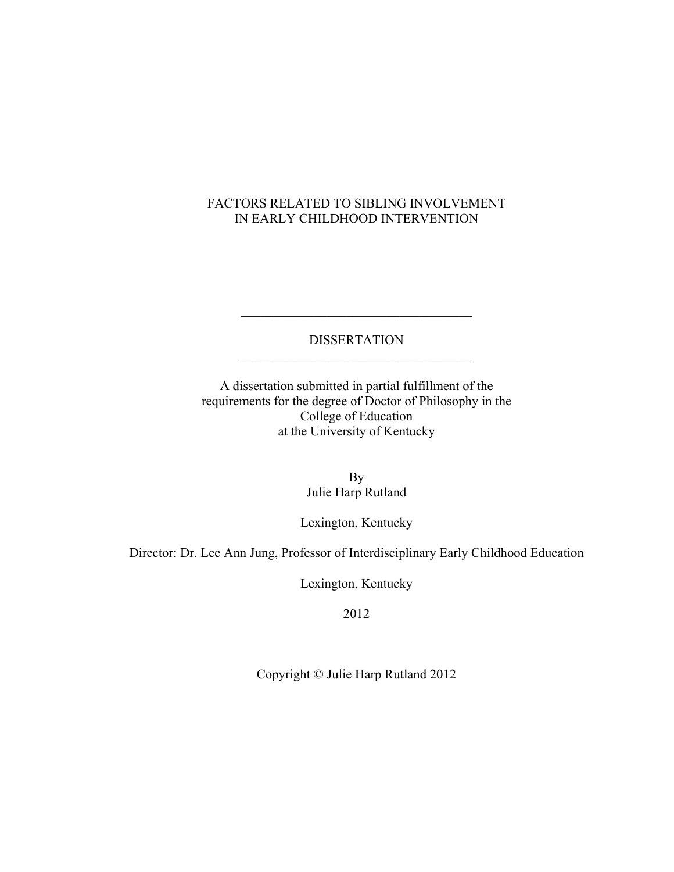# FACTORS RELATED TO SIBLING INVOLVEMENT IN EARLY CHILDHOOD INTERVENTION

# DISSERTATION  $\mathcal{L}_\text{max}$

 $\mathcal{L}_\text{max}$  , where  $\mathcal{L}_\text{max}$  and  $\mathcal{L}_\text{max}$  and  $\mathcal{L}_\text{max}$ 

A dissertation submitted in partial fulfillment of the requirements for the degree of Doctor of Philosophy in the College of Education at the University of Kentucky

> By Julie Harp Rutland

Lexington, Kentucky

Director: Dr. Lee Ann Jung, Professor of Interdisciplinary Early Childhood Education

Lexington, Kentucky

2012

Copyright © Julie Harp Rutland 2012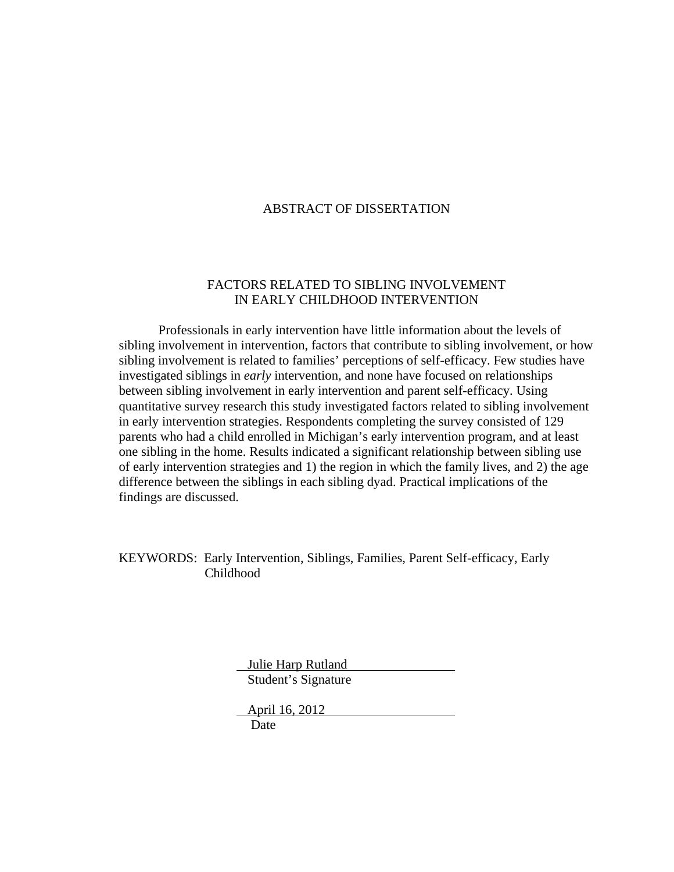## ABSTRACT OF DISSERTATION

## FACTORS RELATED TO SIBLING INVOLVEMENT IN EARLY CHILDHOOD INTERVENTION

Professionals in early intervention have little information about the levels of sibling involvement in intervention, factors that contribute to sibling involvement, or how sibling involvement is related to families' perceptions of self-efficacy. Few studies have investigated siblings in *early* intervention, and none have focused on relationships between sibling involvement in early intervention and parent self-efficacy. Using quantitative survey research this study investigated factors related to sibling involvement in early intervention strategies. Respondents completing the survey consisted of 129 parents who had a child enrolled in Michigan's early intervention program, and at least one sibling in the home. Results indicated a significant relationship between sibling use of early intervention strategies and 1) the region in which the family lives, and 2) the age difference between the siblings in each sibling dyad. Practical implications of the findings are discussed.

KEYWORDS: Early Intervention, Siblings, Families, Parent Self-efficacy, Early Childhood

> Julie Harp Rutland Student's Signature

 April 16, 2012 Date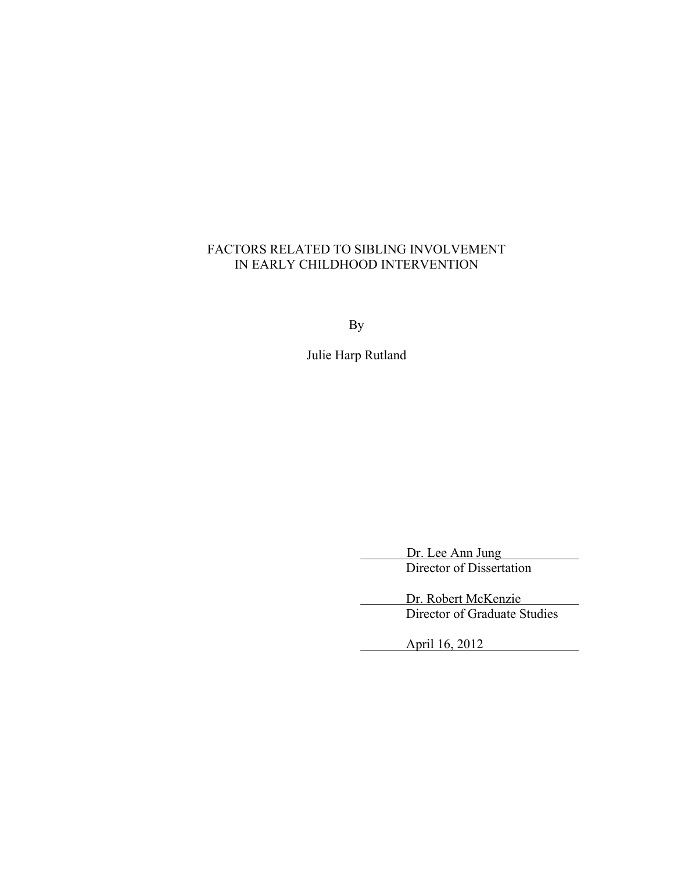# FACTORS RELATED TO SIBLING INVOLVEMENT IN EARLY CHILDHOOD INTERVENTION

By

Julie Harp Rutland

 Dr. Lee Ann Jung Director of Dissertation

Dr. Robert McKenzie Director of Graduate Studies

 $\overline{\phantom{a}}$ 

April 16, 2012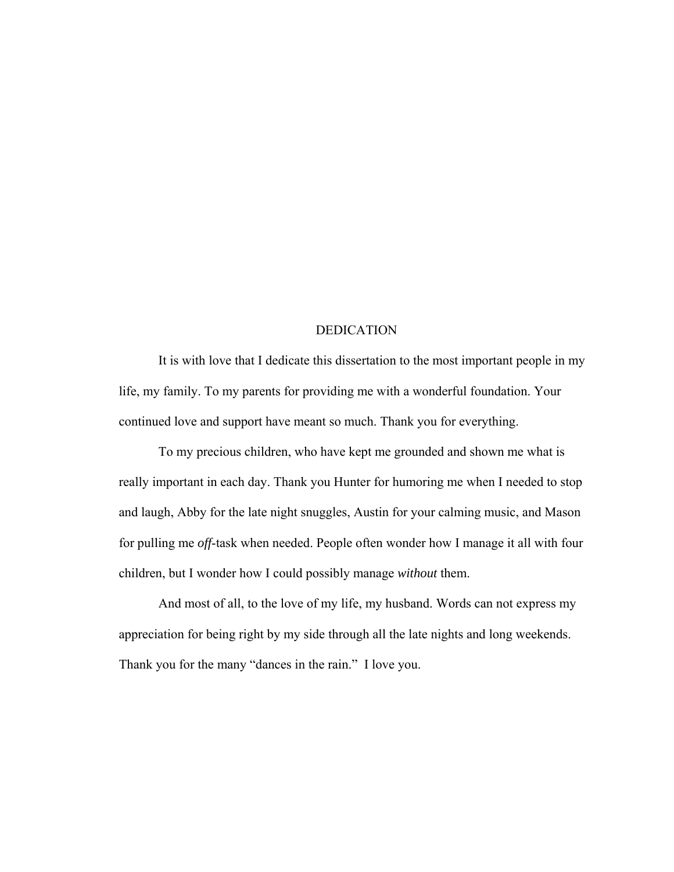## DEDICATION

 It is with love that I dedicate this dissertation to the most important people in my life, my family. To my parents for providing me with a wonderful foundation. Your continued love and support have meant so much. Thank you for everything.

 To my precious children, who have kept me grounded and shown me what is really important in each day. Thank you Hunter for humoring me when I needed to stop and laugh, Abby for the late night snuggles, Austin for your calming music, and Mason for pulling me *off*-task when needed. People often wonder how I manage it all with four children, but I wonder how I could possibly manage *without* them.

 And most of all, to the love of my life, my husband. Words can not express my appreciation for being right by my side through all the late nights and long weekends. Thank you for the many "dances in the rain." I love you.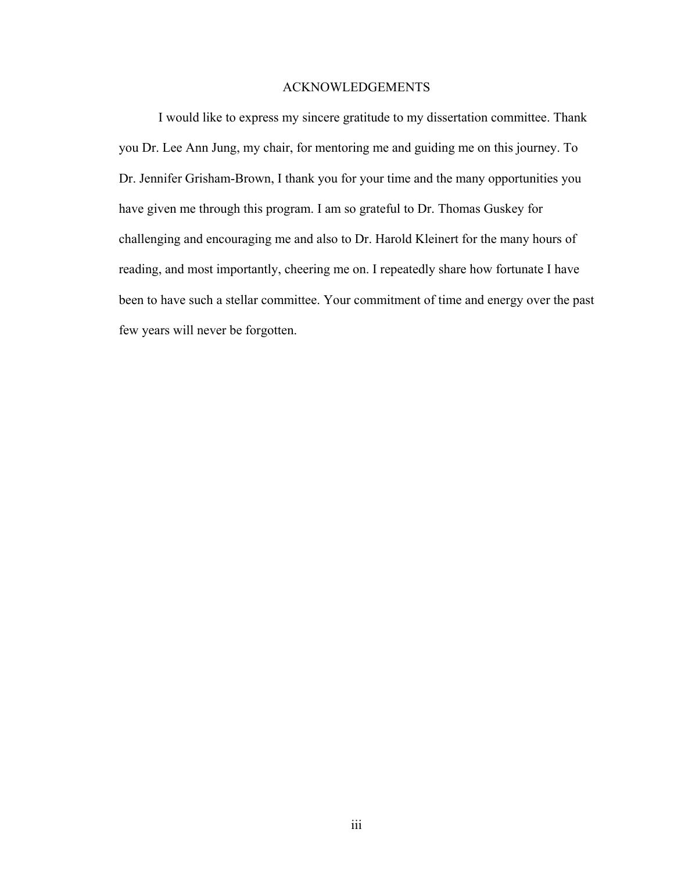## ACKNOWLEDGEMENTS

I would like to express my sincere gratitude to my dissertation committee. Thank you Dr. Lee Ann Jung, my chair, for mentoring me and guiding me on this journey. To Dr. Jennifer Grisham-Brown, I thank you for your time and the many opportunities you have given me through this program. I am so grateful to Dr. Thomas Guskey for challenging and encouraging me and also to Dr. Harold Kleinert for the many hours of reading, and most importantly, cheering me on. I repeatedly share how fortunate I have been to have such a stellar committee. Your commitment of time and energy over the past few years will never be forgotten.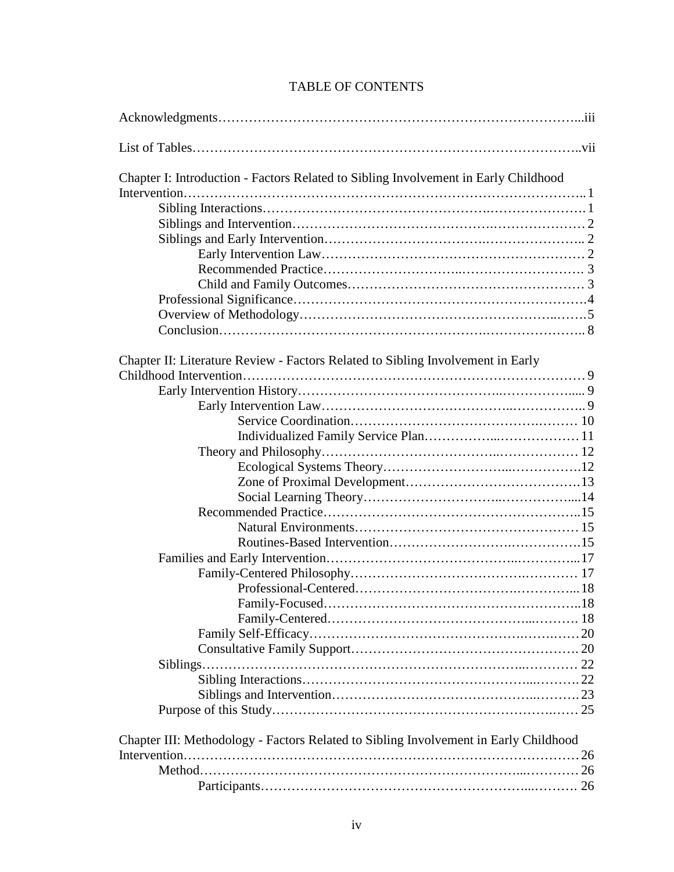# TABLE OF CONTENTS

| Chapter I: Introduction - Factors Related to Sibling Involvement in Early Childhood  |
|--------------------------------------------------------------------------------------|
|                                                                                      |
|                                                                                      |
|                                                                                      |
|                                                                                      |
|                                                                                      |
|                                                                                      |
|                                                                                      |
|                                                                                      |
|                                                                                      |
|                                                                                      |
| Chapter II: Literature Review - Factors Related to Sibling Involvement in Early      |
|                                                                                      |
|                                                                                      |
|                                                                                      |
|                                                                                      |
|                                                                                      |
|                                                                                      |
|                                                                                      |
|                                                                                      |
|                                                                                      |
|                                                                                      |
|                                                                                      |
|                                                                                      |
|                                                                                      |
|                                                                                      |
|                                                                                      |
|                                                                                      |
|                                                                                      |
|                                                                                      |
|                                                                                      |
|                                                                                      |
|                                                                                      |
|                                                                                      |
|                                                                                      |
| Chapter III: Methodology - Factors Related to Sibling Involvement in Early Childhood |
|                                                                                      |
|                                                                                      |
|                                                                                      |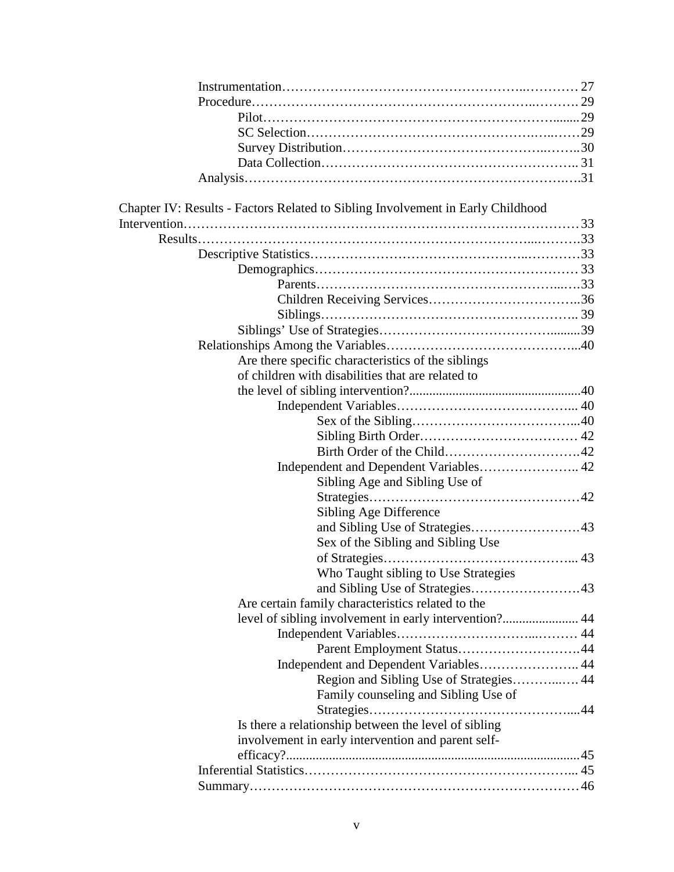|  | Chapter IV: Results - Factors Related to Sibling Involvement in Early Childhood |  |
|--|---------------------------------------------------------------------------------|--|
|  |                                                                                 |  |
|  |                                                                                 |  |
|  |                                                                                 |  |
|  |                                                                                 |  |
|  |                                                                                 |  |
|  |                                                                                 |  |
|  |                                                                                 |  |
|  |                                                                                 |  |
|  |                                                                                 |  |
|  | Are there specific characteristics of the siblings                              |  |
|  | of children with disabilities that are related to                               |  |
|  |                                                                                 |  |
|  |                                                                                 |  |
|  |                                                                                 |  |
|  |                                                                                 |  |
|  |                                                                                 |  |
|  | Independent and Dependent Variables 42                                          |  |
|  | Sibling Age and Sibling Use of                                                  |  |
|  |                                                                                 |  |
|  | Sibling Age Difference                                                          |  |
|  |                                                                                 |  |
|  | Sex of the Sibling and Sibling Use                                              |  |
|  |                                                                                 |  |
|  |                                                                                 |  |
|  | Who Taught sibling to Use Strategies                                            |  |
|  |                                                                                 |  |
|  | Are certain family characteristics related to the                               |  |
|  | level of sibling involvement in early intervention? 44                          |  |
|  |                                                                                 |  |
|  |                                                                                 |  |
|  | Independent and Dependent Variables 44                                          |  |
|  | Region and Sibling Use of Strategies 44                                         |  |
|  | Family counseling and Sibling Use of                                            |  |
|  |                                                                                 |  |
|  | Is there a relationship between the level of sibling                            |  |
|  | involvement in early intervention and parent self-                              |  |
|  |                                                                                 |  |
|  |                                                                                 |  |
|  |                                                                                 |  |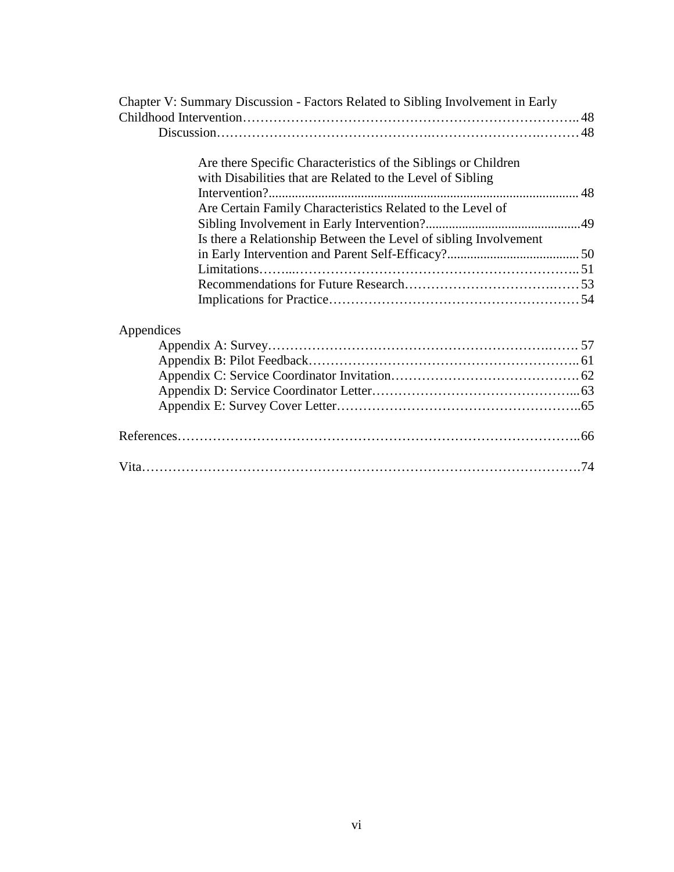| Chapter V: Summary Discussion - Factors Related to Sibling Involvement in Early |  |
|---------------------------------------------------------------------------------|--|
|                                                                                 |  |
|                                                                                 |  |
| Are there Specific Characteristics of the Siblings or Children                  |  |
| with Disabilities that are Related to the Level of Sibling                      |  |
|                                                                                 |  |
| Are Certain Family Characteristics Related to the Level of                      |  |
|                                                                                 |  |
| Is there a Relationship Between the Level of sibling Involvement                |  |
|                                                                                 |  |
|                                                                                 |  |
|                                                                                 |  |
|                                                                                 |  |
|                                                                                 |  |
| Appendices                                                                      |  |
|                                                                                 |  |
|                                                                                 |  |
|                                                                                 |  |
|                                                                                 |  |
|                                                                                 |  |
|                                                                                 |  |
|                                                                                 |  |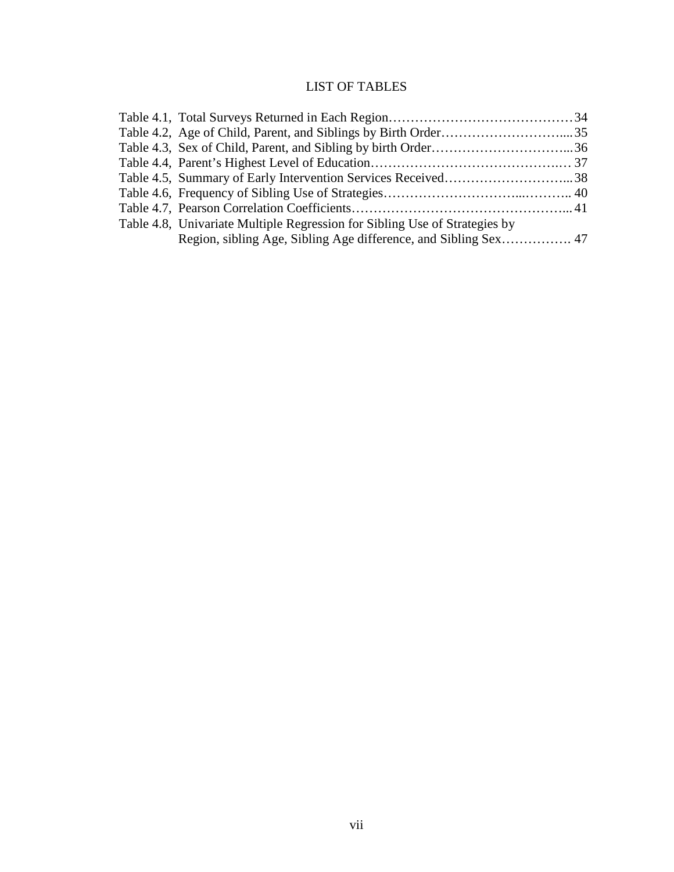# LIST OF TABLES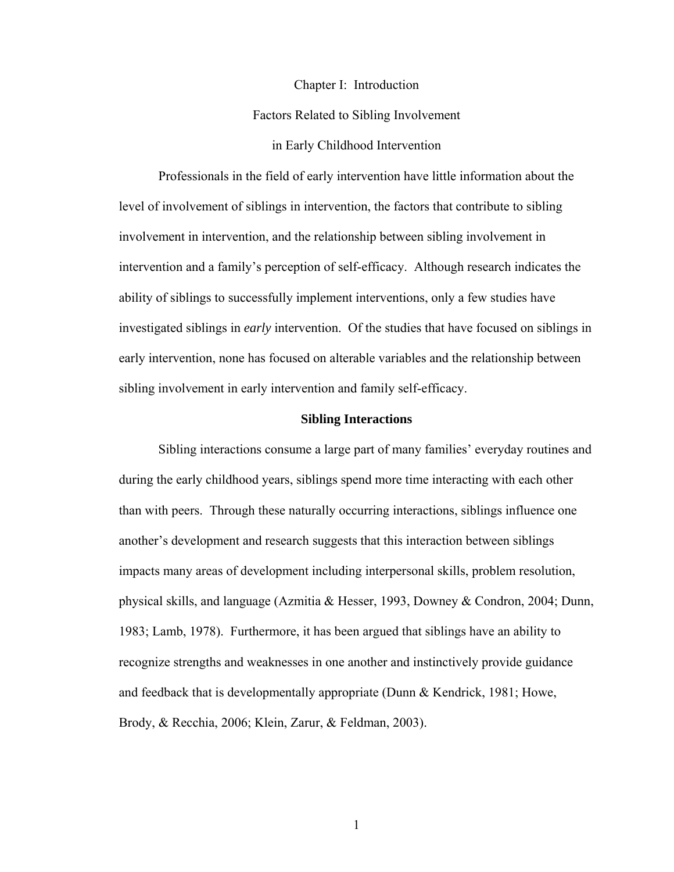#### Chapter I: Introduction

## Factors Related to Sibling Involvement

## in Early Childhood Intervention

Professionals in the field of early intervention have little information about the level of involvement of siblings in intervention, the factors that contribute to sibling involvement in intervention, and the relationship between sibling involvement in intervention and a family's perception of self-efficacy. Although research indicates the ability of siblings to successfully implement interventions, only a few studies have investigated siblings in *early* intervention. Of the studies that have focused on siblings in early intervention, none has focused on alterable variables and the relationship between sibling involvement in early intervention and family self-efficacy.

#### **Sibling Interactions**

Sibling interactions consume a large part of many families' everyday routines and during the early childhood years, siblings spend more time interacting with each other than with peers. Through these naturally occurring interactions, siblings influence one another's development and research suggests that this interaction between siblings impacts many areas of development including interpersonal skills, problem resolution, physical skills, and language (Azmitia & Hesser, 1993, Downey & Condron, 2004; Dunn, 1983; Lamb, 1978). Furthermore, it has been argued that siblings have an ability to recognize strengths and weaknesses in one another and instinctively provide guidance and feedback that is developmentally appropriate (Dunn & Kendrick, 1981; Howe, Brody, & Recchia, 2006; Klein, Zarur, & Feldman, 2003).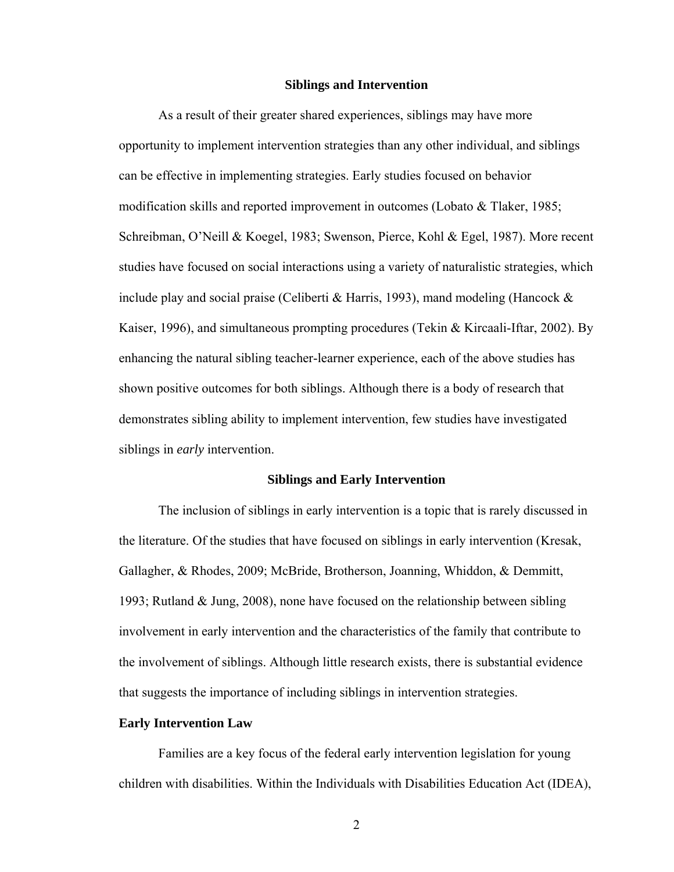#### **Siblings and Intervention**

As a result of their greater shared experiences, siblings may have more opportunity to implement intervention strategies than any other individual, and siblings can be effective in implementing strategies. Early studies focused on behavior modification skills and reported improvement in outcomes (Lobato  $\&$  Tlaker, 1985; Schreibman, O'Neill & Koegel, 1983; Swenson, Pierce, Kohl & Egel, 1987). More recent studies have focused on social interactions using a variety of naturalistic strategies, which include play and social praise (Celiberti & Harris, 1993), mand modeling (Hancock  $\&$ Kaiser, 1996), and simultaneous prompting procedures (Tekin & Kircaali-Iftar, 2002). By enhancing the natural sibling teacher-learner experience, each of the above studies has shown positive outcomes for both siblings. Although there is a body of research that demonstrates sibling ability to implement intervention, few studies have investigated siblings in *early* intervention.

#### **Siblings and Early Intervention**

The inclusion of siblings in early intervention is a topic that is rarely discussed in the literature. Of the studies that have focused on siblings in early intervention (Kresak, Gallagher, & Rhodes, 2009; McBride, Brotherson, Joanning, Whiddon, & Demmitt, 1993; Rutland & Jung, 2008), none have focused on the relationship between sibling involvement in early intervention and the characteristics of the family that contribute to the involvement of siblings. Although little research exists, there is substantial evidence that suggests the importance of including siblings in intervention strategies.

#### **Early Intervention Law**

Families are a key focus of the federal early intervention legislation for young children with disabilities. Within the Individuals with Disabilities Education Act (IDEA),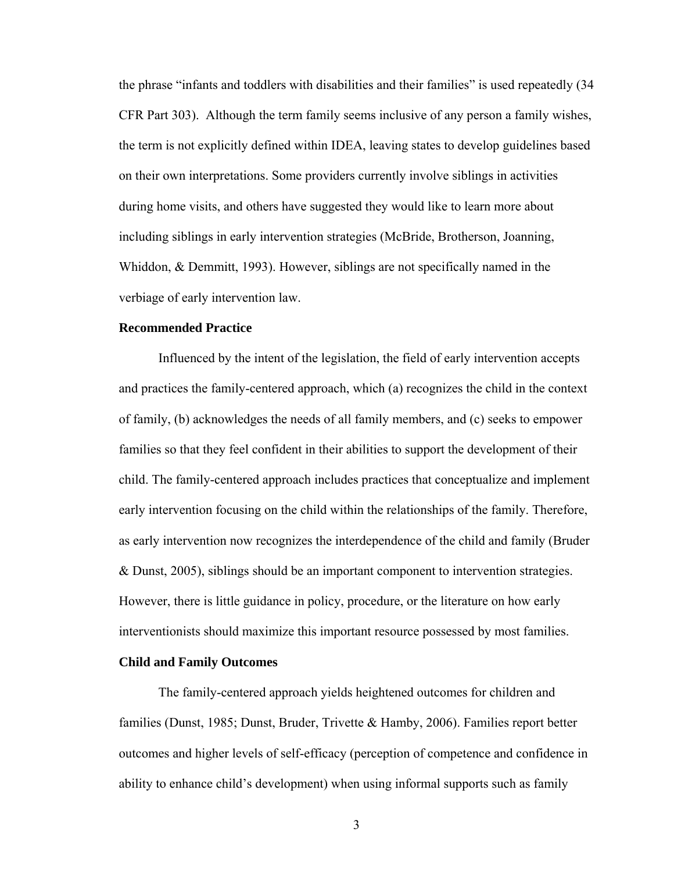the phrase "infants and toddlers with disabilities and their families" is used repeatedly (34 CFR Part 303). Although the term family seems inclusive of any person a family wishes, the term is not explicitly defined within IDEA, leaving states to develop guidelines based on their own interpretations. Some providers currently involve siblings in activities during home visits, and others have suggested they would like to learn more about including siblings in early intervention strategies (McBride, Brotherson, Joanning, Whiddon, & Demmitt, 1993). However, siblings are not specifically named in the verbiage of early intervention law.

## **Recommended Practice**

Influenced by the intent of the legislation, the field of early intervention accepts and practices the family-centered approach, which (a) recognizes the child in the context of family, (b) acknowledges the needs of all family members, and (c) seeks to empower families so that they feel confident in their abilities to support the development of their child. The family-centered approach includes practices that conceptualize and implement early intervention focusing on the child within the relationships of the family. Therefore, as early intervention now recognizes the interdependence of the child and family (Bruder & Dunst, 2005), siblings should be an important component to intervention strategies. However, there is little guidance in policy, procedure, or the literature on how early interventionists should maximize this important resource possessed by most families.

## **Child and Family Outcomes**

The family-centered approach yields heightened outcomes for children and families (Dunst, 1985; Dunst, Bruder, Trivette & Hamby, 2006). Families report better outcomes and higher levels of self-efficacy (perception of competence and confidence in ability to enhance child's development) when using informal supports such as family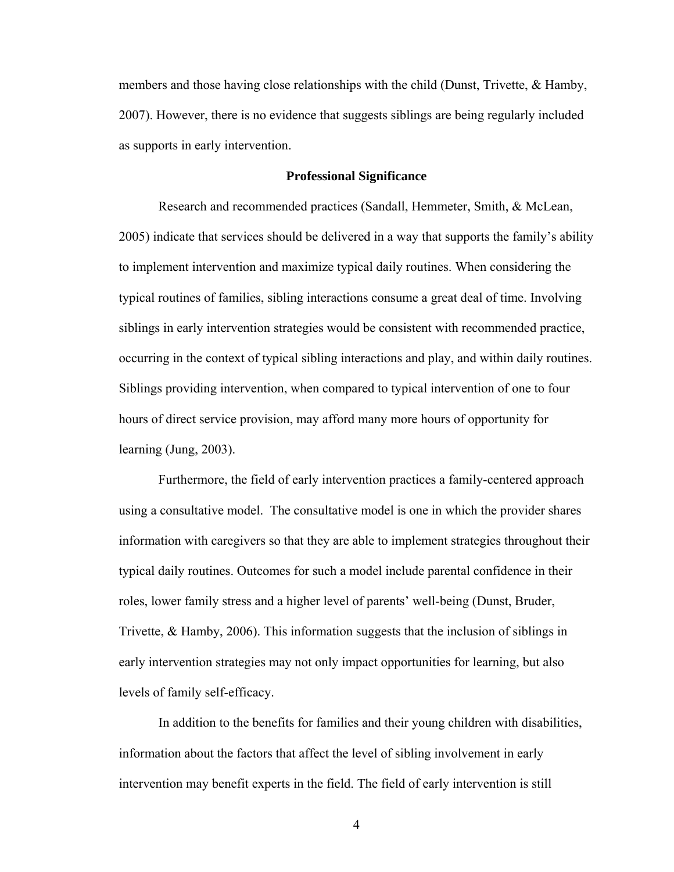members and those having close relationships with the child (Dunst, Trivette, & Hamby, 2007). However, there is no evidence that suggests siblings are being regularly included as supports in early intervention.

#### **Professional Significance**

Research and recommended practices (Sandall, Hemmeter, Smith, & McLean, 2005) indicate that services should be delivered in a way that supports the family's ability to implement intervention and maximize typical daily routines. When considering the typical routines of families, sibling interactions consume a great deal of time. Involving siblings in early intervention strategies would be consistent with recommended practice, occurring in the context of typical sibling interactions and play, and within daily routines. Siblings providing intervention, when compared to typical intervention of one to four hours of direct service provision, may afford many more hours of opportunity for learning (Jung, 2003).

Furthermore, the field of early intervention practices a family-centered approach using a consultative model. The consultative model is one in which the provider shares information with caregivers so that they are able to implement strategies throughout their typical daily routines. Outcomes for such a model include parental confidence in their roles, lower family stress and a higher level of parents' well-being (Dunst, Bruder, Trivette, & Hamby, 2006). This information suggests that the inclusion of siblings in early intervention strategies may not only impact opportunities for learning, but also levels of family self-efficacy.

In addition to the benefits for families and their young children with disabilities, information about the factors that affect the level of sibling involvement in early intervention may benefit experts in the field. The field of early intervention is still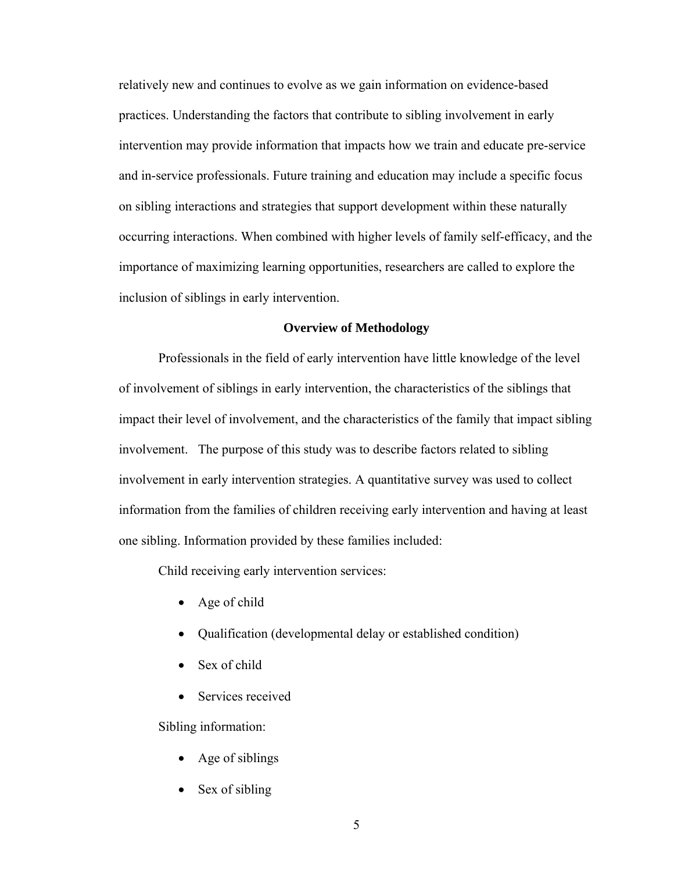relatively new and continues to evolve as we gain information on evidence-based practices. Understanding the factors that contribute to sibling involvement in early intervention may provide information that impacts how we train and educate pre-service and in-service professionals. Future training and education may include a specific focus on sibling interactions and strategies that support development within these naturally occurring interactions. When combined with higher levels of family self-efficacy, and the importance of maximizing learning opportunities, researchers are called to explore the inclusion of siblings in early intervention.

## **Overview of Methodology**

Professionals in the field of early intervention have little knowledge of the level of involvement of siblings in early intervention, the characteristics of the siblings that impact their level of involvement, and the characteristics of the family that impact sibling involvement. The purpose of this study was to describe factors related to sibling involvement in early intervention strategies. A quantitative survey was used to collect information from the families of children receiving early intervention and having at least one sibling. Information provided by these families included:

Child receiving early intervention services:

- Age of child
- Qualification (developmental delay or established condition)
- Sex of child
- Services received

Sibling information:

- Age of siblings
- Sex of sibling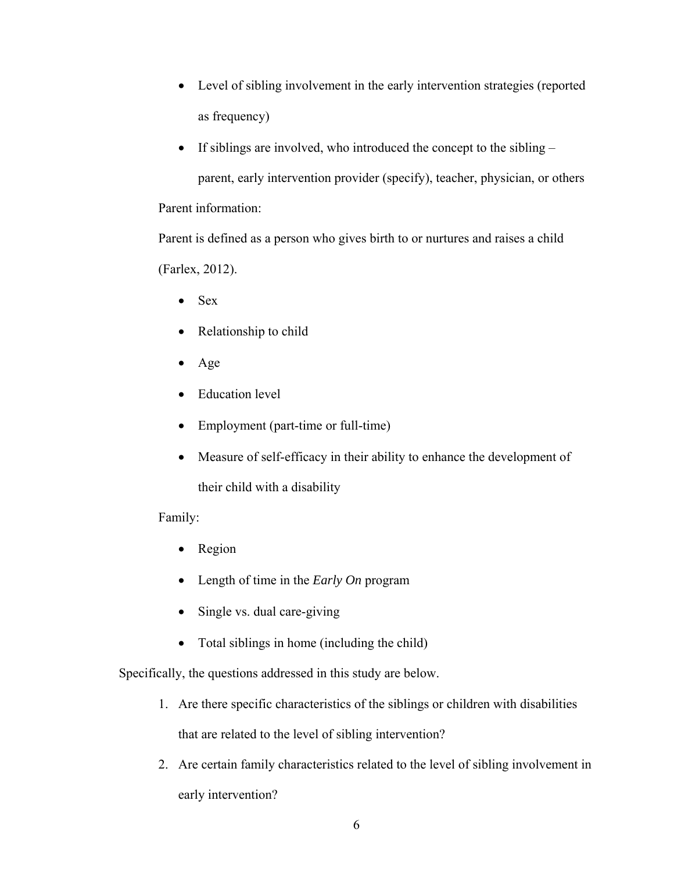- Level of sibling involvement in the early intervention strategies (reported as frequency)
- $\bullet$  If siblings are involved, who introduced the concept to the sibling  $$ parent, early intervention provider (specify), teacher, physician, or others Parent information:

Parent is defined as a person who gives birth to or nurtures and raises a child (Farlex, 2012).

- $\bullet$  Sex
- Relationship to child
- Age
- Education level
- Employment (part-time or full-time)
- Measure of self-efficacy in their ability to enhance the development of their child with a disability

Family:

- Region
- Length of time in the *Early On* program
- Single vs. dual care-giving
- Total siblings in home (including the child)

Specifically, the questions addressed in this study are below.

1. Are there specific characteristics of the siblings or children with disabilities that are related to the level of sibling intervention?

2. Are certain family characteristics related to the level of sibling involvement in early intervention?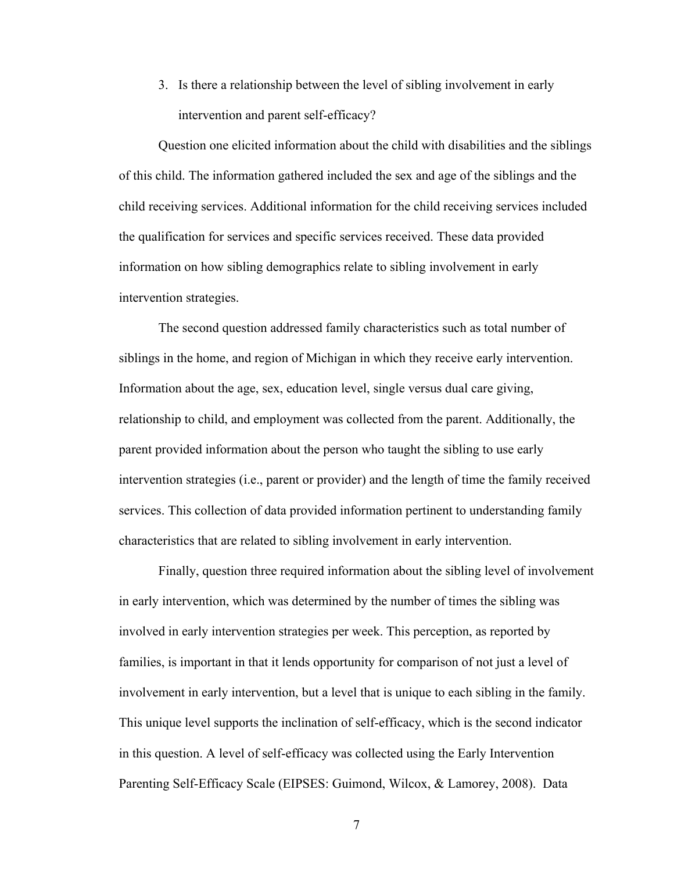3. Is there a relationship between the level of sibling involvement in early intervention and parent self-efficacy?

 Question one elicited information about the child with disabilities and the siblings of this child. The information gathered included the sex and age of the siblings and the child receiving services. Additional information for the child receiving services included the qualification for services and specific services received. These data provided information on how sibling demographics relate to sibling involvement in early intervention strategies.

 The second question addressed family characteristics such as total number of siblings in the home, and region of Michigan in which they receive early intervention. Information about the age, sex, education level, single versus dual care giving, relationship to child, and employment was collected from the parent. Additionally, the parent provided information about the person who taught the sibling to use early intervention strategies (i.e., parent or provider) and the length of time the family received services. This collection of data provided information pertinent to understanding family characteristics that are related to sibling involvement in early intervention.

Finally, question three required information about the sibling level of involvement in early intervention, which was determined by the number of times the sibling was involved in early intervention strategies per week. This perception, as reported by families, is important in that it lends opportunity for comparison of not just a level of involvement in early intervention, but a level that is unique to each sibling in the family. This unique level supports the inclination of self-efficacy, which is the second indicator in this question. A level of self-efficacy was collected using the Early Intervention Parenting Self-Efficacy Scale (EIPSES: Guimond, Wilcox, & Lamorey, 2008). Data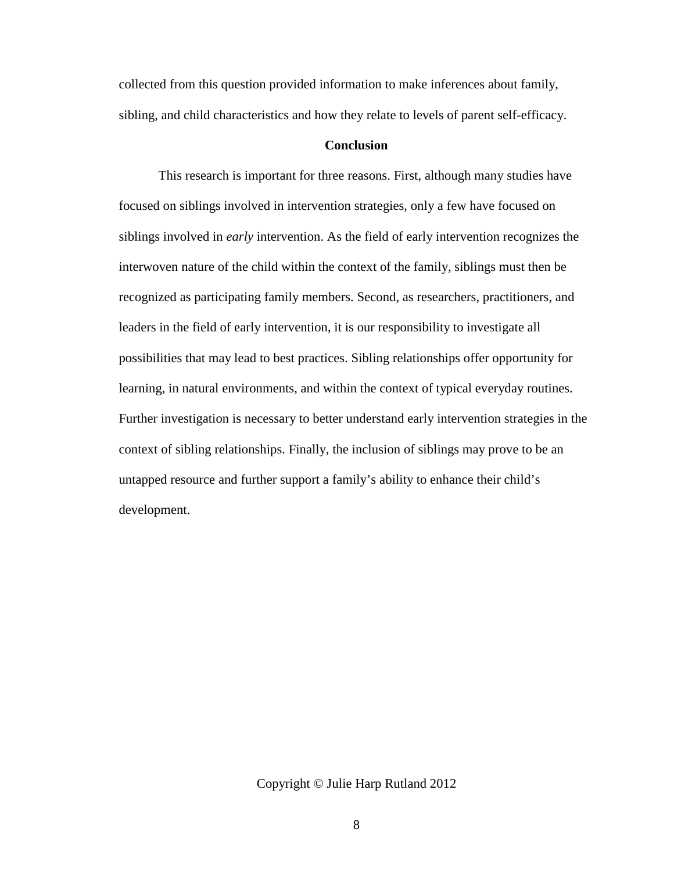collected from this question provided information to make inferences about family, sibling, and child characteristics and how they relate to levels of parent self-efficacy.

## **Conclusion**

 This research is important for three reasons. First, although many studies have focused on siblings involved in intervention strategies, only a few have focused on siblings involved in *early* intervention. As the field of early intervention recognizes the interwoven nature of the child within the context of the family, siblings must then be recognized as participating family members. Second, as researchers, practitioners, and leaders in the field of early intervention, it is our responsibility to investigate all possibilities that may lead to best practices. Sibling relationships offer opportunity for learning, in natural environments, and within the context of typical everyday routines. Further investigation is necessary to better understand early intervention strategies in the context of sibling relationships. Finally, the inclusion of siblings may prove to be an untapped resource and further support a family's ability to enhance their child's development.

Copyright © Julie Harp Rutland 2012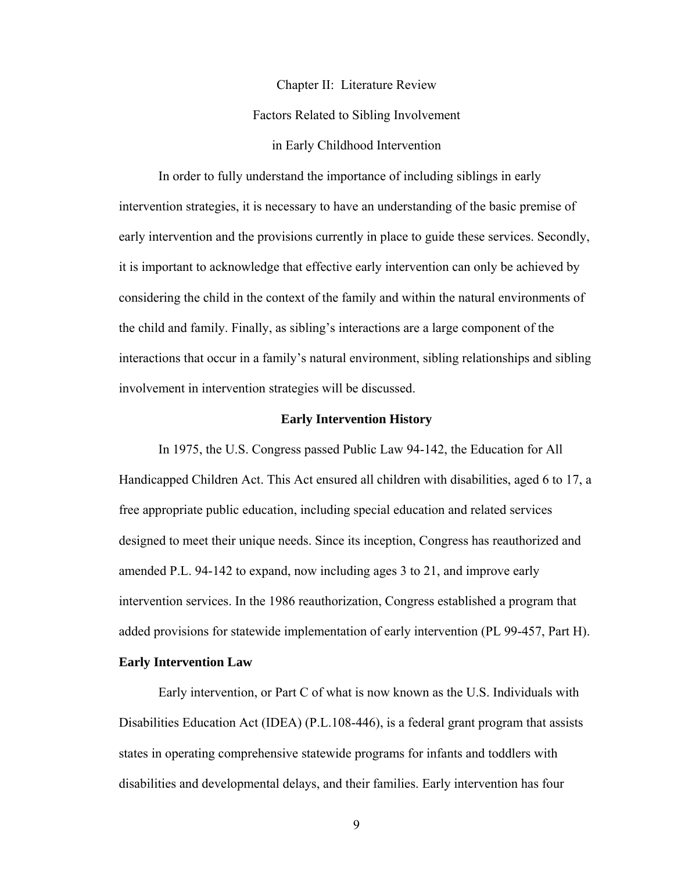Chapter II: Literature Review

Factors Related to Sibling Involvement

in Early Childhood Intervention

In order to fully understand the importance of including siblings in early intervention strategies, it is necessary to have an understanding of the basic premise of early intervention and the provisions currently in place to guide these services. Secondly, it is important to acknowledge that effective early intervention can only be achieved by considering the child in the context of the family and within the natural environments of the child and family. Finally, as sibling's interactions are a large component of the interactions that occur in a family's natural environment, sibling relationships and sibling involvement in intervention strategies will be discussed.

## **Early Intervention History**

 In 1975, the U.S. Congress passed Public Law 94-142, the Education for All Handicapped Children Act. This Act ensured all children with disabilities, aged 6 to 17, a free appropriate public education, including special education and related services designed to meet their unique needs. Since its inception, Congress has reauthorized and amended P.L. 94-142 to expand, now including ages 3 to 21, and improve early intervention services. In the 1986 reauthorization, Congress established a program that added provisions for statewide implementation of early intervention (PL 99-457, Part H).

## **Early Intervention Law**

 Early intervention, or Part C of what is now known as the U.S. Individuals with Disabilities Education Act (IDEA) (P.L.108-446), is a federal grant program that assists states in operating comprehensive statewide programs for infants and toddlers with disabilities and developmental delays, and their families. Early intervention has four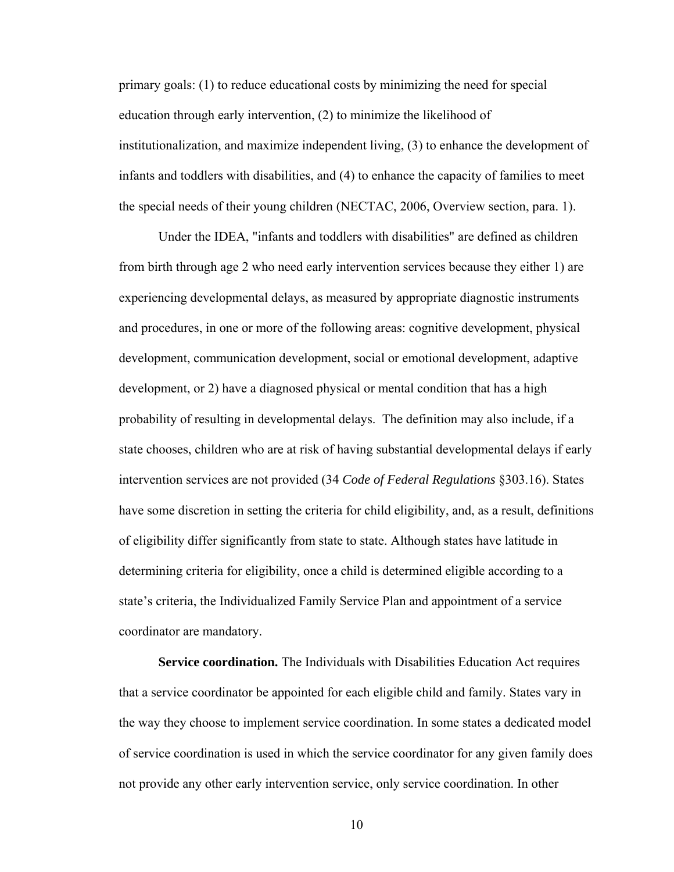primary goals: (1) to reduce educational costs by minimizing the need for special education through early intervention, (2) to minimize the likelihood of institutionalization, and maximize independent living, (3) to enhance the development of infants and toddlers with disabilities, and (4) to enhance the capacity of families to meet the special needs of their young children (NECTAC, 2006, Overview section, para. 1).

 Under the IDEA, "infants and toddlers with disabilities" are defined as children from birth through age 2 who need early intervention services because they either 1) are experiencing developmental delays, as measured by appropriate diagnostic instruments and procedures, in one or more of the following areas: cognitive development, physical development, communication development, social or emotional development, adaptive development, or 2) have a diagnosed physical or mental condition that has a high probability of resulting in developmental delays. The definition may also include, if a state chooses, children who are at risk of having substantial developmental delays if early intervention services are not provided (34 *Code of Federal Regulations* §303.16). States have some discretion in setting the criteria for child eligibility, and, as a result, definitions of eligibility differ significantly from state to state. Although states have latitude in determining criteria for eligibility, once a child is determined eligible according to a state's criteria, the Individualized Family Service Plan and appointment of a service coordinator are mandatory.

 **Service coordination.** The Individuals with Disabilities Education Act requires that a service coordinator be appointed for each eligible child and family. States vary in the way they choose to implement service coordination. In some states a dedicated model of service coordination is used in which the service coordinator for any given family does not provide any other early intervention service, only service coordination. In other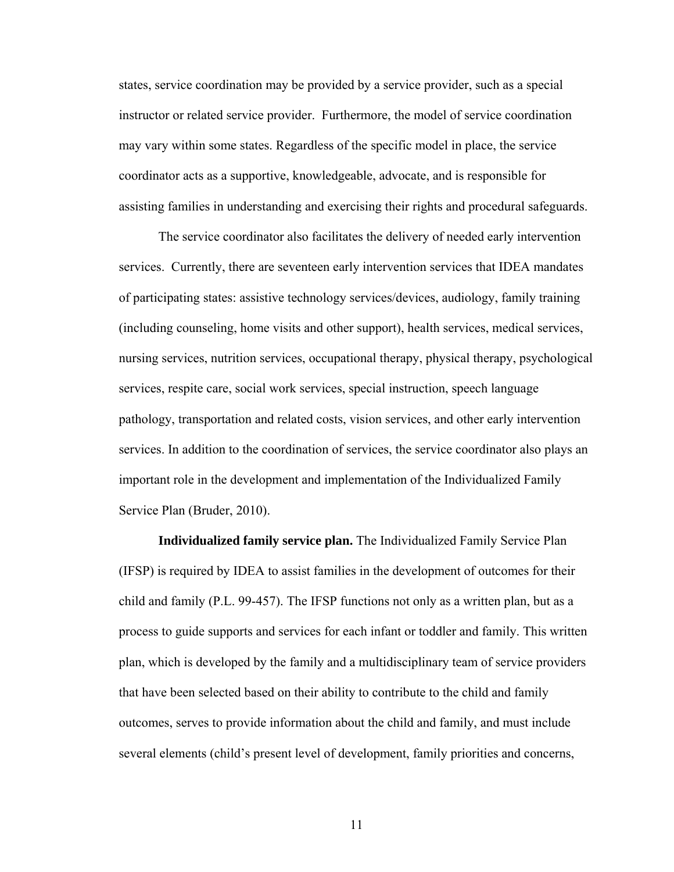states, service coordination may be provided by a service provider, such as a special instructor or related service provider. Furthermore, the model of service coordination may vary within some states. Regardless of the specific model in place, the service coordinator acts as a supportive, knowledgeable, advocate, and is responsible for assisting families in understanding and exercising their rights and procedural safeguards.

 The service coordinator also facilitates the delivery of needed early intervention services. Currently, there are seventeen early intervention services that IDEA mandates of participating states: assistive technology services/devices, audiology, family training (including counseling, home visits and other support), health services, medical services, nursing services, nutrition services, occupational therapy, physical therapy, psychological services, respite care, social work services, special instruction, speech language pathology, transportation and related costs, vision services, and other early intervention services. In addition to the coordination of services, the service coordinator also plays an important role in the development and implementation of the Individualized Family Service Plan (Bruder, 2010).

 **Individualized family service plan.** The Individualized Family Service Plan (IFSP) is required by IDEA to assist families in the development of outcomes for their child and family (P.L. 99-457). The IFSP functions not only as a written plan, but as a process to guide supports and services for each infant or toddler and family. This written plan, which is developed by the family and a multidisciplinary team of service providers that have been selected based on their ability to contribute to the child and family outcomes, serves to provide information about the child and family, and must include several elements (child's present level of development, family priorities and concerns,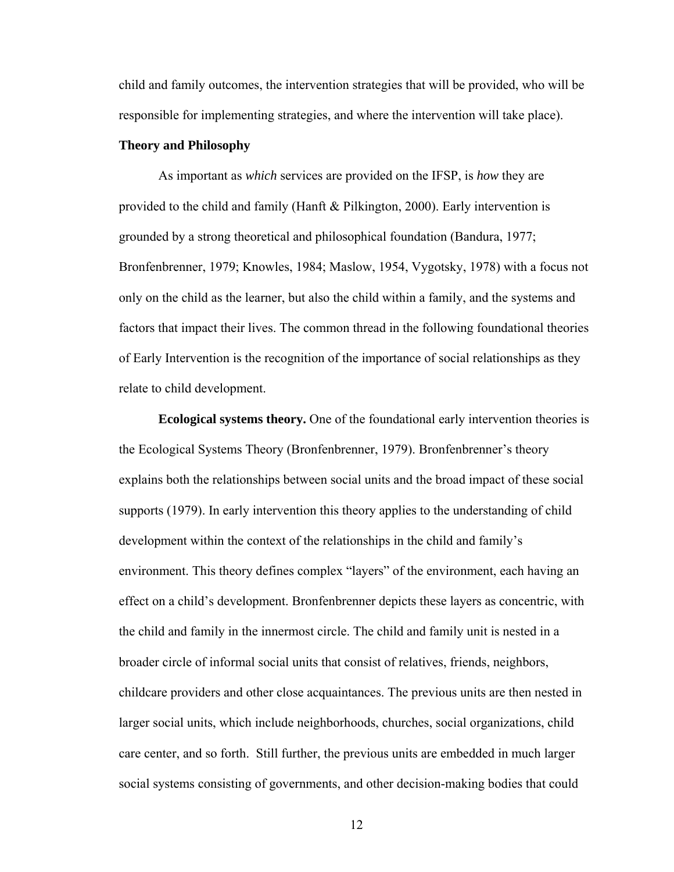child and family outcomes, the intervention strategies that will be provided, who will be responsible for implementing strategies, and where the intervention will take place).

## **Theory and Philosophy**

As important as *which* services are provided on the IFSP, is *how* they are provided to the child and family (Hanft & Pilkington, 2000). Early intervention is grounded by a strong theoretical and philosophical foundation (Bandura, 1977; Bronfenbrenner, 1979; Knowles, 1984; Maslow, 1954, Vygotsky, 1978) with a focus not only on the child as the learner, but also the child within a family, and the systems and factors that impact their lives. The common thread in the following foundational theories of Early Intervention is the recognition of the importance of social relationships as they relate to child development.

**Ecological systems theory.** One of the foundational early intervention theories is the Ecological Systems Theory (Bronfenbrenner, 1979). Bronfenbrenner's theory explains both the relationships between social units and the broad impact of these social supports (1979). In early intervention this theory applies to the understanding of child development within the context of the relationships in the child and family's environment. This theory defines complex "layers" of the environment, each having an effect on a child's development. Bronfenbrenner depicts these layers as concentric, with the child and family in the innermost circle. The child and family unit is nested in a broader circle of informal social units that consist of relatives, friends, neighbors, childcare providers and other close acquaintances. The previous units are then nested in larger social units, which include neighborhoods, churches, social organizations, child care center, and so forth. Still further, the previous units are embedded in much larger social systems consisting of governments, and other decision-making bodies that could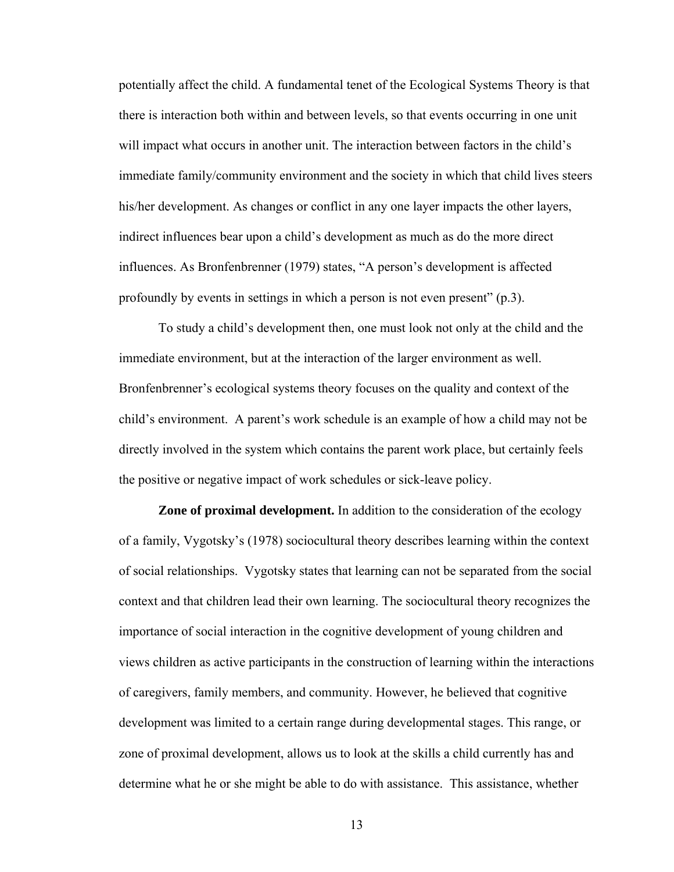potentially affect the child. A fundamental tenet of the Ecological Systems Theory is that there is interaction both within and between levels, so that events occurring in one unit will impact what occurs in another unit. The interaction between factors in the child's immediate family/community environment and the society in which that child lives steers his/her development. As changes or conflict in any one layer impacts the other layers, indirect influences bear upon a child's development as much as do the more direct influences. As Bronfenbrenner (1979) states, "A person's development is affected profoundly by events in settings in which a person is not even present" (p.3).

To study a child's development then, one must look not only at the child and the immediate environment, but at the interaction of the larger environment as well. Bronfenbrenner's ecological systems theory focuses on the quality and context of the child's environment. A parent's work schedule is an example of how a child may not be directly involved in the system which contains the parent work place, but certainly feels the positive or negative impact of work schedules or sick-leave policy.

**Zone of proximal development.** In addition to the consideration of the ecology of a family, Vygotsky's (1978) sociocultural theory describes learning within the context of social relationships. Vygotsky states that learning can not be separated from the social context and that children lead their own learning. The sociocultural theory recognizes the importance of social interaction in the cognitive development of young children and views children as active participants in the construction of learning within the interactions of caregivers, family members, and community. However, he believed that cognitive development was limited to a certain range during developmental stages. This range, or zone of proximal development, allows us to look at the skills a child currently has and determine what he or she might be able to do with assistance. This assistance, whether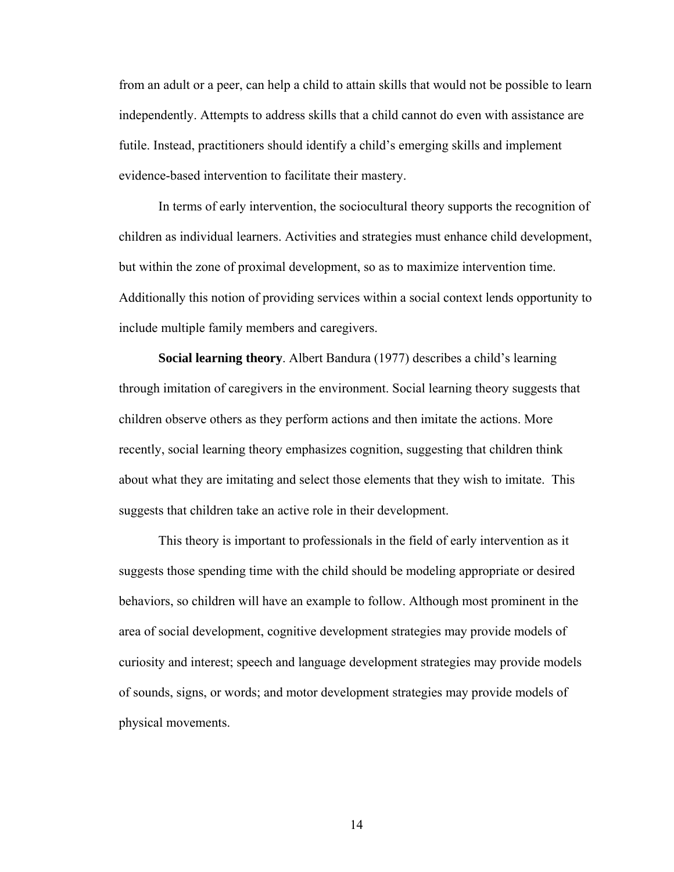from an adult or a peer, can help a child to attain skills that would not be possible to learn independently. Attempts to address skills that a child cannot do even with assistance are futile. Instead, practitioners should identify a child's emerging skills and implement evidence-based intervention to facilitate their mastery.

In terms of early intervention, the sociocultural theory supports the recognition of children as individual learners. Activities and strategies must enhance child development, but within the zone of proximal development, so as to maximize intervention time. Additionally this notion of providing services within a social context lends opportunity to include multiple family members and caregivers.

**Social learning theory**. Albert Bandura (1977) describes a child's learning through imitation of caregivers in the environment. Social learning theory suggests that children observe others as they perform actions and then imitate the actions. More recently, social learning theory emphasizes cognition, suggesting that children think about what they are imitating and select those elements that they wish to imitate. This suggests that children take an active role in their development.

This theory is important to professionals in the field of early intervention as it suggests those spending time with the child should be modeling appropriate or desired behaviors, so children will have an example to follow. Although most prominent in the area of social development, cognitive development strategies may provide models of curiosity and interest; speech and language development strategies may provide models of sounds, signs, or words; and motor development strategies may provide models of physical movements.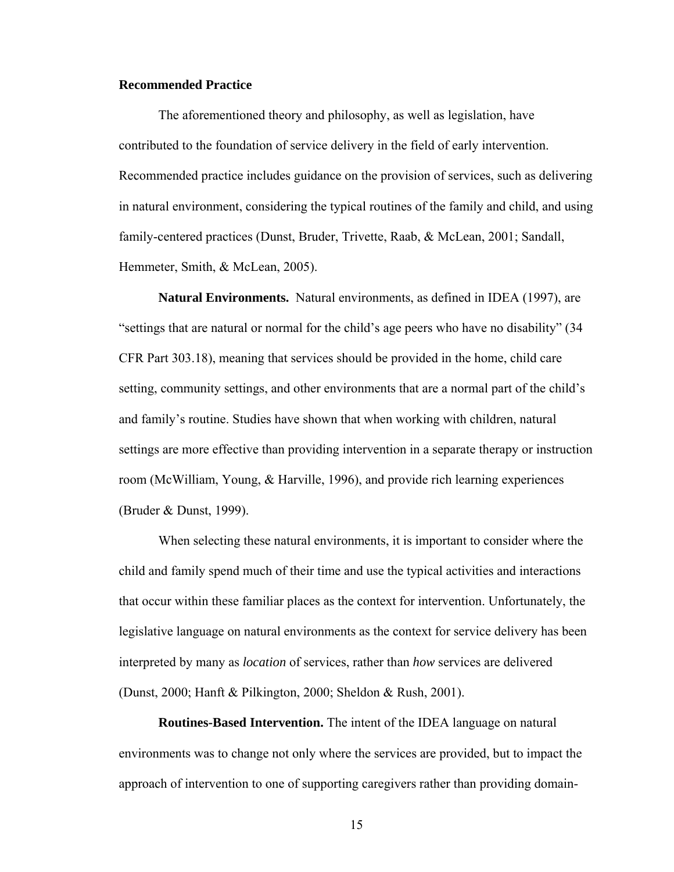## **Recommended Practice**

The aforementioned theory and philosophy, as well as legislation, have contributed to the foundation of service delivery in the field of early intervention. Recommended practice includes guidance on the provision of services, such as delivering in natural environment, considering the typical routines of the family and child, and using family-centered practices (Dunst, Bruder, Trivette, Raab, & McLean, 2001; Sandall, Hemmeter, Smith, & McLean, 2005).

**Natural Environments.** Natural environments, as defined in IDEA (1997), are "settings that are natural or normal for the child's age peers who have no disability" (34 CFR Part 303.18), meaning that services should be provided in the home, child care setting, community settings, and other environments that are a normal part of the child's and family's routine. Studies have shown that when working with children, natural settings are more effective than providing intervention in a separate therapy or instruction room (McWilliam, Young, & Harville, 1996), and provide rich learning experiences (Bruder & Dunst, 1999).

When selecting these natural environments, it is important to consider where the child and family spend much of their time and use the typical activities and interactions that occur within these familiar places as the context for intervention. Unfortunately, the legislative language on natural environments as the context for service delivery has been interpreted by many as *location* of services, rather than *how* services are delivered (Dunst, 2000; Hanft & Pilkington, 2000; Sheldon & Rush, 2001).

**Routines-Based Intervention.** The intent of the IDEA language on natural environments was to change not only where the services are provided, but to impact the approach of intervention to one of supporting caregivers rather than providing domain-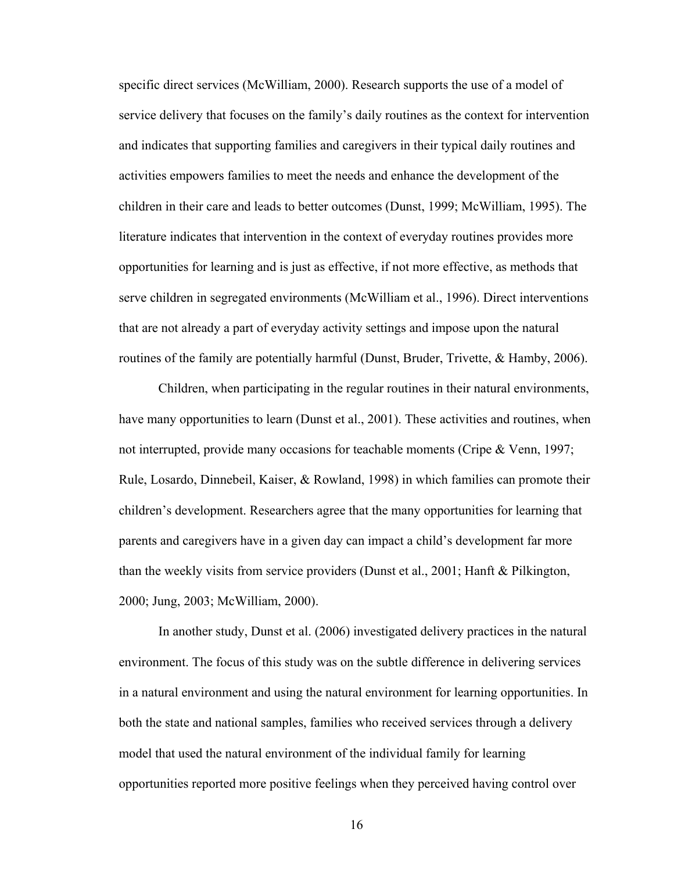specific direct services (McWilliam, 2000). Research supports the use of a model of service delivery that focuses on the family's daily routines as the context for intervention and indicates that supporting families and caregivers in their typical daily routines and activities empowers families to meet the needs and enhance the development of the children in their care and leads to better outcomes (Dunst, 1999; McWilliam, 1995). The literature indicates that intervention in the context of everyday routines provides more opportunities for learning and is just as effective, if not more effective, as methods that serve children in segregated environments (McWilliam et al., 1996). Direct interventions that are not already a part of everyday activity settings and impose upon the natural routines of the family are potentially harmful (Dunst, Bruder, Trivette, & Hamby, 2006).

Children, when participating in the regular routines in their natural environments, have many opportunities to learn (Dunst et al., 2001). These activities and routines, when not interrupted, provide many occasions for teachable moments (Cripe & Venn, 1997; Rule, Losardo, Dinnebeil, Kaiser, & Rowland, 1998) in which families can promote their children's development. Researchers agree that the many opportunities for learning that parents and caregivers have in a given day can impact a child's development far more than the weekly visits from service providers (Dunst et al., 2001; Hanft & Pilkington, 2000; Jung, 2003; McWilliam, 2000).

In another study, Dunst et al. (2006) investigated delivery practices in the natural environment. The focus of this study was on the subtle difference in delivering services in a natural environment and using the natural environment for learning opportunities. In both the state and national samples, families who received services through a delivery model that used the natural environment of the individual family for learning opportunities reported more positive feelings when they perceived having control over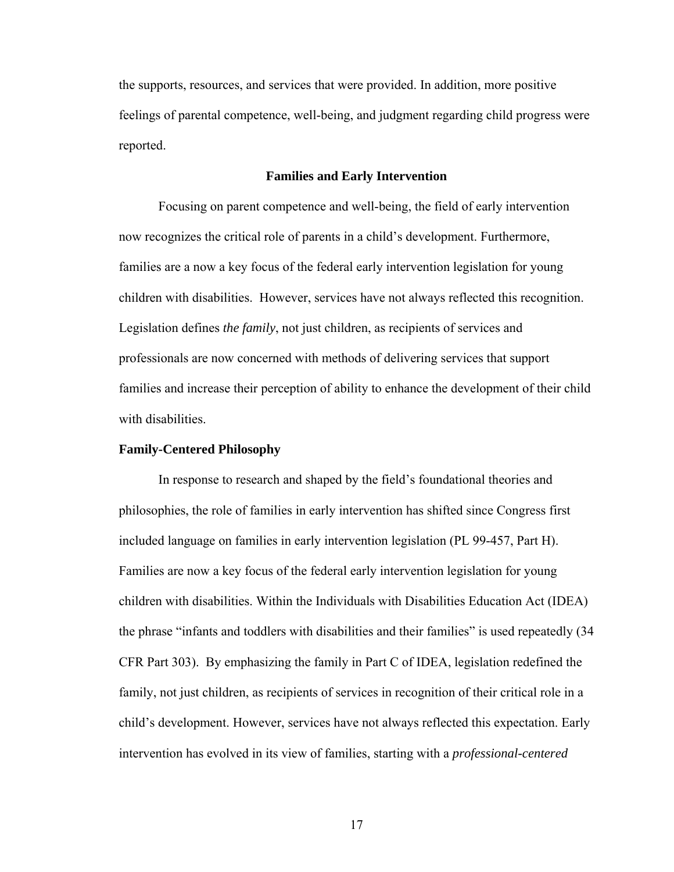the supports, resources, and services that were provided. In addition, more positive feelings of parental competence, well-being, and judgment regarding child progress were reported.

#### **Families and Early Intervention**

Focusing on parent competence and well-being, the field of early intervention now recognizes the critical role of parents in a child's development. Furthermore, families are a now a key focus of the federal early intervention legislation for young children with disabilities. However, services have not always reflected this recognition. Legislation defines *the family*, not just children, as recipients of services and professionals are now concerned with methods of delivering services that support families and increase their perception of ability to enhance the development of their child with disabilities.

## **Family-Centered Philosophy**

In response to research and shaped by the field's foundational theories and philosophies, the role of families in early intervention has shifted since Congress first included language on families in early intervention legislation (PL 99-457, Part H). Families are now a key focus of the federal early intervention legislation for young children with disabilities. Within the Individuals with Disabilities Education Act (IDEA) the phrase "infants and toddlers with disabilities and their families" is used repeatedly (34 CFR Part 303). By emphasizing the family in Part C of IDEA, legislation redefined the family, not just children, as recipients of services in recognition of their critical role in a child's development. However, services have not always reflected this expectation. Early intervention has evolved in its view of families, starting with a *professional-centered*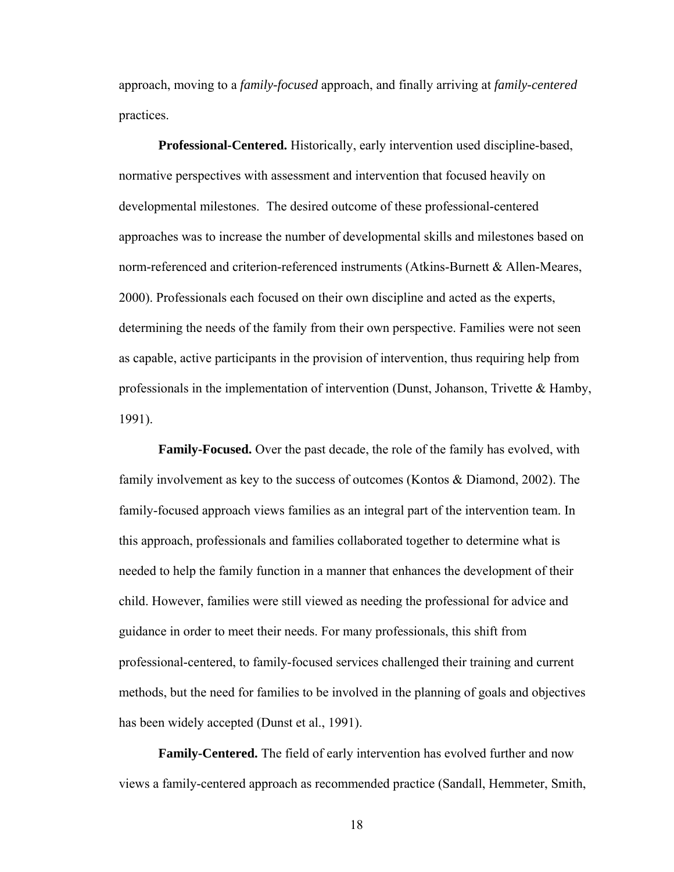approach, moving to a *family-focused* approach, and finally arriving at *family-centered* practices.

**Professional-Centered.** Historically, early intervention used discipline-based, normative perspectives with assessment and intervention that focused heavily on developmental milestones. The desired outcome of these professional-centered approaches was to increase the number of developmental skills and milestones based on norm-referenced and criterion-referenced instruments (Atkins-Burnett & Allen-Meares, 2000). Professionals each focused on their own discipline and acted as the experts, determining the needs of the family from their own perspective. Families were not seen as capable, active participants in the provision of intervention, thus requiring help from professionals in the implementation of intervention (Dunst, Johanson, Trivette & Hamby, 1991).

**Family-Focused.** Over the past decade, the role of the family has evolved, with family involvement as key to the success of outcomes (Kontos & Diamond, 2002). The family-focused approach views families as an integral part of the intervention team. In this approach, professionals and families collaborated together to determine what is needed to help the family function in a manner that enhances the development of their child. However, families were still viewed as needing the professional for advice and guidance in order to meet their needs. For many professionals, this shift from professional-centered, to family-focused services challenged their training and current methods, but the need for families to be involved in the planning of goals and objectives has been widely accepted (Dunst et al., 1991).

**Family-Centered.** The field of early intervention has evolved further and now views a family-centered approach as recommended practice (Sandall, Hemmeter, Smith,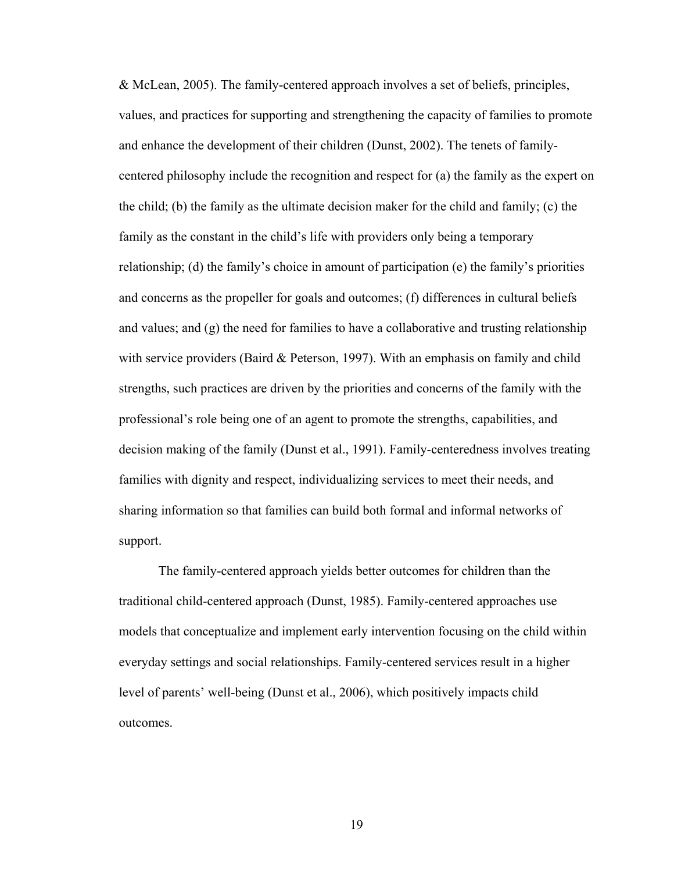& McLean, 2005). The family-centered approach involves a set of beliefs, principles, values, and practices for supporting and strengthening the capacity of families to promote and enhance the development of their children (Dunst, 2002). The tenets of familycentered philosophy include the recognition and respect for (a) the family as the expert on the child; (b) the family as the ultimate decision maker for the child and family; (c) the family as the constant in the child's life with providers only being a temporary relationship; (d) the family's choice in amount of participation (e) the family's priorities and concerns as the propeller for goals and outcomes; (f) differences in cultural beliefs and values; and  $(g)$  the need for families to have a collaborative and trusting relationship with service providers (Baird & Peterson, 1997). With an emphasis on family and child strengths, such practices are driven by the priorities and concerns of the family with the professional's role being one of an agent to promote the strengths, capabilities, and decision making of the family (Dunst et al., 1991). Family-centeredness involves treating families with dignity and respect, individualizing services to meet their needs, and sharing information so that families can build both formal and informal networks of support.

The family-centered approach yields better outcomes for children than the traditional child-centered approach (Dunst, 1985). Family-centered approaches use models that conceptualize and implement early intervention focusing on the child within everyday settings and social relationships. Family-centered services result in a higher level of parents' well-being (Dunst et al., 2006), which positively impacts child outcomes.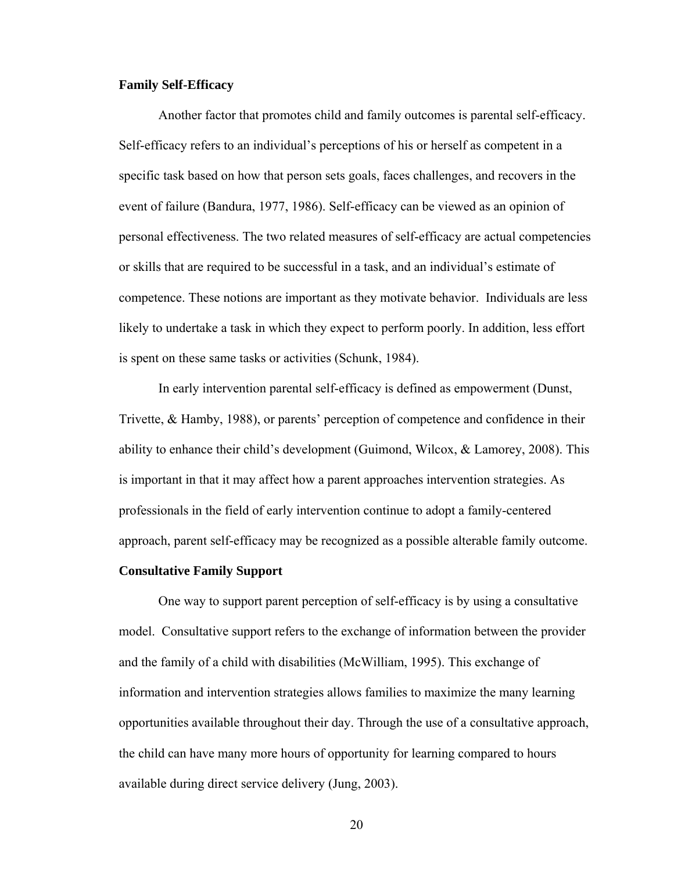## **Family Self-Efficacy**

Another factor that promotes child and family outcomes is parental self-efficacy. Self-efficacy refers to an individual's perceptions of his or herself as competent in a specific task based on how that person sets goals, faces challenges, and recovers in the event of failure (Bandura, 1977, 1986). Self-efficacy can be viewed as an opinion of personal effectiveness. The two related measures of self-efficacy are actual competencies or skills that are required to be successful in a task, and an individual's estimate of competence. These notions are important as they motivate behavior. Individuals are less likely to undertake a task in which they expect to perform poorly. In addition, less effort is spent on these same tasks or activities (Schunk, 1984).

 In early intervention parental self-efficacy is defined as empowerment (Dunst, Trivette, & Hamby, 1988), or parents' perception of competence and confidence in their ability to enhance their child's development (Guimond, Wilcox, & Lamorey, 2008). This is important in that it may affect how a parent approaches intervention strategies. As professionals in the field of early intervention continue to adopt a family-centered approach, parent self-efficacy may be recognized as a possible alterable family outcome.

## **Consultative Family Support**

One way to support parent perception of self-efficacy is by using a consultative model. Consultative support refers to the exchange of information between the provider and the family of a child with disabilities (McWilliam, 1995). This exchange of information and intervention strategies allows families to maximize the many learning opportunities available throughout their day. Through the use of a consultative approach, the child can have many more hours of opportunity for learning compared to hours available during direct service delivery (Jung, 2003).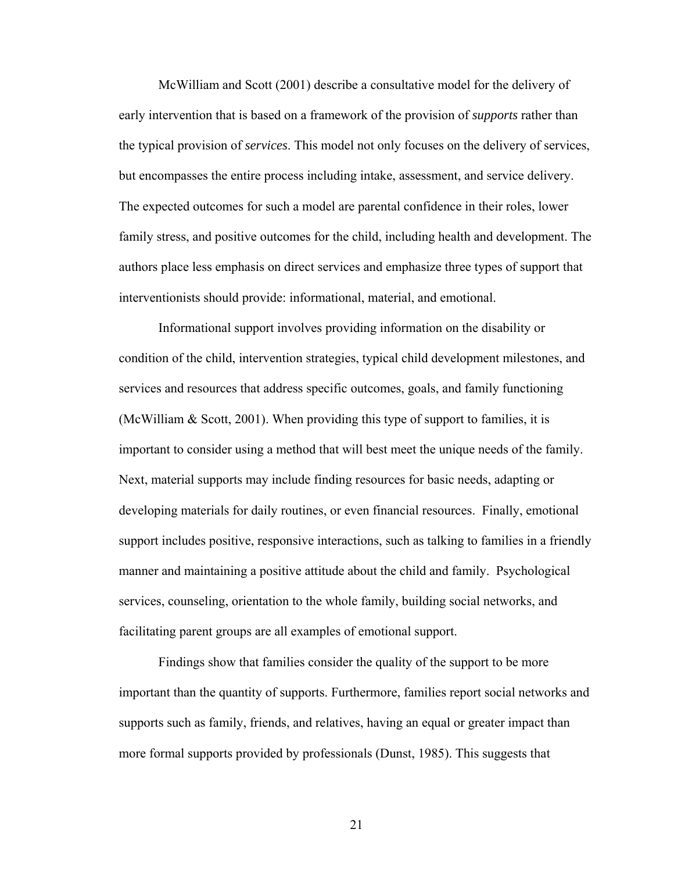McWilliam and Scott (2001) describe a consultative model for the delivery of early intervention that is based on a framework of the provision of *supports* rather than the typical provision of *services*. This model not only focuses on the delivery of services, but encompasses the entire process including intake, assessment, and service delivery. The expected outcomes for such a model are parental confidence in their roles, lower family stress, and positive outcomes for the child, including health and development. The authors place less emphasis on direct services and emphasize three types of support that interventionists should provide: informational, material, and emotional.

Informational support involves providing information on the disability or condition of the child, intervention strategies, typical child development milestones, and services and resources that address specific outcomes, goals, and family functioning (McWilliam & Scott, 2001). When providing this type of support to families, it is important to consider using a method that will best meet the unique needs of the family. Next, material supports may include finding resources for basic needs, adapting or developing materials for daily routines, or even financial resources. Finally, emotional support includes positive, responsive interactions, such as talking to families in a friendly manner and maintaining a positive attitude about the child and family. Psychological services, counseling, orientation to the whole family, building social networks, and facilitating parent groups are all examples of emotional support.

Findings show that families consider the quality of the support to be more important than the quantity of supports. Furthermore, families report social networks and supports such as family, friends, and relatives, having an equal or greater impact than more formal supports provided by professionals (Dunst, 1985). This suggests that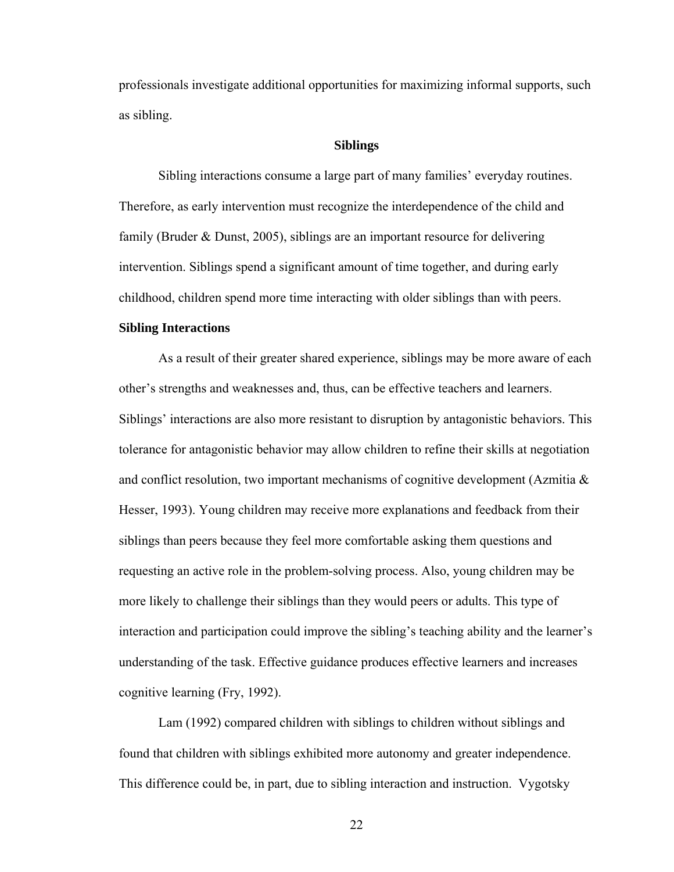professionals investigate additional opportunities for maximizing informal supports, such as sibling.

### **Siblings**

Sibling interactions consume a large part of many families' everyday routines. Therefore, as early intervention must recognize the interdependence of the child and family (Bruder & Dunst, 2005), siblings are an important resource for delivering intervention. Siblings spend a significant amount of time together, and during early childhood, children spend more time interacting with older siblings than with peers.

## **Sibling Interactions**

As a result of their greater shared experience, siblings may be more aware of each other's strengths and weaknesses and, thus, can be effective teachers and learners. Siblings' interactions are also more resistant to disruption by antagonistic behaviors. This tolerance for antagonistic behavior may allow children to refine their skills at negotiation and conflict resolution, two important mechanisms of cognitive development (Azmitia & Hesser, 1993). Young children may receive more explanations and feedback from their siblings than peers because they feel more comfortable asking them questions and requesting an active role in the problem-solving process. Also, young children may be more likely to challenge their siblings than they would peers or adults. This type of interaction and participation could improve the sibling's teaching ability and the learner's understanding of the task. Effective guidance produces effective learners and increases cognitive learning (Fry, 1992).

Lam (1992) compared children with siblings to children without siblings and found that children with siblings exhibited more autonomy and greater independence. This difference could be, in part, due to sibling interaction and instruction. Vygotsky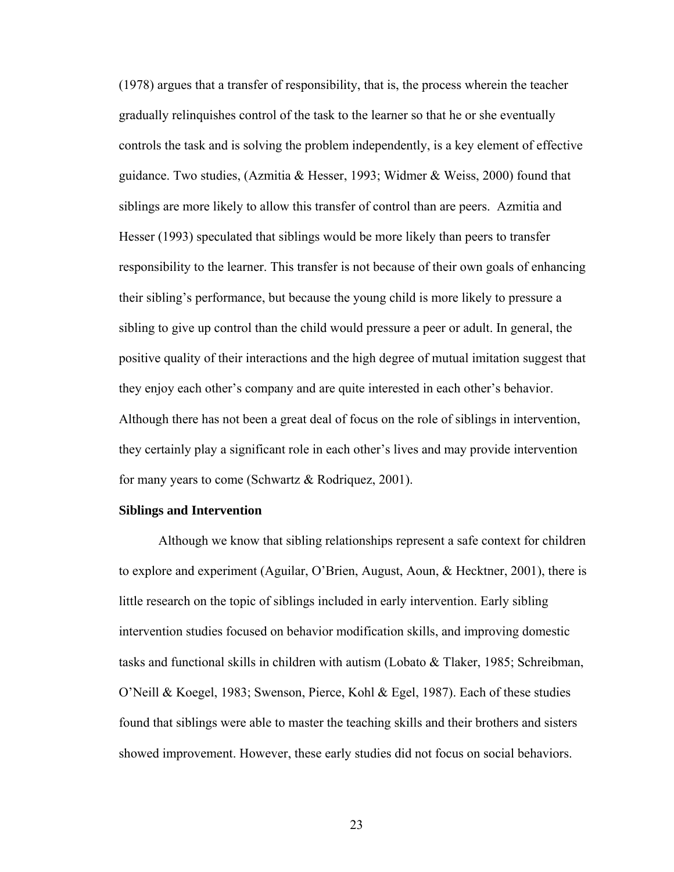(1978) argues that a transfer of responsibility, that is, the process wherein the teacher gradually relinquishes control of the task to the learner so that he or she eventually controls the task and is solving the problem independently, is a key element of effective guidance. Two studies, (Azmitia & Hesser, 1993; Widmer & Weiss, 2000) found that siblings are more likely to allow this transfer of control than are peers. Azmitia and Hesser (1993) speculated that siblings would be more likely than peers to transfer responsibility to the learner. This transfer is not because of their own goals of enhancing their sibling's performance, but because the young child is more likely to pressure a sibling to give up control than the child would pressure a peer or adult. In general, the positive quality of their interactions and the high degree of mutual imitation suggest that they enjoy each other's company and are quite interested in each other's behavior. Although there has not been a great deal of focus on the role of siblings in intervention, they certainly play a significant role in each other's lives and may provide intervention for many years to come (Schwartz & Rodriquez, 2001).

#### **Siblings and Intervention**

Although we know that sibling relationships represent a safe context for children to explore and experiment (Aguilar, O'Brien, August, Aoun, & Hecktner, 2001), there is little research on the topic of siblings included in early intervention. Early sibling intervention studies focused on behavior modification skills, and improving domestic tasks and functional skills in children with autism (Lobato  $\&$  Tlaker, 1985; Schreibman, O'Neill & Koegel, 1983; Swenson, Pierce, Kohl & Egel, 1987). Each of these studies found that siblings were able to master the teaching skills and their brothers and sisters showed improvement. However, these early studies did not focus on social behaviors.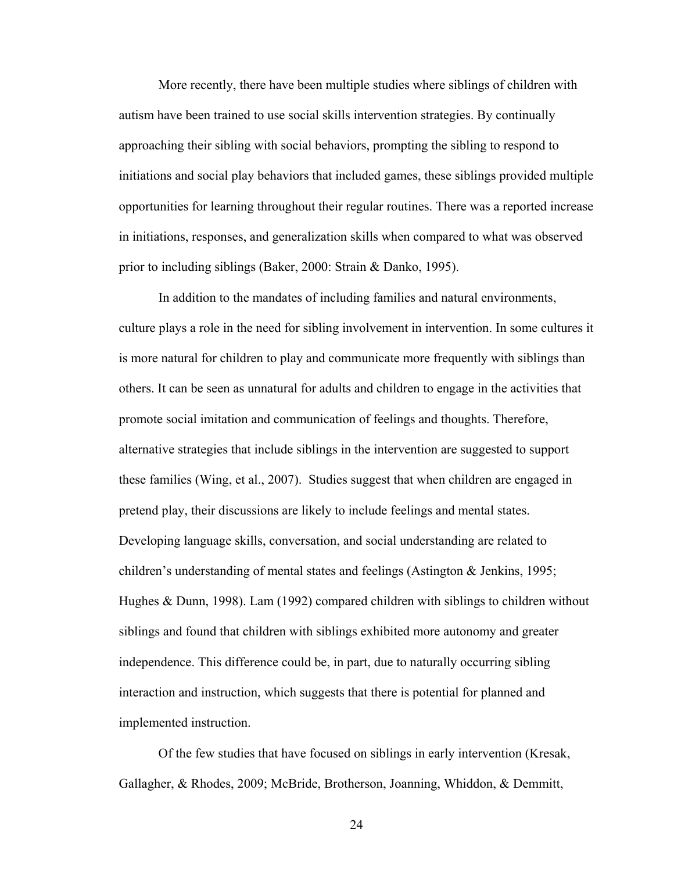More recently, there have been multiple studies where siblings of children with autism have been trained to use social skills intervention strategies. By continually approaching their sibling with social behaviors, prompting the sibling to respond to initiations and social play behaviors that included games, these siblings provided multiple opportunities for learning throughout their regular routines. There was a reported increase in initiations, responses, and generalization skills when compared to what was observed prior to including siblings (Baker, 2000: Strain & Danko, 1995).

In addition to the mandates of including families and natural environments, culture plays a role in the need for sibling involvement in intervention. In some cultures it is more natural for children to play and communicate more frequently with siblings than others. It can be seen as unnatural for adults and children to engage in the activities that promote social imitation and communication of feelings and thoughts. Therefore, alternative strategies that include siblings in the intervention are suggested to support these families (Wing, et al., 2007). Studies suggest that when children are engaged in pretend play, their discussions are likely to include feelings and mental states. Developing language skills, conversation, and social understanding are related to children's understanding of mental states and feelings (Astington & Jenkins, 1995; Hughes & Dunn, 1998). Lam (1992) compared children with siblings to children without siblings and found that children with siblings exhibited more autonomy and greater independence. This difference could be, in part, due to naturally occurring sibling interaction and instruction, which suggests that there is potential for planned and implemented instruction.

Of the few studies that have focused on siblings in early intervention (Kresak, Gallagher, & Rhodes, 2009; McBride, Brotherson, Joanning, Whiddon, & Demmitt,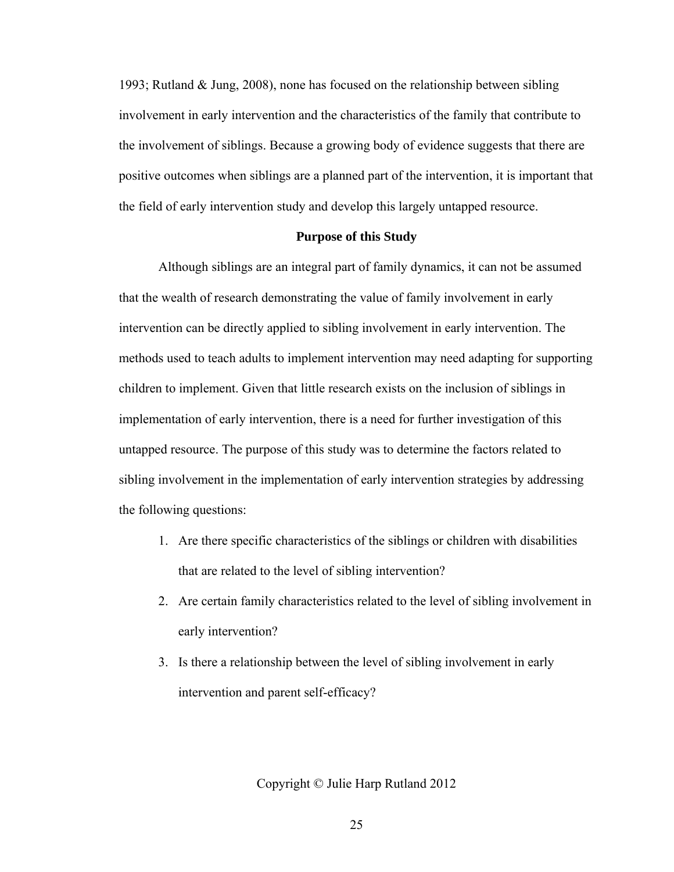1993; Rutland & Jung, 2008), none has focused on the relationship between sibling involvement in early intervention and the characteristics of the family that contribute to the involvement of siblings. Because a growing body of evidence suggests that there are positive outcomes when siblings are a planned part of the intervention, it is important that the field of early intervention study and develop this largely untapped resource.

## **Purpose of this Study**

Although siblings are an integral part of family dynamics, it can not be assumed that the wealth of research demonstrating the value of family involvement in early intervention can be directly applied to sibling involvement in early intervention. The methods used to teach adults to implement intervention may need adapting for supporting children to implement. Given that little research exists on the inclusion of siblings in implementation of early intervention, there is a need for further investigation of this untapped resource. The purpose of this study was to determine the factors related to sibling involvement in the implementation of early intervention strategies by addressing the following questions:

- 1. Are there specific characteristics of the siblings or children with disabilities that are related to the level of sibling intervention?
- 2. Are certain family characteristics related to the level of sibling involvement in early intervention?
- 3. Is there a relationship between the level of sibling involvement in early intervention and parent self-efficacy?

Copyright © Julie Harp Rutland 2012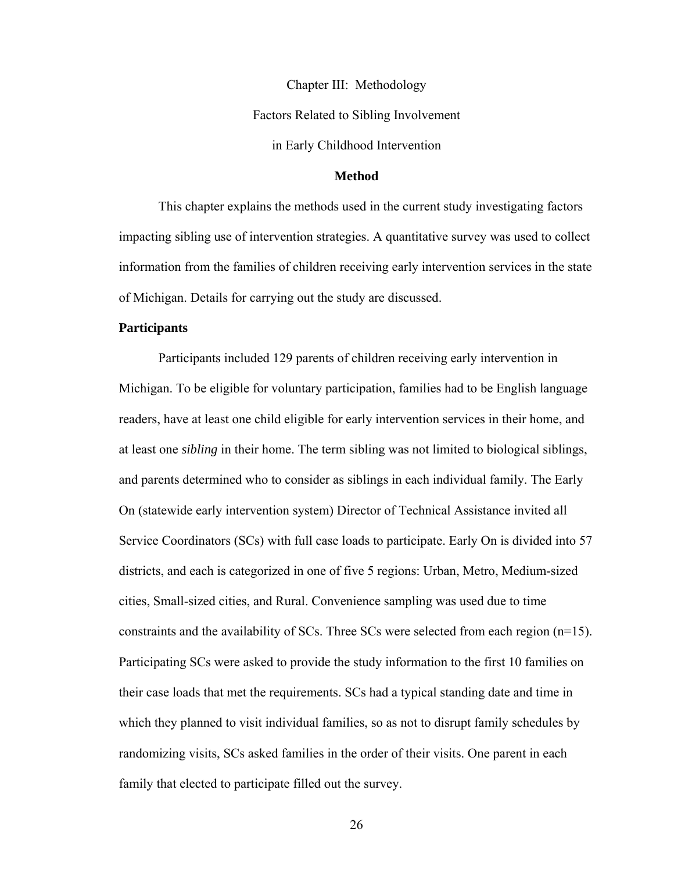Chapter III: Methodology Factors Related to Sibling Involvement in Early Childhood Intervention

### **Method**

 This chapter explains the methods used in the current study investigating factors impacting sibling use of intervention strategies. A quantitative survey was used to collect information from the families of children receiving early intervention services in the state of Michigan. Details for carrying out the study are discussed.

#### **Participants**

Participants included 129 parents of children receiving early intervention in Michigan. To be eligible for voluntary participation, families had to be English language readers, have at least one child eligible for early intervention services in their home, and at least one *sibling* in their home. The term sibling was not limited to biological siblings, and parents determined who to consider as siblings in each individual family. The Early On (statewide early intervention system) Director of Technical Assistance invited all Service Coordinators (SCs) with full case loads to participate. Early On is divided into 57 districts, and each is categorized in one of five 5 regions: Urban, Metro, Medium-sized cities, Small-sized cities, and Rural. Convenience sampling was used due to time constraints and the availability of SCs. Three SCs were selected from each region (n=15). Participating SCs were asked to provide the study information to the first 10 families on their case loads that met the requirements. SCs had a typical standing date and time in which they planned to visit individual families, so as not to disrupt family schedules by randomizing visits, SCs asked families in the order of their visits. One parent in each family that elected to participate filled out the survey.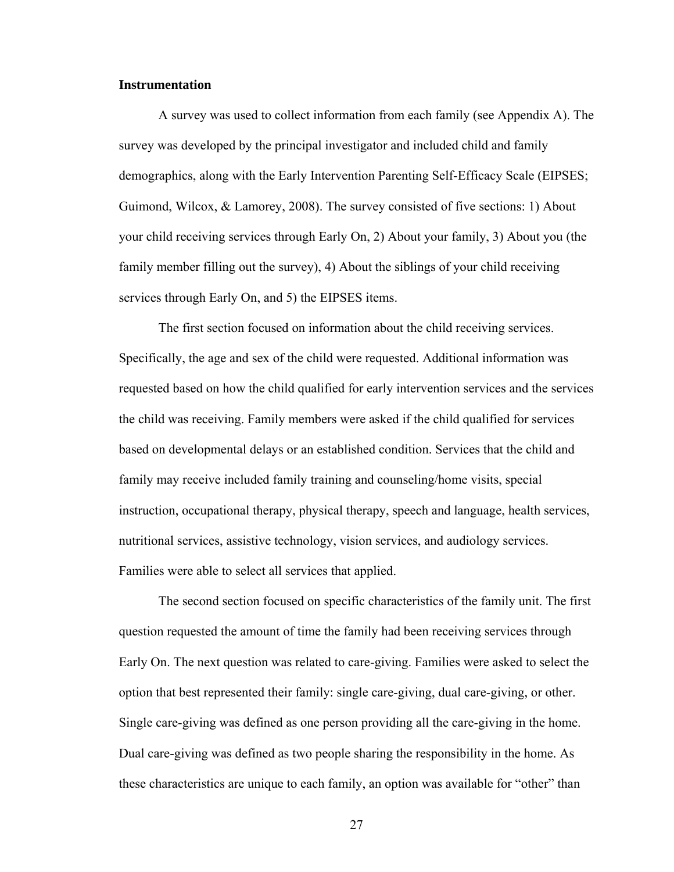#### **Instrumentation**

A survey was used to collect information from each family (see Appendix A). The survey was developed by the principal investigator and included child and family demographics, along with the Early Intervention Parenting Self-Efficacy Scale (EIPSES; Guimond, Wilcox, & Lamorey, 2008). The survey consisted of five sections: 1) About your child receiving services through Early On, 2) About your family, 3) About you (the family member filling out the survey), 4) About the siblings of your child receiving services through Early On, and 5) the EIPSES items.

The first section focused on information about the child receiving services. Specifically, the age and sex of the child were requested. Additional information was requested based on how the child qualified for early intervention services and the services the child was receiving. Family members were asked if the child qualified for services based on developmental delays or an established condition. Services that the child and family may receive included family training and counseling/home visits, special instruction, occupational therapy, physical therapy, speech and language, health services, nutritional services, assistive technology, vision services, and audiology services. Families were able to select all services that applied.

The second section focused on specific characteristics of the family unit. The first question requested the amount of time the family had been receiving services through Early On. The next question was related to care-giving. Families were asked to select the option that best represented their family: single care-giving, dual care-giving, or other. Single care-giving was defined as one person providing all the care-giving in the home. Dual care-giving was defined as two people sharing the responsibility in the home. As these characteristics are unique to each family, an option was available for "other" than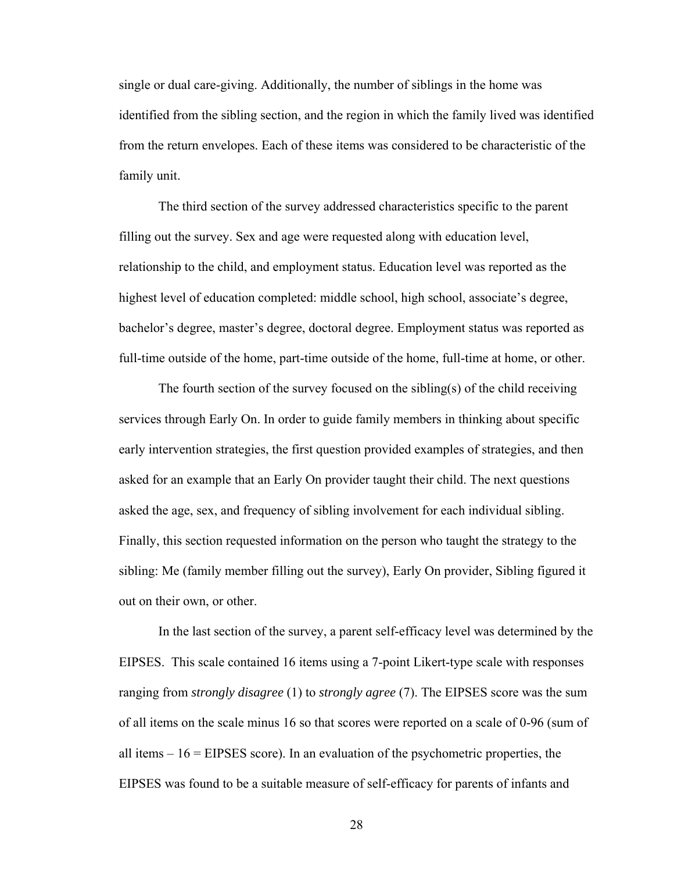single or dual care-giving. Additionally, the number of siblings in the home was identified from the sibling section, and the region in which the family lived was identified from the return envelopes. Each of these items was considered to be characteristic of the family unit.

The third section of the survey addressed characteristics specific to the parent filling out the survey. Sex and age were requested along with education level, relationship to the child, and employment status. Education level was reported as the highest level of education completed: middle school, high school, associate's degree, bachelor's degree, master's degree, doctoral degree. Employment status was reported as full-time outside of the home, part-time outside of the home, full-time at home, or other.

The fourth section of the survey focused on the sibling(s) of the child receiving services through Early On. In order to guide family members in thinking about specific early intervention strategies, the first question provided examples of strategies, and then asked for an example that an Early On provider taught their child. The next questions asked the age, sex, and frequency of sibling involvement for each individual sibling. Finally, this section requested information on the person who taught the strategy to the sibling: Me (family member filling out the survey), Early On provider, Sibling figured it out on their own, or other.

In the last section of the survey, a parent self-efficacy level was determined by the EIPSES. This scale contained 16 items using a 7-point Likert-type scale with responses ranging from *strongly disagree* (1) to *strongly agree* (7). The EIPSES score was the sum of all items on the scale minus 16 so that scores were reported on a scale of 0-96 (sum of all items – 16 = EIPSES score). In an evaluation of the psychometric properties, the EIPSES was found to be a suitable measure of self-efficacy for parents of infants and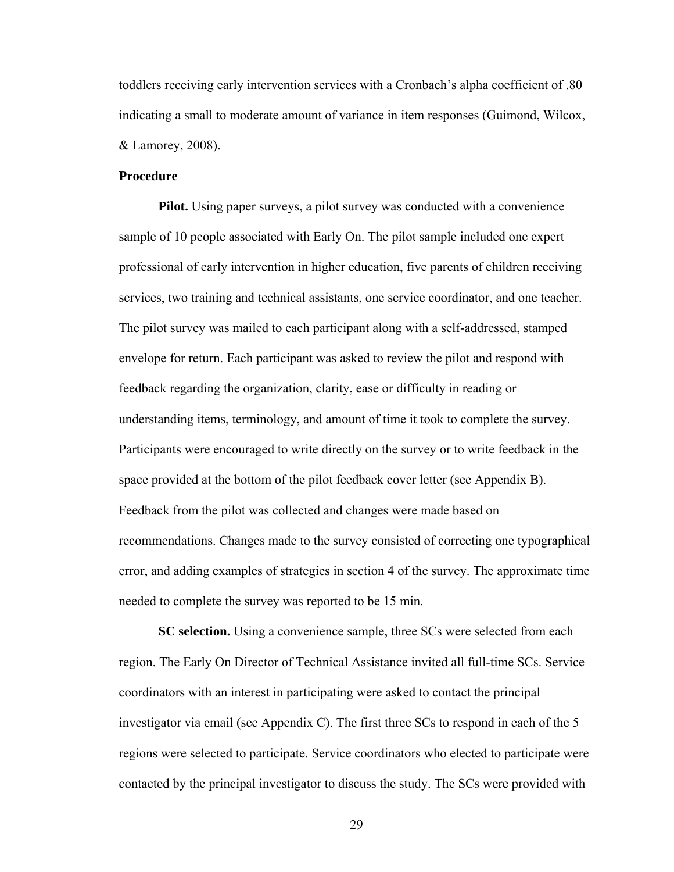toddlers receiving early intervention services with a Cronbach's alpha coefficient of .80 indicating a small to moderate amount of variance in item responses (Guimond, Wilcox, & Lamorey, 2008).

## **Procedure**

**Pilot.** Using paper surveys, a pilot survey was conducted with a convenience sample of 10 people associated with Early On. The pilot sample included one expert professional of early intervention in higher education, five parents of children receiving services, two training and technical assistants, one service coordinator, and one teacher. The pilot survey was mailed to each participant along with a self-addressed, stamped envelope for return. Each participant was asked to review the pilot and respond with feedback regarding the organization, clarity, ease or difficulty in reading or understanding items, terminology, and amount of time it took to complete the survey. Participants were encouraged to write directly on the survey or to write feedback in the space provided at the bottom of the pilot feedback cover letter (see Appendix B). Feedback from the pilot was collected and changes were made based on recommendations. Changes made to the survey consisted of correcting one typographical error, and adding examples of strategies in section 4 of the survey. The approximate time needed to complete the survey was reported to be 15 min.

**SC selection.** Using a convenience sample, three SCs were selected from each region. The Early On Director of Technical Assistance invited all full-time SCs. Service coordinators with an interest in participating were asked to contact the principal investigator via email (see Appendix C). The first three SCs to respond in each of the 5 regions were selected to participate. Service coordinators who elected to participate were contacted by the principal investigator to discuss the study. The SCs were provided with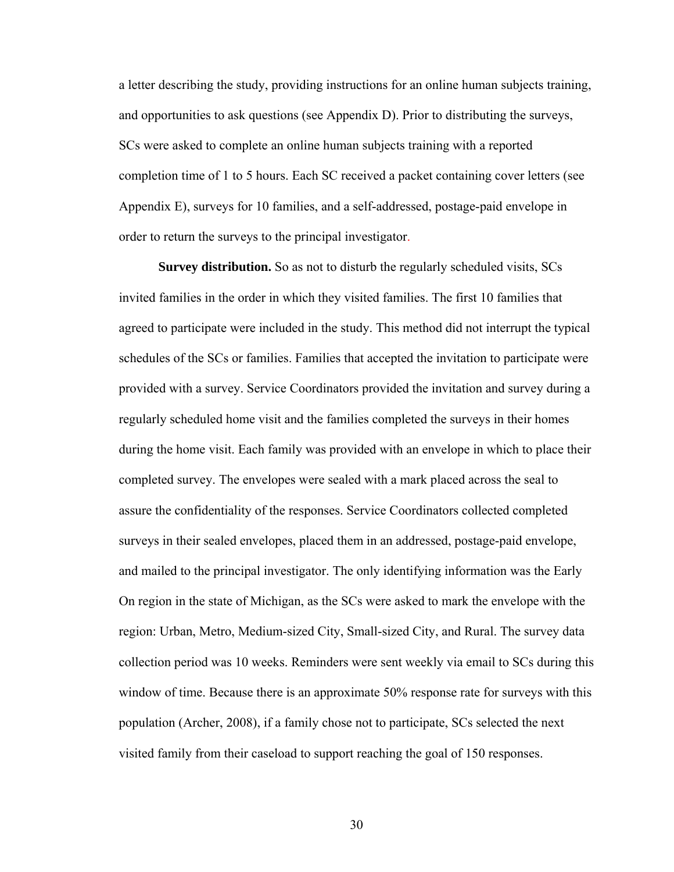a letter describing the study, providing instructions for an online human subjects training, and opportunities to ask questions (see Appendix D). Prior to distributing the surveys, SCs were asked to complete an online human subjects training with a reported completion time of 1 to 5 hours. Each SC received a packet containing cover letters (see Appendix E), surveys for 10 families, and a self-addressed, postage-paid envelope in order to return the surveys to the principal investigator.

**Survey distribution.** So as not to disturb the regularly scheduled visits, SCs invited families in the order in which they visited families. The first 10 families that agreed to participate were included in the study. This method did not interrupt the typical schedules of the SCs or families. Families that accepted the invitation to participate were provided with a survey. Service Coordinators provided the invitation and survey during a regularly scheduled home visit and the families completed the surveys in their homes during the home visit. Each family was provided with an envelope in which to place their completed survey. The envelopes were sealed with a mark placed across the seal to assure the confidentiality of the responses. Service Coordinators collected completed surveys in their sealed envelopes, placed them in an addressed, postage-paid envelope, and mailed to the principal investigator. The only identifying information was the Early On region in the state of Michigan, as the SCs were asked to mark the envelope with the region: Urban, Metro, Medium-sized City, Small-sized City, and Rural. The survey data collection period was 10 weeks. Reminders were sent weekly via email to SCs during this window of time. Because there is an approximate 50% response rate for surveys with this population (Archer, 2008), if a family chose not to participate, SCs selected the next visited family from their caseload to support reaching the goal of 150 responses.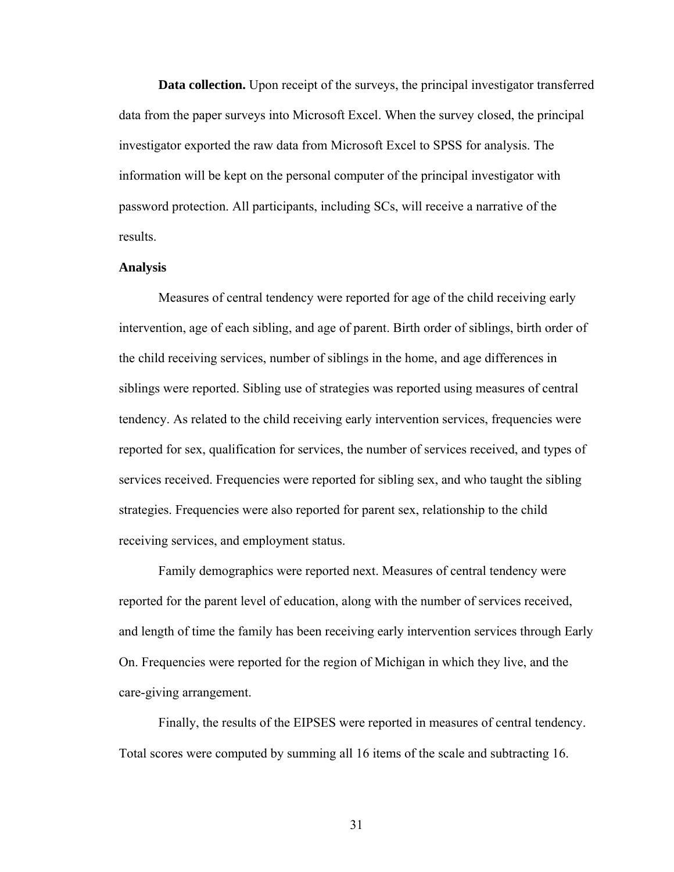**Data collection.** Upon receipt of the surveys, the principal investigator transferred data from the paper surveys into Microsoft Excel. When the survey closed, the principal investigator exported the raw data from Microsoft Excel to SPSS for analysis. The information will be kept on the personal computer of the principal investigator with password protection. All participants, including SCs, will receive a narrative of the results.

#### **Analysis**

Measures of central tendency were reported for age of the child receiving early intervention, age of each sibling, and age of parent. Birth order of siblings, birth order of the child receiving services, number of siblings in the home, and age differences in siblings were reported. Sibling use of strategies was reported using measures of central tendency. As related to the child receiving early intervention services, frequencies were reported for sex, qualification for services, the number of services received, and types of services received. Frequencies were reported for sibling sex, and who taught the sibling strategies. Frequencies were also reported for parent sex, relationship to the child receiving services, and employment status.

Family demographics were reported next. Measures of central tendency were reported for the parent level of education, along with the number of services received, and length of time the family has been receiving early intervention services through Early On. Frequencies were reported for the region of Michigan in which they live, and the care-giving arrangement.

Finally, the results of the EIPSES were reported in measures of central tendency. Total scores were computed by summing all 16 items of the scale and subtracting 16.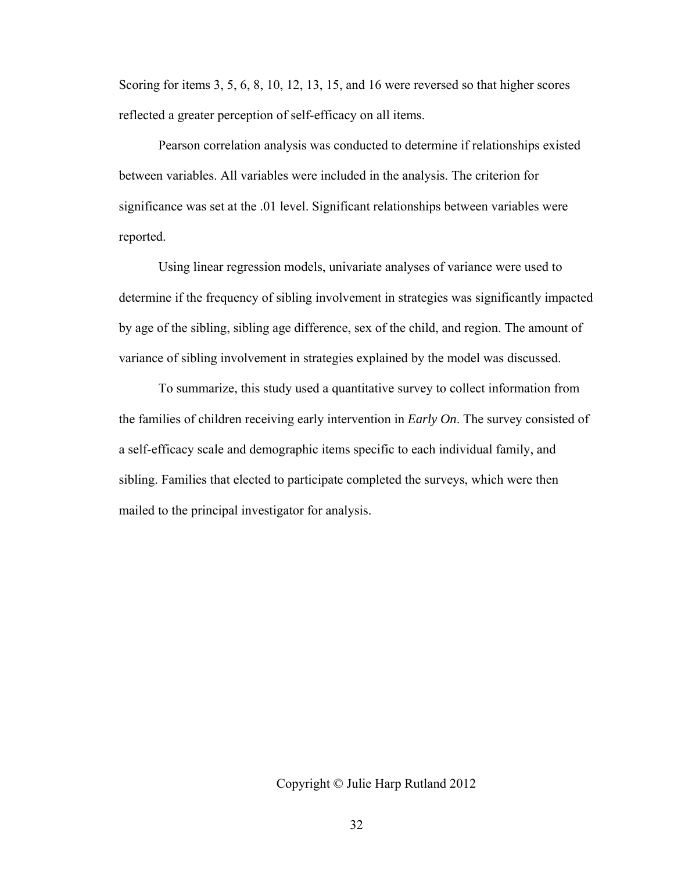Scoring for items 3, 5, 6, 8, 10, 12, 13, 15, and 16 were reversed so that higher scores reflected a greater perception of self-efficacy on all items.

Pearson correlation analysis was conducted to determine if relationships existed between variables. All variables were included in the analysis. The criterion for significance was set at the .01 level. Significant relationships between variables were reported.

Using linear regression models, univariate analyses of variance were used to determine if the frequency of sibling involvement in strategies was significantly impacted by age of the sibling, sibling age difference, sex of the child, and region. The amount of variance of sibling involvement in strategies explained by the model was discussed.

To summarize, this study used a quantitative survey to collect information from the families of children receiving early intervention in *Early On*. The survey consisted of a self-efficacy scale and demographic items specific to each individual family, and sibling. Families that elected to participate completed the surveys, which were then mailed to the principal investigator for analysis.

#### Copyright © Julie Harp Rutland 2012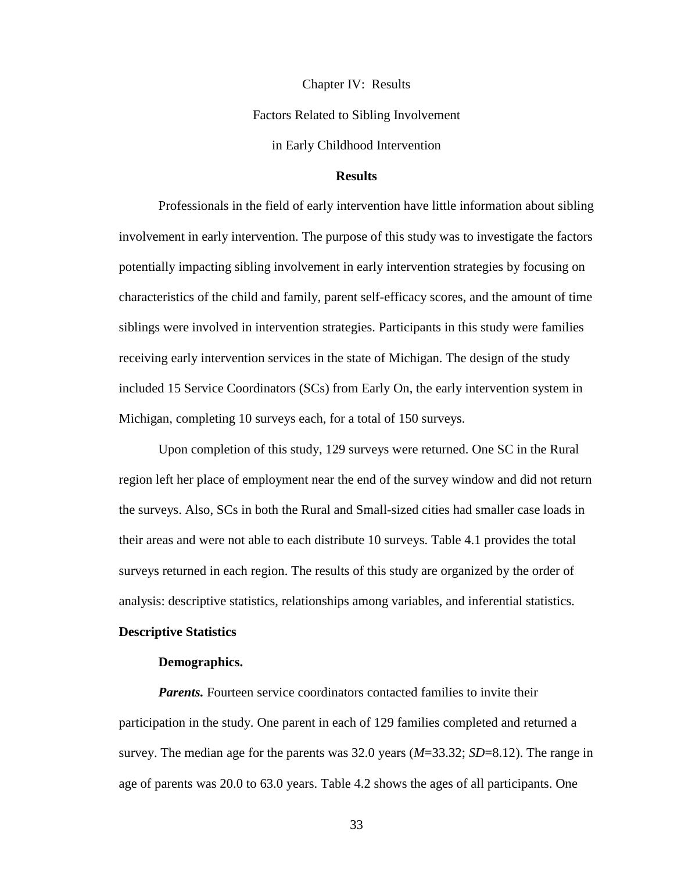Chapter IV: Results Factors Related to Sibling Involvement

in Early Childhood Intervention

# **Results**

Professionals in the field of early intervention have little information about sibling involvement in early intervention. The purpose of this study was to investigate the factors potentially impacting sibling involvement in early intervention strategies by focusing on characteristics of the child and family, parent self-efficacy scores, and the amount of time siblings were involved in intervention strategies. Participants in this study were families receiving early intervention services in the state of Michigan. The design of the study included 15 Service Coordinators (SCs) from Early On, the early intervention system in Michigan, completing 10 surveys each, for a total of 150 surveys.

Upon completion of this study, 129 surveys were returned. One SC in the Rural region left her place of employment near the end of the survey window and did not return the surveys. Also, SCs in both the Rural and Small-sized cities had smaller case loads in their areas and were not able to each distribute 10 surveys. Table 4.1 provides the total surveys returned in each region. The results of this study are organized by the order of analysis: descriptive statistics, relationships among variables, and inferential statistics.

#### **Descriptive Statistics**

#### **Demographics.**

*Parents.* Fourteen service coordinators contacted families to invite their participation in the study. One parent in each of 129 families completed and returned a survey. The median age for the parents was 32.0 years (*M*=33.32; *SD*=8.12). The range in age of parents was 20.0 to 63.0 years. Table 4.2 shows the ages of all participants. One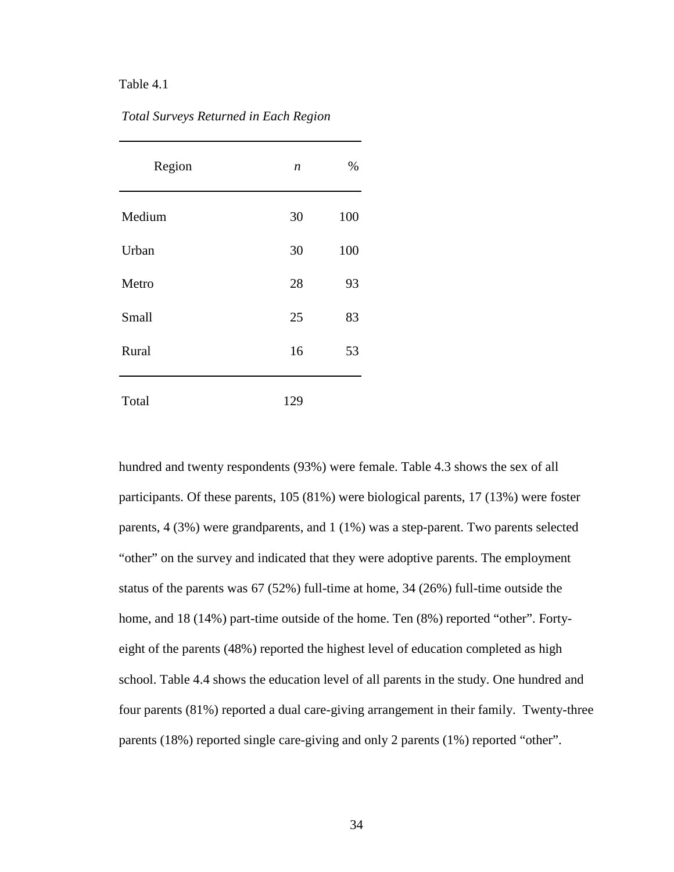| Region | $\boldsymbol{n}$ | %   |
|--------|------------------|-----|
| Medium | 30               | 100 |
| Urban  | 30               | 100 |
| Metro  | 28               | 93  |
| Small  | 25               | 83  |
| Rural  | 16               | 53  |
| Total  | 129              |     |

*Total Surveys Returned in Each Region*

hundred and twenty respondents (93%) were female. Table 4.3 shows the sex of all participants. Of these parents, 105 (81%) were biological parents, 17 (13%) were foster parents, 4 (3%) were grandparents, and 1 (1%) was a step-parent. Two parents selected "other" on the survey and indicated that they were adoptive parents. The employment status of the parents was 67 (52%) full-time at home, 34 (26%) full-time outside the home, and 18 (14%) part-time outside of the home. Ten (8%) reported "other". Fortyeight of the parents (48%) reported the highest level of education completed as high school. Table 4.4 shows the education level of all parents in the study. One hundred and four parents (81%) reported a dual care-giving arrangement in their family. Twenty-three parents (18%) reported single care-giving and only 2 parents (1%) reported "other".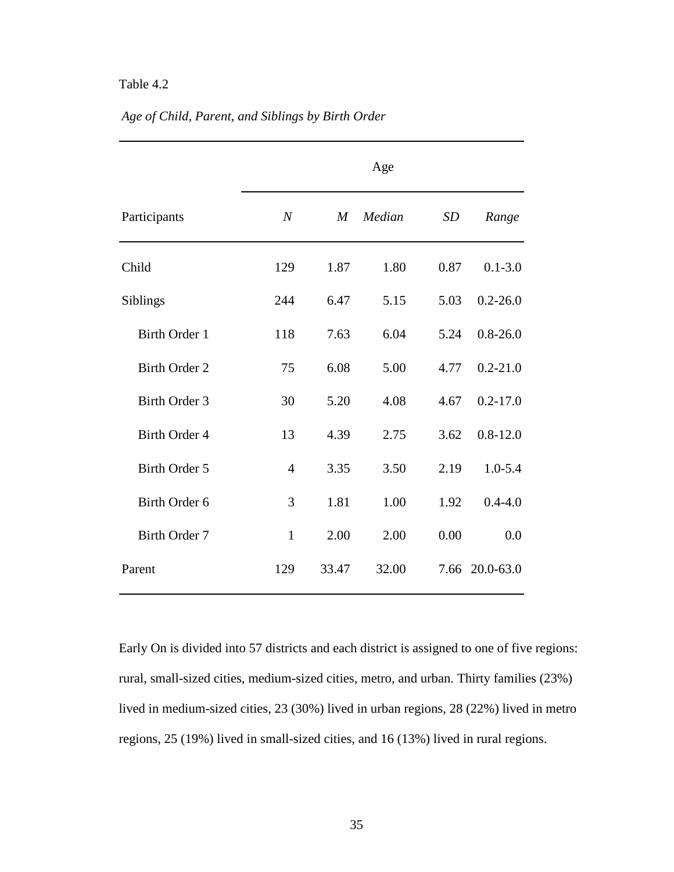|                      | Age              |       |        |           |                |  |  |  |  |
|----------------------|------------------|-------|--------|-----------|----------------|--|--|--|--|
| Participants         | $\boldsymbol{N}$ | M     | Median | <b>SD</b> | Range          |  |  |  |  |
| Child                | 129              | 1.87  | 1.80   | 0.87      | $0.1 - 3.0$    |  |  |  |  |
| Siblings             | 244              | 6.47  | 5.15   | 5.03      | $0.2 - 26.0$   |  |  |  |  |
| Birth Order 1        | 118              | 7.63  | 6.04   | 5.24      | $0.8 - 26.0$   |  |  |  |  |
| <b>Birth Order 2</b> | 75               | 6.08  | 5.00   | 4.77      | $0.2 - 21.0$   |  |  |  |  |
| Birth Order 3        | 30               | 5.20  | 4.08   | 4.67      | $0.2 - 17.0$   |  |  |  |  |
| <b>Birth Order 4</b> | 13               | 4.39  | 2.75   | 3.62      | $0.8 - 12.0$   |  |  |  |  |
| Birth Order 5        | $\overline{4}$   | 3.35  | 3.50   | 2.19      | $1.0 - 5.4$    |  |  |  |  |
| Birth Order 6        | 3                | 1.81  | 1.00   | 1.92      | $0.4 - 4.0$    |  |  |  |  |
| Birth Order 7        | $\mathbf{1}$     | 2.00  | 2.00   | 0.00      | 0.0            |  |  |  |  |
| Parent               | 129              | 33.47 | 32.00  |           | 7.66 20.0-63.0 |  |  |  |  |

# *Age of Child, Parent, and Siblings by Birth Order*

Early On is divided into 57 districts and each district is assigned to one of five regions: rural, small-sized cities, medium-sized cities, metro, and urban. Thirty families (23%) lived in medium-sized cities, 23 (30%) lived in urban regions, 28 (22%) lived in metro regions, 25 (19%) lived in small-sized cities, and 16 (13%) lived in rural regions.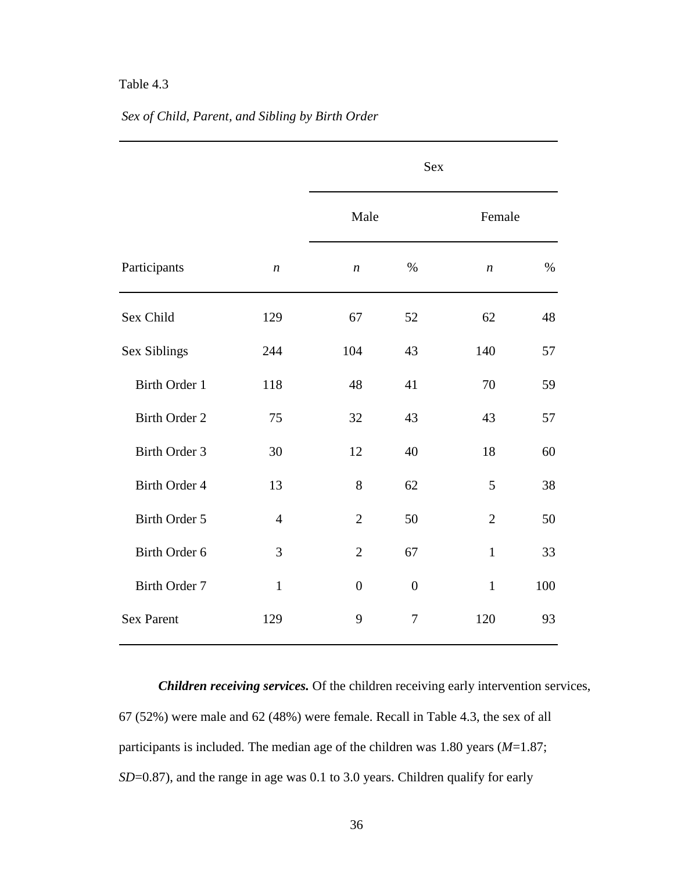|  | Sex of Child, Parent, and Sibling by Birth Order |  |  |  |
|--|--------------------------------------------------|--|--|--|
|  |                                                  |  |  |  |

|                      |                  |                  | <b>Sex</b>     |                  |        |  |  |  |  |
|----------------------|------------------|------------------|----------------|------------------|--------|--|--|--|--|
|                      |                  | Male             |                |                  | Female |  |  |  |  |
| Participants         | $\boldsymbol{n}$ | $\boldsymbol{n}$ | $\%$           | $\boldsymbol{n}$ | $\%$   |  |  |  |  |
| Sex Child            | 129              | 67               | 52             | 62               | 48     |  |  |  |  |
| Sex Siblings         | 244              | 104              | 43             | 140              | 57     |  |  |  |  |
| <b>Birth Order 1</b> | 118              | 48               | 41             | 70               | 59     |  |  |  |  |
| <b>Birth Order 2</b> | 75               | 32               | 43             | 43               | 57     |  |  |  |  |
| <b>Birth Order 3</b> | 30               | 12               | 40             | 18               | 60     |  |  |  |  |
| Birth Order 4        | 13               | 8                | 62             | 5                | 38     |  |  |  |  |
| <b>Birth Order 5</b> | $\overline{4}$   | $\overline{2}$   | 50             | $\overline{2}$   | 50     |  |  |  |  |
| Birth Order 6        | 3                | $\overline{2}$   | 67             | $\mathbf{1}$     | 33     |  |  |  |  |
| <b>Birth Order 7</b> | $\mathbf{1}$     | $\overline{0}$   | $\overline{0}$ | $\mathbf{1}$     | 100    |  |  |  |  |
| <b>Sex Parent</b>    | 129              | 9                | $\tau$         | 120              | 93     |  |  |  |  |

*Children receiving services.* Of the children receiving early intervention services, 67 (52%) were male and 62 (48%) were female. Recall in Table 4.3, the sex of all participants is included. The median age of the children was 1.80 years (*M*=1.87; *SD*=0.87), and the range in age was 0.1 to 3.0 years. Children qualify for early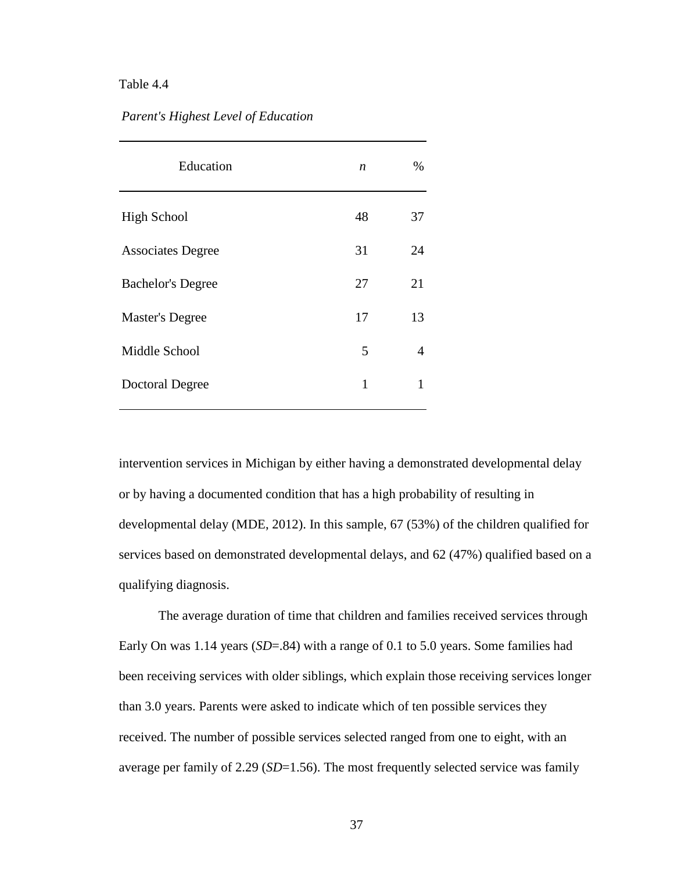#### *Parent's Highest Level of Education*

| Education                | n  | %  |
|--------------------------|----|----|
| <b>High School</b>       | 48 | 37 |
| <b>Associates Degree</b> | 31 | 24 |
| <b>Bachelor's Degree</b> | 27 | 21 |
| <b>Master's Degree</b>   | 17 | 13 |
| Middle School            | 5  | 4  |
| <b>Doctoral Degree</b>   | 1  | 1  |

intervention services in Michigan by either having a demonstrated developmental delay or by having a documented condition that has a high probability of resulting in developmental delay (MDE, 2012). In this sample, 67 (53%) of the children qualified for services based on demonstrated developmental delays, and 62 (47%) qualified based on a qualifying diagnosis.

The average duration of time that children and families received services through Early On was 1.14 years (*SD*=.84) with a range of 0.1 to 5.0 years. Some families had been receiving services with older siblings, which explain those receiving services longer than 3.0 years. Parents were asked to indicate which of ten possible services they received. The number of possible services selected ranged from one to eight, with an average per family of 2.29 (*SD*=1.56). The most frequently selected service was family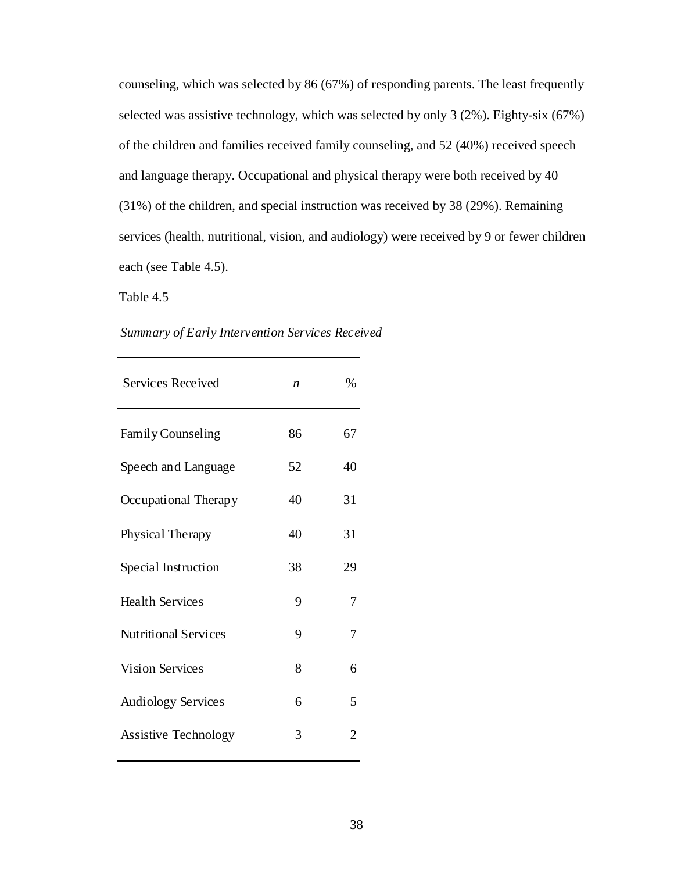counseling, which was selected by 86 (67%) of responding parents. The least frequently selected was assistive technology, which was selected by only 3 (2%). Eighty-six (67%) of the children and families received family counseling, and 52 (40%) received speech and language therapy. Occupational and physical therapy were both received by 40 (31%) of the children, and special instruction was received by 38 (29%). Remaining services (health, nutritional, vision, and audiology) were received by 9 or fewer children each (see Table 4.5).

Table 4.5

| Summary of Early Intervention Services Received |  |  |  |
|-------------------------------------------------|--|--|--|
|-------------------------------------------------|--|--|--|

| <b>Services Received</b>    | n  | %  |
|-----------------------------|----|----|
| <b>Family Counseling</b>    | 86 | 67 |
| Speech and Language         | 52 | 40 |
| Occupational Therapy        | 40 | 31 |
| Physical Therapy            | 40 | 31 |
| Special Instruction         | 38 | 29 |
| <b>Health Services</b>      | 9  | 7  |
| <b>Nutritional Services</b> | 9  | 7  |
| <b>Vision Services</b>      | 8  | 6  |
| <b>Audiology Services</b>   | 6  | 5  |
| <b>Assistive Technology</b> | 3  | 2  |
|                             |    |    |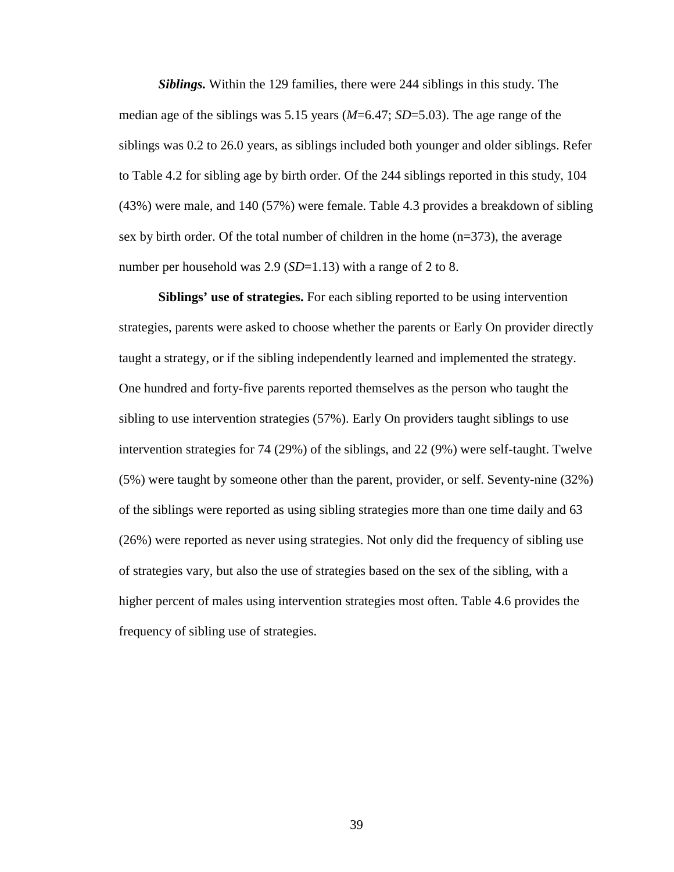*Siblings.* Within the 129 families, there were 244 siblings in this study. The median age of the siblings was 5.15 years (*M*=6.47; *SD*=5.03). The age range of the siblings was 0.2 to 26.0 years, as siblings included both younger and older siblings. Refer to Table 4.2 for sibling age by birth order. Of the 244 siblings reported in this study, 104 (43%) were male, and 140 (57%) were female. Table 4.3 provides a breakdown of sibling sex by birth order. Of the total number of children in the home (n=373), the average number per household was 2.9 (*SD*=1.13) with a range of 2 to 8.

**Siblings' use of strategies.** For each sibling reported to be using intervention strategies, parents were asked to choose whether the parents or Early On provider directly taught a strategy, or if the sibling independently learned and implemented the strategy. One hundred and forty-five parents reported themselves as the person who taught the sibling to use intervention strategies (57%). Early On providers taught siblings to use intervention strategies for 74 (29%) of the siblings, and 22 (9%) were self-taught. Twelve (5%) were taught by someone other than the parent, provider, or self. Seventy-nine (32%) of the siblings were reported as using sibling strategies more than one time daily and 63 (26%) were reported as never using strategies. Not only did the frequency of sibling use of strategies vary, but also the use of strategies based on the sex of the sibling, with a higher percent of males using intervention strategies most often. Table 4.6 provides the frequency of sibling use of strategies.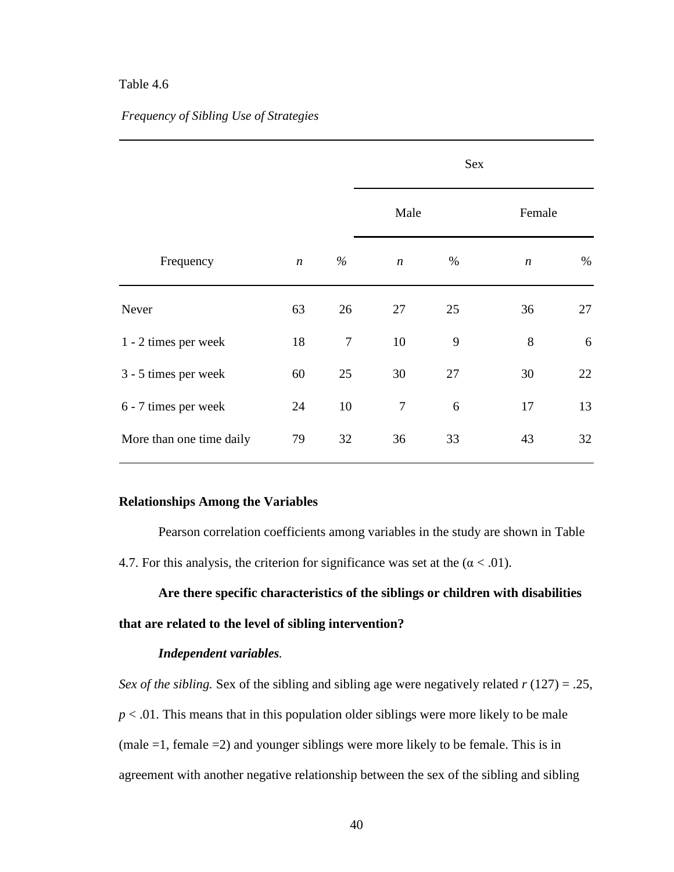# *Frequency of Sibling Use of Strategies*

|                          |                  |        | Sex              |    |                  |      |  |  |  |
|--------------------------|------------------|--------|------------------|----|------------------|------|--|--|--|
|                          |                  |        | Male             |    | Female           |      |  |  |  |
| Frequency                | $\boldsymbol{n}$ | $\%$   | $\boldsymbol{n}$ | %  | $\boldsymbol{n}$ | $\%$ |  |  |  |
| Never                    | 63               | 26     | 27               | 25 | 36               | 27   |  |  |  |
| 1 - 2 times per week     | 18               | $\tau$ | 10               | 9  | 8                | 6    |  |  |  |
| 3 - 5 times per week     | 60               | 25     | 30               | 27 | 30               | 22   |  |  |  |
| 6 - 7 times per week     | 24               | 10     | $\overline{7}$   | 6  | 17               | 13   |  |  |  |
| More than one time daily | 79               | 32     | 36               | 33 | 43               | 32   |  |  |  |

#### **Relationships Among the Variables**

Pearson correlation coefficients among variables in the study are shown in Table 4.7. For this analysis, the criterion for significance was set at the  $(\alpha < .01)$ .

**Are there specific characteristics of the siblings or children with disabilities that are related to the level of sibling intervention?**

## *Independent variables.*

*Sex of the sibling.* Sex of the sibling and sibling age were negatively related *r* (127) = .25,  $p < .01$ . This means that in this population older siblings were more likely to be male (male =1, female =2) and younger siblings were more likely to be female. This is in agreement with another negative relationship between the sex of the sibling and sibling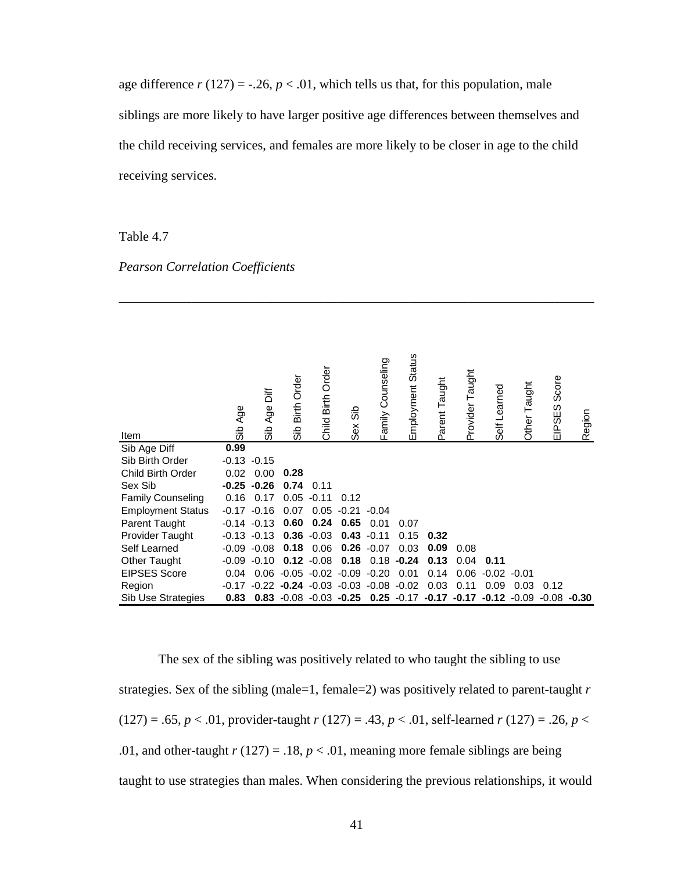age difference  $r(127) = -0.26$ ,  $p < 0.01$ , which tells us that, for this population, male siblings are more likely to have larger positive age differences between themselves and the child receiving services, and females are more likely to be closer in age to the child receiving services.

## Table 4.7

|  | <b>Pearson Correlation Coefficients</b> |
|--|-----------------------------------------|
|  |                                         |

| Item                     | Sib Age | ăة<br>Age<br>dis | Sib Birth Order                 | Child Birth Order | ္တိ<br>Sex | Family Counseling                                         | Employment Status | Parent Taught | Taught<br>Provider | Self Learned | Other Taught  | Score<br>EIPSES | Region         |
|--------------------------|---------|------------------|---------------------------------|-------------------|------------|-----------------------------------------------------------|-------------------|---------------|--------------------|--------------|---------------|-----------------|----------------|
| Sib Age Diff             | 0.99    |                  |                                 |                   |            |                                                           |                   |               |                    |              |               |                 |                |
| Sib Birth Order          | $-0.13$ | $-0.15$          |                                 |                   |            |                                                           |                   |               |                    |              |               |                 |                |
| Child Birth Order        | 0.02    | 0.00             | 0.28                            |                   |            |                                                           |                   |               |                    |              |               |                 |                |
| Sex Sib                  |         | $-0.25 -0.26$    | 0.74                            | 0.11              |            |                                                           |                   |               |                    |              |               |                 |                |
| <b>Family Counseling</b> | 0.16    | 0.17             | 0.05                            | $-0.11$           | 0.12       |                                                           |                   |               |                    |              |               |                 |                |
| <b>Employment Status</b> | $-0.17$ | $-0.16$          | 0.07                            | 0.05              | $-0.21$    | $-0.04$                                                   |                   |               |                    |              |               |                 |                |
| <b>Parent Taught</b>     | $-0.14$ | $-0.13$          | 0.60                            | 0.24              | 0.65       | 0.01                                                      | 0.07              |               |                    |              |               |                 |                |
| Provider Taught          |         | $-0.13 - 0.13$   | 0.36                            | $-0.03$           |            | $0.43 - 0.11$                                             | 0.15              | 0.32          |                    |              |               |                 |                |
| Self Learned             |         | $-0.09 - 0.08$   | 0.18                            | 0.06              |            | $0.26 - 0.07$                                             | 0.03              | 0.09          | 0.08               |              |               |                 |                |
| Other Taught             | $-0.09$ | $-0.10$          | 0.12                            | $-0.08$           | 0.18       | 0.18                                                      | $-0.24$           | 0.13          | 0.04               | 0.11         |               |                 |                |
| <b>EIPSES Score</b>      | 0.04    | 0.06             | $-0.05$                         | $-0.02$           | -0.09      | $-0.20$                                                   | 0.01              | 0.14          | 0.06               | $-0.02$      | -0.01         |                 |                |
| Region                   | $-0.17$ |                  | $-0.22$ $-0.24$ $-0.03$ $-0.03$ |                   |            |                                                           | $-0.08 - 0.02$    | 0.03          | 0.11               | 0.09         | 0.03          | 0.12            |                |
| Sib Use Strategies       | 0.83    |                  |                                 |                   |            | 0.83 $-0.08$ $-0.03$ $-0.25$ 0.25 $-0.17$ $-0.17$ $-0.17$ |                   |               |                    |              | $-0.12 -0.09$ |                 | $-0.08 - 0.30$ |

\_\_\_\_\_\_\_\_\_\_\_\_\_\_\_\_\_\_\_\_\_\_\_\_\_\_\_\_\_\_\_\_\_\_\_\_\_\_\_\_\_\_\_\_\_\_\_\_\_\_\_\_\_\_\_\_\_\_\_\_\_\_\_\_\_\_\_\_\_\_\_\_

The sex of the sibling was positively related to who taught the sibling to use strategies. Sex of the sibling (male=1, female=2) was positively related to parent-taught *r*  $(127) = .65, p < .01$ , provider-taught  $r(127) = .43, p < .01$ , self-learned  $r(127) = .26, p < .01$ .01, and other-taught  $r(127) = .18$ ,  $p < .01$ , meaning more female siblings are being taught to use strategies than males. When considering the previous relationships, it would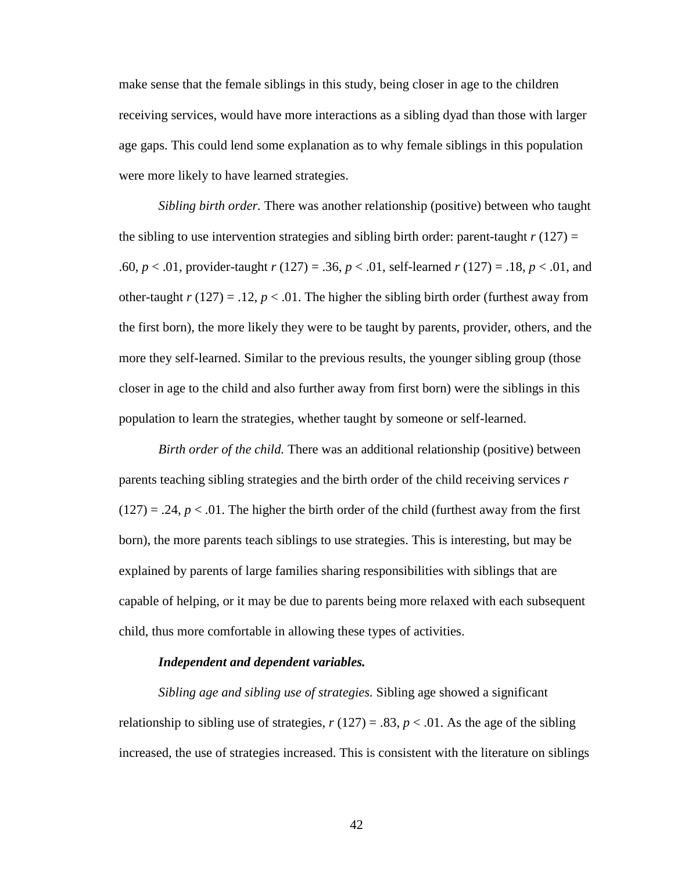make sense that the female siblings in this study, being closer in age to the children receiving services, would have more interactions as a sibling dyad than those with larger age gaps. This could lend some explanation as to why female siblings in this population were more likely to have learned strategies.

*Sibling birth order.* There was another relationship (positive) between who taught the sibling to use intervention strategies and sibling birth order: parent-taught  $r(127) =$ .60, *p* < .01, provider-taught *r* (127) = .36, *p* < .01, self-learned *r* (127) = .18, *p* < .01, and other-taught  $r(127) = .12$ ,  $p < .01$ . The higher the sibling birth order (furthest away from the first born), the more likely they were to be taught by parents, provider, others, and the more they self-learned. Similar to the previous results, the younger sibling group (those closer in age to the child and also further away from first born) were the siblings in this population to learn the strategies, whether taught by someone or self-learned.

*Birth order of the child.* There was an additional relationship (positive) between parents teaching sibling strategies and the birth order of the child receiving services *r*  $(127) = .24$ ,  $p < .01$ . The higher the birth order of the child (furthest away from the first born), the more parents teach siblings to use strategies. This is interesting, but may be explained by parents of large families sharing responsibilities with siblings that are capable of helping, or it may be due to parents being more relaxed with each subsequent child, thus more comfortable in allowing these types of activities.

#### *Independent and dependent variables.*

*Sibling age and sibling use of strategies.* Sibling age showed a significant relationship to sibling use of strategies,  $r(127) = .83$ ,  $p < .01$ . As the age of the sibling increased, the use of strategies increased. This is consistent with the literature on siblings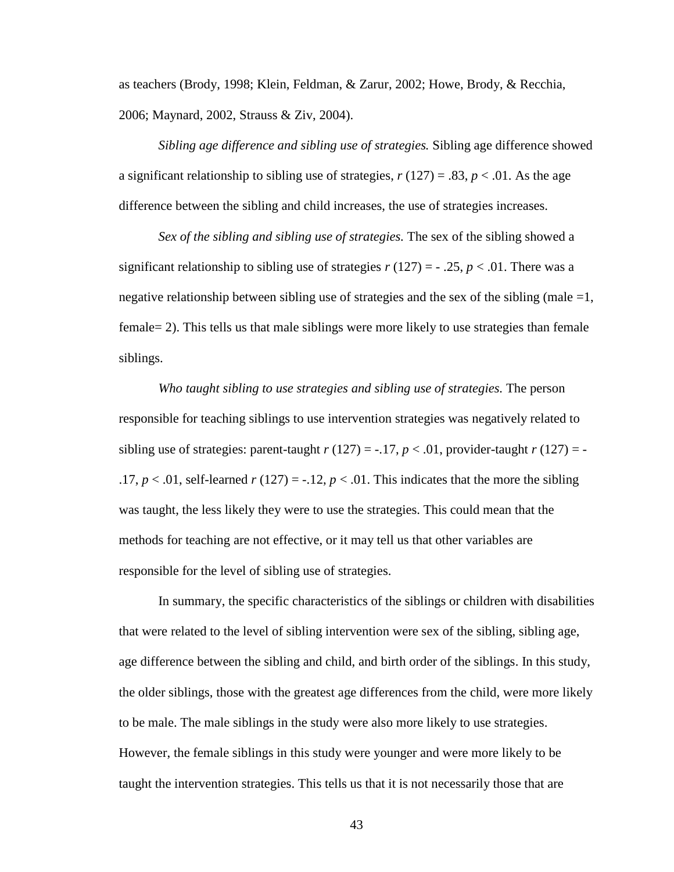as teachers (Brody, 1998; Klein, Feldman, & Zarur, 2002; Howe, Brody, & Recchia, 2006; Maynard, 2002, Strauss & Ziv, 2004).

*Sibling age difference and sibling use of strategies.* Sibling age difference showed a significant relationship to sibling use of strategies,  $r(127) = .83$ ,  $p < .01$ . As the age difference between the sibling and child increases, the use of strategies increases.

*Sex of the sibling and sibling use of strategies.* The sex of the sibling showed a significant relationship to sibling use of strategies  $r(127) = -0.25$ ,  $p < 0.01$ . There was a negative relationship between sibling use of strategies and the sex of the sibling (male  $=1$ , female= 2). This tells us that male siblings were more likely to use strategies than female siblings.

*Who taught sibling to use strategies and sibling use of strategies.* The person responsible for teaching siblings to use intervention strategies was negatively related to sibling use of strategies: parent-taught  $r(127) = -.17$ ,  $p < .01$ , provider-taught  $r(127) = -$ .17,  $p < 0.01$ , self-learned  $r(127) = -0.12$ ,  $p < 0.01$ . This indicates that the more the sibling was taught, the less likely they were to use the strategies. This could mean that the methods for teaching are not effective, or it may tell us that other variables are responsible for the level of sibling use of strategies.

In summary, the specific characteristics of the siblings or children with disabilities that were related to the level of sibling intervention were sex of the sibling, sibling age, age difference between the sibling and child, and birth order of the siblings. In this study, the older siblings, those with the greatest age differences from the child, were more likely to be male. The male siblings in the study were also more likely to use strategies. However, the female siblings in this study were younger and were more likely to be taught the intervention strategies. This tells us that it is not necessarily those that are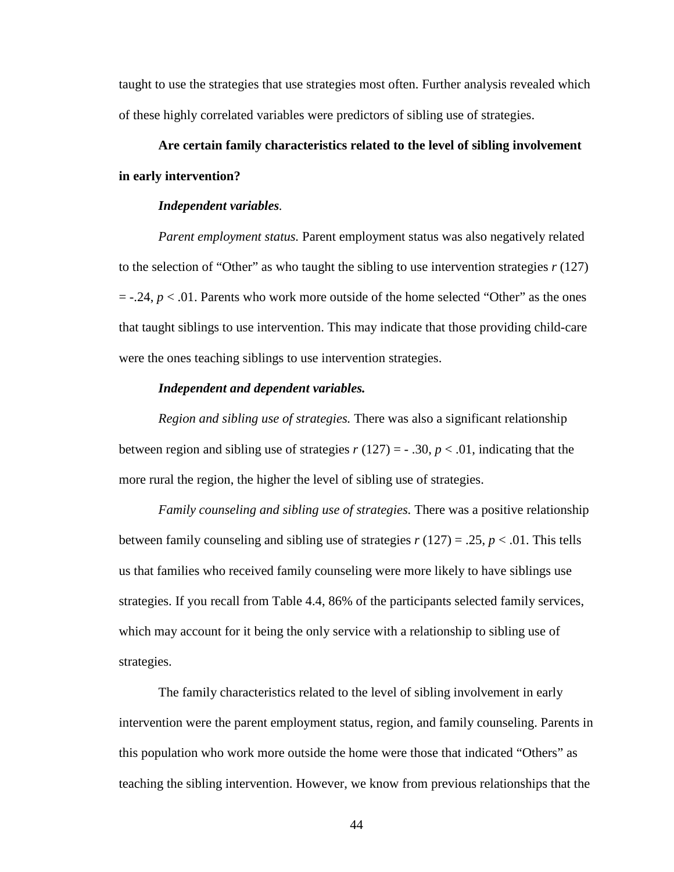taught to use the strategies that use strategies most often. Further analysis revealed which of these highly correlated variables were predictors of sibling use of strategies.

# **Are certain family characteristics related to the level of sibling involvement in early intervention?**

#### *Independent variables.*

*Parent employment status.* Parent employment status was also negatively related to the selection of "Other" as who taught the sibling to use intervention strategies *r* (127)  $=$  -.24,  $p < 0.01$ . Parents who work more outside of the home selected "Other" as the ones that taught siblings to use intervention. This may indicate that those providing child-care were the ones teaching siblings to use intervention strategies.

#### *Independent and dependent variables.*

*Region and sibling use of strategies.* There was also a significant relationship between region and sibling use of strategies  $r(127) = -0.30$ ,  $p < 0.01$ , indicating that the more rural the region, the higher the level of sibling use of strategies.

*Family counseling and sibling use of strategies.* There was a positive relationship between family counseling and sibling use of strategies  $r(127) = .25$ ,  $p < .01$ . This tells us that families who received family counseling were more likely to have siblings use strategies. If you recall from Table 4.4, 86% of the participants selected family services, which may account for it being the only service with a relationship to sibling use of strategies.

The family characteristics related to the level of sibling involvement in early intervention were the parent employment status, region, and family counseling. Parents in this population who work more outside the home were those that indicated "Others" as teaching the sibling intervention. However, we know from previous relationships that the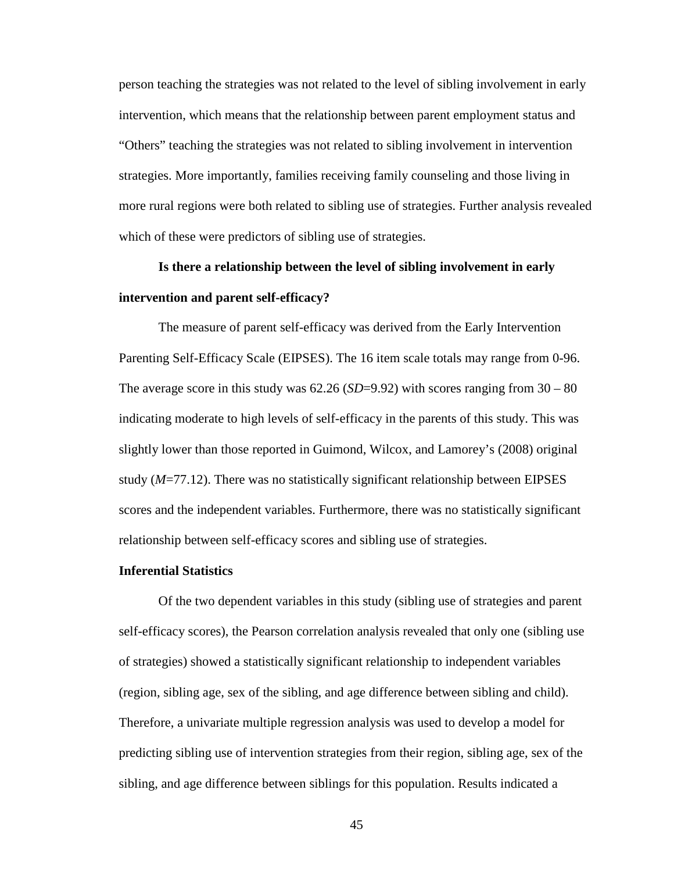person teaching the strategies was not related to the level of sibling involvement in early intervention, which means that the relationship between parent employment status and "Others" teaching the strategies was not related to sibling involvement in intervention strategies. More importantly, families receiving family counseling and those living in more rural regions were both related to sibling use of strategies. Further analysis revealed which of these were predictors of sibling use of strategies.

# **Is there a relationship between the level of sibling involvement in early intervention and parent self-efficacy?**

The measure of parent self-efficacy was derived from the Early Intervention Parenting Self-Efficacy Scale (EIPSES). The 16 item scale totals may range from 0-96. The average score in this study was  $62.26$  (*SD*=9.92) with scores ranging from  $30 - 80$ indicating moderate to high levels of self-efficacy in the parents of this study. This was slightly lower than those reported in Guimond, Wilcox, and Lamorey's (2008) original study (*M*=77.12). There was no statistically significant relationship between EIPSES scores and the independent variables. Furthermore, there was no statistically significant relationship between self-efficacy scores and sibling use of strategies.

#### **Inferential Statistics**

Of the two dependent variables in this study (sibling use of strategies and parent self-efficacy scores), the Pearson correlation analysis revealed that only one (sibling use of strategies) showed a statistically significant relationship to independent variables (region, sibling age, sex of the sibling, and age difference between sibling and child). Therefore, a univariate multiple regression analysis was used to develop a model for predicting sibling use of intervention strategies from their region, sibling age, sex of the sibling, and age difference between siblings for this population. Results indicated a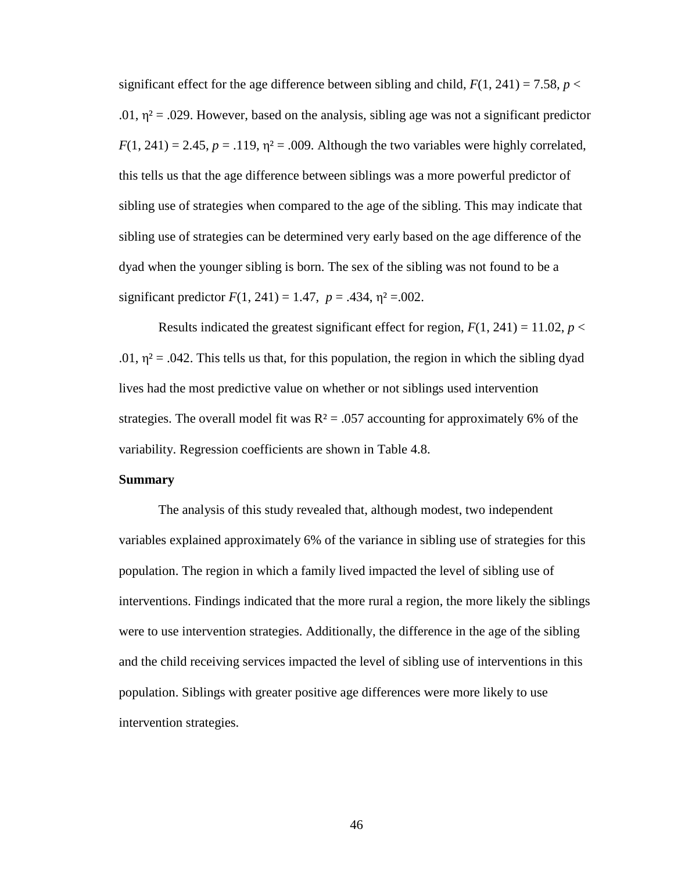significant effect for the age difference between sibling and child,  $F(1, 241) = 7.58$ ,  $p <$ .01,  $\eta^2$  = .029. However, based on the analysis, sibling age was not a significant predictor  $F(1, 241) = 2.45$ ,  $p = .119$ ,  $\eta^2 = .009$ . Although the two variables were highly correlated, this tells us that the age difference between siblings was a more powerful predictor of sibling use of strategies when compared to the age of the sibling. This may indicate that sibling use of strategies can be determined very early based on the age difference of the dyad when the younger sibling is born. The sex of the sibling was not found to be a significant predictor  $F(1, 241) = 1.47$ ,  $p = .434$ ,  $\eta^2 = .002$ .

Results indicated the greatest significant effect for region,  $F(1, 241) = 11.02$ ,  $p <$ .01,  $\eta^2$  = .042. This tells us that, for this population, the region in which the sibling dyad lives had the most predictive value on whether or not siblings used intervention strategies. The overall model fit was  $R^2 = .057$  accounting for approximately 6% of the variability. Regression coefficients are shown in Table 4.8.

#### **Summary**

The analysis of this study revealed that, although modest, two independent variables explained approximately 6% of the variance in sibling use of strategies for this population. The region in which a family lived impacted the level of sibling use of interventions. Findings indicated that the more rural a region, the more likely the siblings were to use intervention strategies. Additionally, the difference in the age of the sibling and the child receiving services impacted the level of sibling use of interventions in this population. Siblings with greater positive age differences were more likely to use intervention strategies.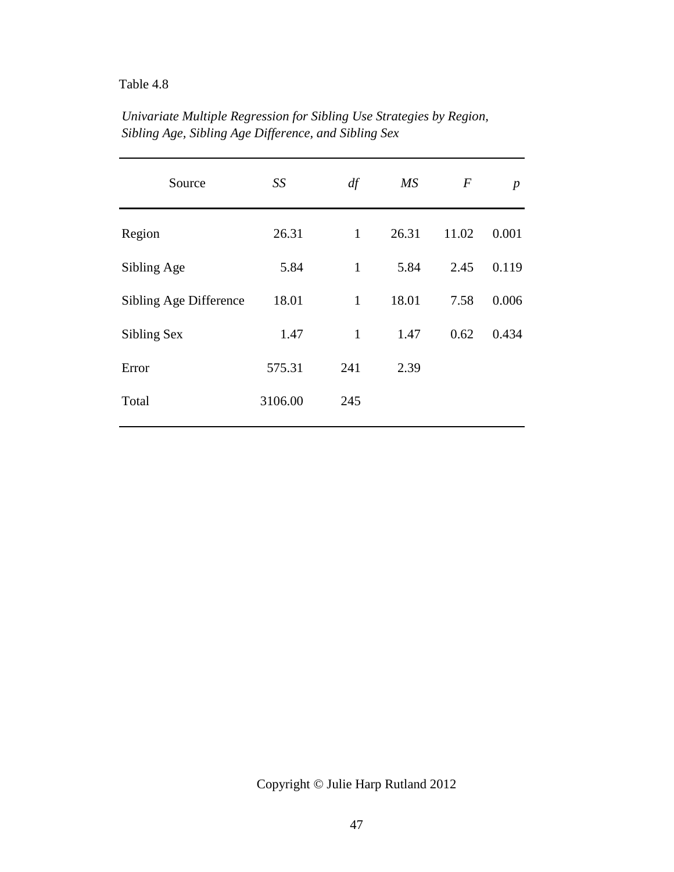| Source                 | SS      | df           | $\overline{MS}$ | $\boldsymbol{F}$ | $\boldsymbol{p}$ |
|------------------------|---------|--------------|-----------------|------------------|------------------|
| Region                 | 26.31   | $\mathbf{1}$ | 26.31           | 11.02            | 0.001            |
| Sibling Age            | 5.84    | $\mathbf{1}$ | 5.84            | 2.45             | 0.119            |
| Sibling Age Difference | 18.01   | $\mathbf{1}$ | 18.01           | 7.58             | 0.006            |
| Sibling Sex            | 1.47    | $\mathbf{1}$ | 1.47            | 0.62             | 0.434            |
| Error                  | 575.31  | 241          | 2.39            |                  |                  |
| Total                  | 3106.00 | 245          |                 |                  |                  |
|                        |         |              |                 |                  |                  |

*Univariate Multiple Regression for Sibling Use Strategies by Region, Sibling Age, Sibling Age Difference, and Sibling Sex*

Copyright © Julie Harp Rutland 2012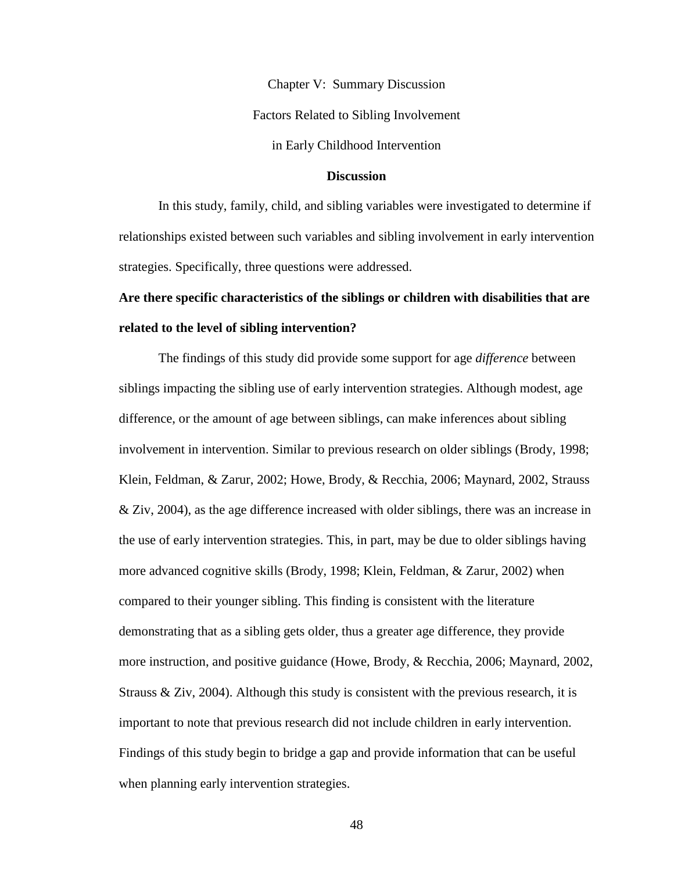Chapter V: Summary Discussion Factors Related to Sibling Involvement

in Early Childhood Intervention

# **Discussion**

In this study, family, child, and sibling variables were investigated to determine if relationships existed between such variables and sibling involvement in early intervention strategies. Specifically, three questions were addressed.

# **Are there specific characteristics of the siblings or children with disabilities that are related to the level of sibling intervention?**

The findings of this study did provide some support for age *difference* between siblings impacting the sibling use of early intervention strategies. Although modest, age difference, or the amount of age between siblings, can make inferences about sibling involvement in intervention. Similar to previous research on older siblings (Brody, 1998; Klein, Feldman, & Zarur, 2002; Howe, Brody, & Recchia, 2006; Maynard, 2002, Strauss  $\&$  Ziv, 2004), as the age difference increased with older siblings, there was an increase in the use of early intervention strategies. This, in part, may be due to older siblings having more advanced cognitive skills (Brody, 1998; Klein, Feldman, & Zarur, 2002) when compared to their younger sibling. This finding is consistent with the literature demonstrating that as a sibling gets older, thus a greater age difference, they provide more instruction, and positive guidance (Howe, Brody, & Recchia, 2006; Maynard, 2002, Strauss  $\&$  Ziv, 2004). Although this study is consistent with the previous research, it is important to note that previous research did not include children in early intervention. Findings of this study begin to bridge a gap and provide information that can be useful when planning early intervention strategies.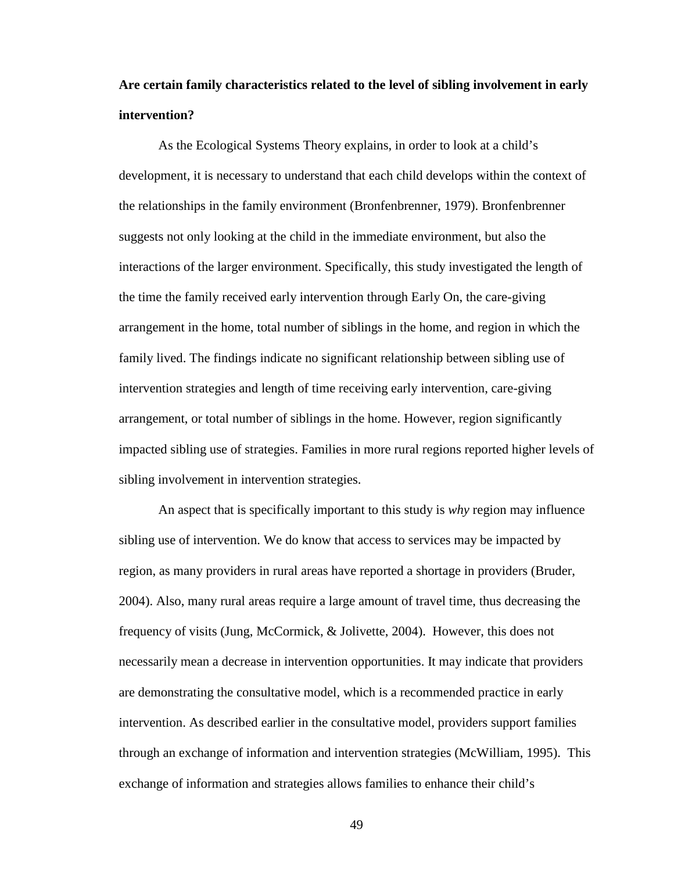# **Are certain family characteristics related to the level of sibling involvement in early intervention?**

As the Ecological Systems Theory explains, in order to look at a child's development, it is necessary to understand that each child develops within the context of the relationships in the family environment (Bronfenbrenner, 1979). Bronfenbrenner suggests not only looking at the child in the immediate environment, but also the interactions of the larger environment. Specifically, this study investigated the length of the time the family received early intervention through Early On, the care-giving arrangement in the home, total number of siblings in the home, and region in which the family lived. The findings indicate no significant relationship between sibling use of intervention strategies and length of time receiving early intervention, care-giving arrangement, or total number of siblings in the home. However, region significantly impacted sibling use of strategies. Families in more rural regions reported higher levels of sibling involvement in intervention strategies.

An aspect that is specifically important to this study is *why* region may influence sibling use of intervention. We do know that access to services may be impacted by region, as many providers in rural areas have reported a shortage in providers (Bruder, 2004). Also, many rural areas require a large amount of travel time, thus decreasing the frequency of visits (Jung, McCormick, & Jolivette, 2004). However, this does not necessarily mean a decrease in intervention opportunities. It may indicate that providers are demonstrating the consultative model, which is a recommended practice in early intervention. As described earlier in the consultative model, providers support families through an exchange of information and intervention strategies (McWilliam, 1995). This exchange of information and strategies allows families to enhance their child's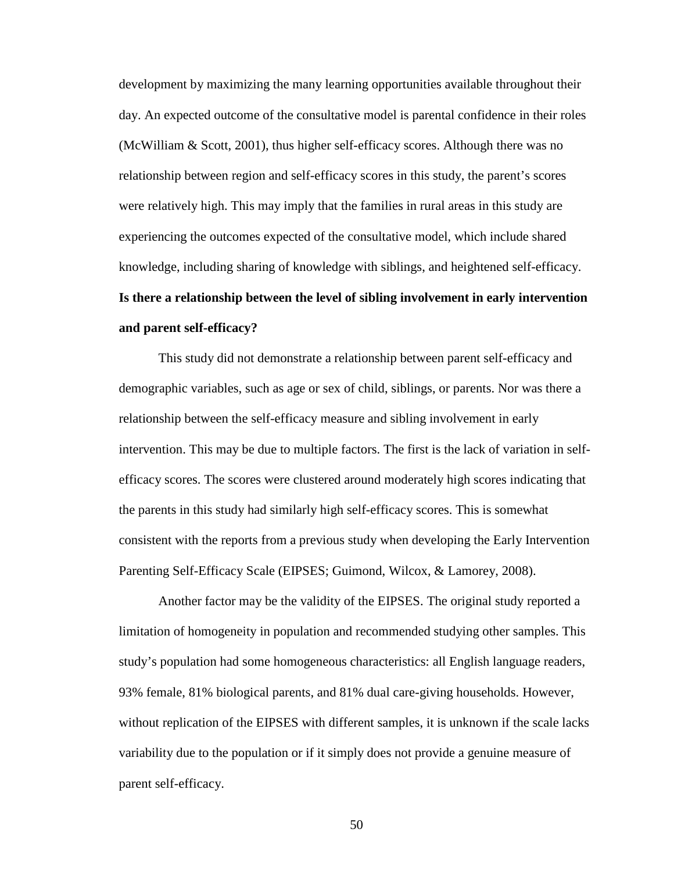development by maximizing the many learning opportunities available throughout their day. An expected outcome of the consultative model is parental confidence in their roles (McWilliam & Scott, 2001), thus higher self-efficacy scores. Although there was no relationship between region and self-efficacy scores in this study, the parent's scores were relatively high. This may imply that the families in rural areas in this study are experiencing the outcomes expected of the consultative model, which include shared knowledge, including sharing of knowledge with siblings, and heightened self-efficacy. **Is there a relationship between the level of sibling involvement in early intervention and parent self-efficacy?** 

This study did not demonstrate a relationship between parent self-efficacy and demographic variables, such as age or sex of child, siblings, or parents. Nor was there a relationship between the self-efficacy measure and sibling involvement in early intervention. This may be due to multiple factors. The first is the lack of variation in selfefficacy scores. The scores were clustered around moderately high scores indicating that the parents in this study had similarly high self-efficacy scores. This is somewhat consistent with the reports from a previous study when developing the Early Intervention Parenting Self-Efficacy Scale (EIPSES; Guimond, Wilcox, & Lamorey, 2008).

Another factor may be the validity of the EIPSES. The original study reported a limitation of homogeneity in population and recommended studying other samples. This study's population had some homogeneous characteristics: all English language readers, 93% female, 81% biological parents, and 81% dual care-giving households. However, without replication of the EIPSES with different samples, it is unknown if the scale lacks variability due to the population or if it simply does not provide a genuine measure of parent self-efficacy.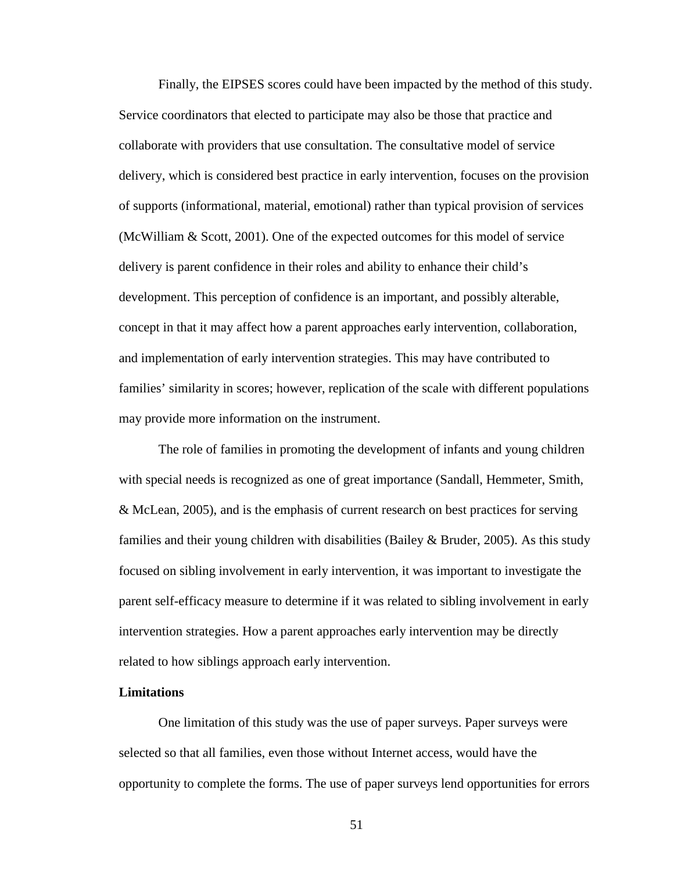Finally, the EIPSES scores could have been impacted by the method of this study. Service coordinators that elected to participate may also be those that practice and collaborate with providers that use consultation. The consultative model of service delivery, which is considered best practice in early intervention, focuses on the provision of supports (informational, material, emotional) rather than typical provision of services (McWilliam & Scott, 2001). One of the expected outcomes for this model of service delivery is parent confidence in their roles and ability to enhance their child's development. This perception of confidence is an important, and possibly alterable, concept in that it may affect how a parent approaches early intervention, collaboration, and implementation of early intervention strategies. This may have contributed to families' similarity in scores; however, replication of the scale with different populations may provide more information on the instrument.

The role of families in promoting the development of infants and young children with special needs is recognized as one of great importance (Sandall, Hemmeter, Smith, & McLean, 2005), and is the emphasis of current research on best practices for serving families and their young children with disabilities (Bailey & Bruder, 2005). As this study focused on sibling involvement in early intervention, it was important to investigate the parent self-efficacy measure to determine if it was related to sibling involvement in early intervention strategies. How a parent approaches early intervention may be directly related to how siblings approach early intervention.

#### **Limitations**

One limitation of this study was the use of paper surveys. Paper surveys were selected so that all families, even those without Internet access, would have the opportunity to complete the forms. The use of paper surveys lend opportunities for errors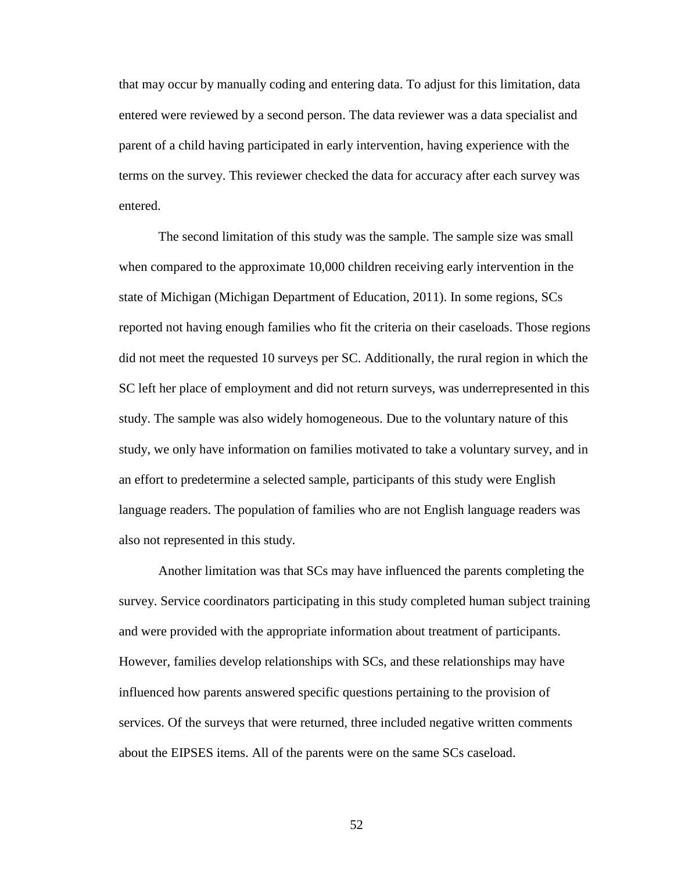that may occur by manually coding and entering data. To adjust for this limitation, data entered were reviewed by a second person. The data reviewer was a data specialist and parent of a child having participated in early intervention, having experience with the terms on the survey. This reviewer checked the data for accuracy after each survey was entered.

The second limitation of this study was the sample. The sample size was small when compared to the approximate 10,000 children receiving early intervention in the state of Michigan (Michigan Department of Education, 2011). In some regions, SCs reported not having enough families who fit the criteria on their caseloads. Those regions did not meet the requested 10 surveys per SC. Additionally, the rural region in which the SC left her place of employment and did not return surveys, was underrepresented in this study. The sample was also widely homogeneous. Due to the voluntary nature of this study, we only have information on families motivated to take a voluntary survey, and in an effort to predetermine a selected sample, participants of this study were English language readers. The population of families who are not English language readers was also not represented in this study.

Another limitation was that SCs may have influenced the parents completing the survey. Service coordinators participating in this study completed human subject training and were provided with the appropriate information about treatment of participants. However, families develop relationships with SCs, and these relationships may have influenced how parents answered specific questions pertaining to the provision of services. Of the surveys that were returned, three included negative written comments about the EIPSES items. All of the parents were on the same SCs caseload.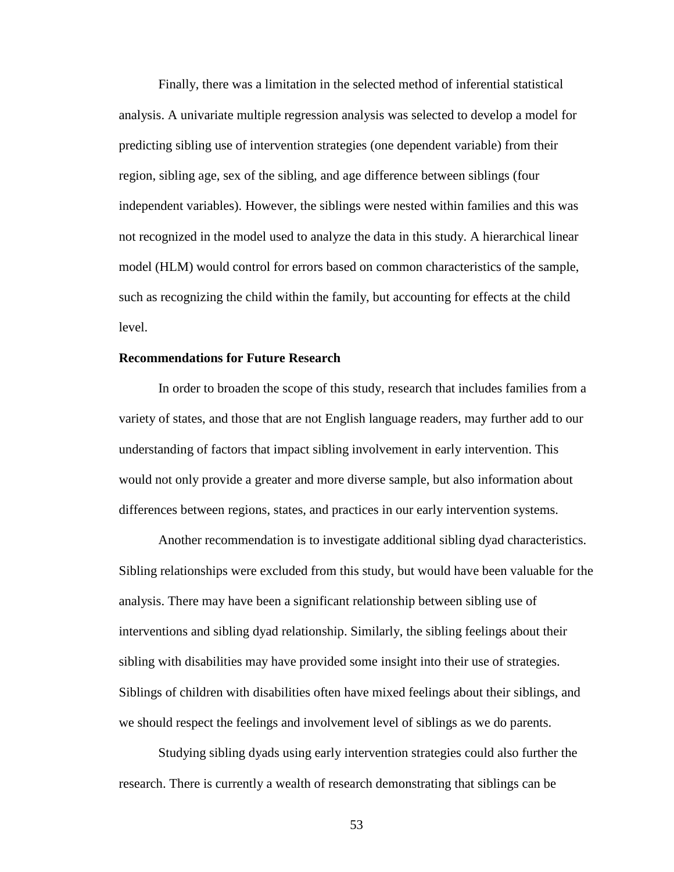Finally, there was a limitation in the selected method of inferential statistical analysis. A univariate multiple regression analysis was selected to develop a model for predicting sibling use of intervention strategies (one dependent variable) from their region, sibling age, sex of the sibling, and age difference between siblings (four independent variables). However, the siblings were nested within families and this was not recognized in the model used to analyze the data in this study. A hierarchical linear model (HLM) would control for errors based on common characteristics of the sample, such as recognizing the child within the family, but accounting for effects at the child level.

#### **Recommendations for Future Research**

In order to broaden the scope of this study, research that includes families from a variety of states, and those that are not English language readers, may further add to our understanding of factors that impact sibling involvement in early intervention. This would not only provide a greater and more diverse sample, but also information about differences between regions, states, and practices in our early intervention systems.

Another recommendation is to investigate additional sibling dyad characteristics. Sibling relationships were excluded from this study, but would have been valuable for the analysis. There may have been a significant relationship between sibling use of interventions and sibling dyad relationship. Similarly, the sibling feelings about their sibling with disabilities may have provided some insight into their use of strategies. Siblings of children with disabilities often have mixed feelings about their siblings, and we should respect the feelings and involvement level of siblings as we do parents.

Studying sibling dyads using early intervention strategies could also further the research. There is currently a wealth of research demonstrating that siblings can be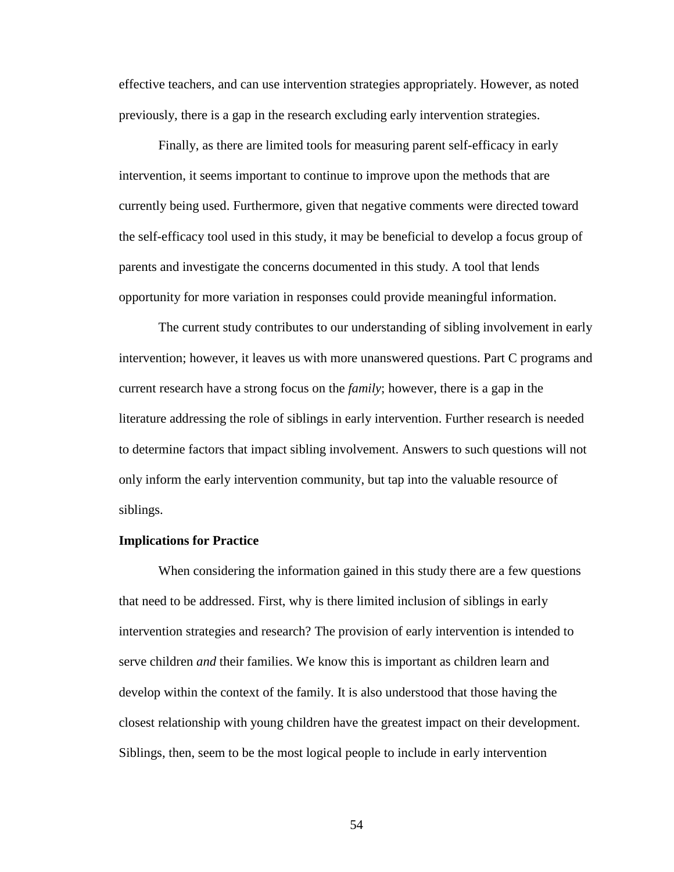effective teachers, and can use intervention strategies appropriately. However, as noted previously, there is a gap in the research excluding early intervention strategies.

Finally, as there are limited tools for measuring parent self-efficacy in early intervention, it seems important to continue to improve upon the methods that are currently being used. Furthermore, given that negative comments were directed toward the self-efficacy tool used in this study, it may be beneficial to develop a focus group of parents and investigate the concerns documented in this study. A tool that lends opportunity for more variation in responses could provide meaningful information.

 The current study contributes to our understanding of sibling involvement in early intervention; however, it leaves us with more unanswered questions. Part C programs and current research have a strong focus on the *family*; however, there is a gap in the literature addressing the role of siblings in early intervention. Further research is needed to determine factors that impact sibling involvement. Answers to such questions will not only inform the early intervention community, but tap into the valuable resource of siblings.

#### **Implications for Practice**

When considering the information gained in this study there are a few questions that need to be addressed. First, why is there limited inclusion of siblings in early intervention strategies and research? The provision of early intervention is intended to serve children *and* their families. We know this is important as children learn and develop within the context of the family. It is also understood that those having the closest relationship with young children have the greatest impact on their development. Siblings, then, seem to be the most logical people to include in early intervention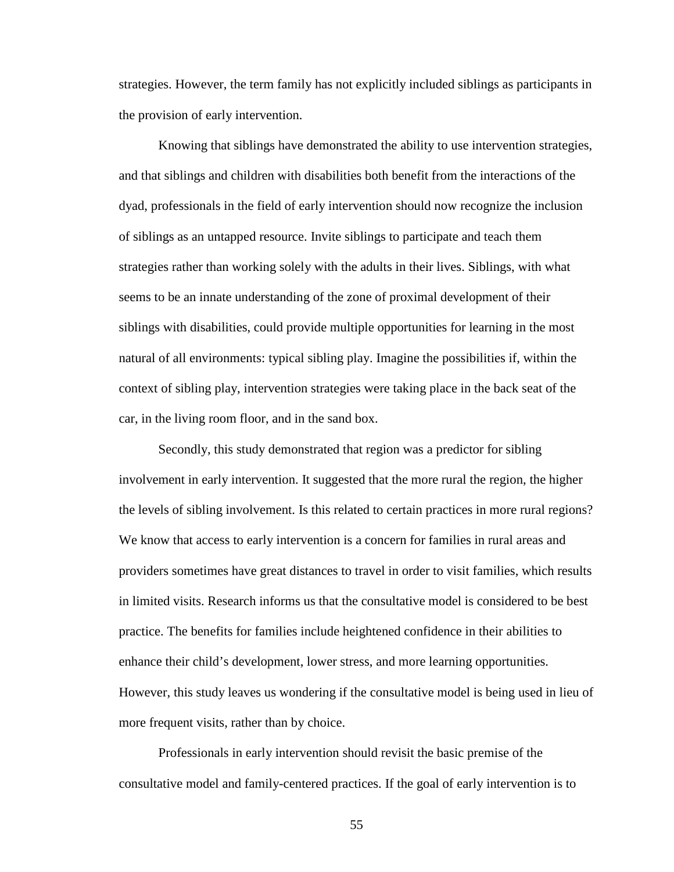strategies. However, the term family has not explicitly included siblings as participants in the provision of early intervention.

Knowing that siblings have demonstrated the ability to use intervention strategies, and that siblings and children with disabilities both benefit from the interactions of the dyad, professionals in the field of early intervention should now recognize the inclusion of siblings as an untapped resource. Invite siblings to participate and teach them strategies rather than working solely with the adults in their lives. Siblings, with what seems to be an innate understanding of the zone of proximal development of their siblings with disabilities, could provide multiple opportunities for learning in the most natural of all environments: typical sibling play. Imagine the possibilities if, within the context of sibling play, intervention strategies were taking place in the back seat of the car, in the living room floor, and in the sand box.

Secondly, this study demonstrated that region was a predictor for sibling involvement in early intervention. It suggested that the more rural the region, the higher the levels of sibling involvement. Is this related to certain practices in more rural regions? We know that access to early intervention is a concern for families in rural areas and providers sometimes have great distances to travel in order to visit families, which results in limited visits. Research informs us that the consultative model is considered to be best practice. The benefits for families include heightened confidence in their abilities to enhance their child's development, lower stress, and more learning opportunities. However, this study leaves us wondering if the consultative model is being used in lieu of more frequent visits, rather than by choice.

Professionals in early intervention should revisit the basic premise of the consultative model and family-centered practices. If the goal of early intervention is to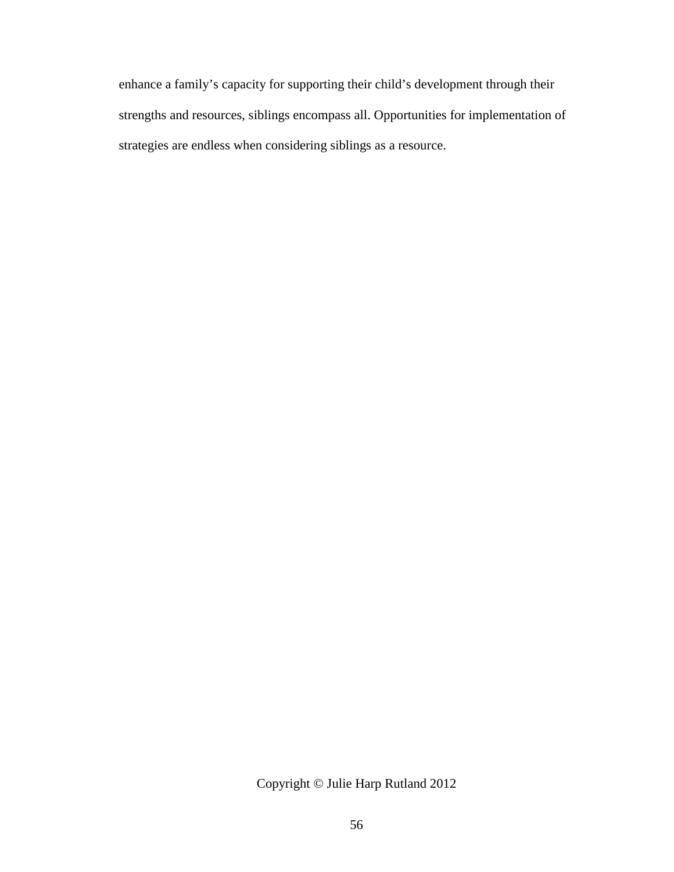enhance a family's capacity for supporting their child's development through their strengths and resources, siblings encompass all. Opportunities for implementation of strategies are endless when considering siblings as a resource.

Copyright © Julie Harp Rutland 2012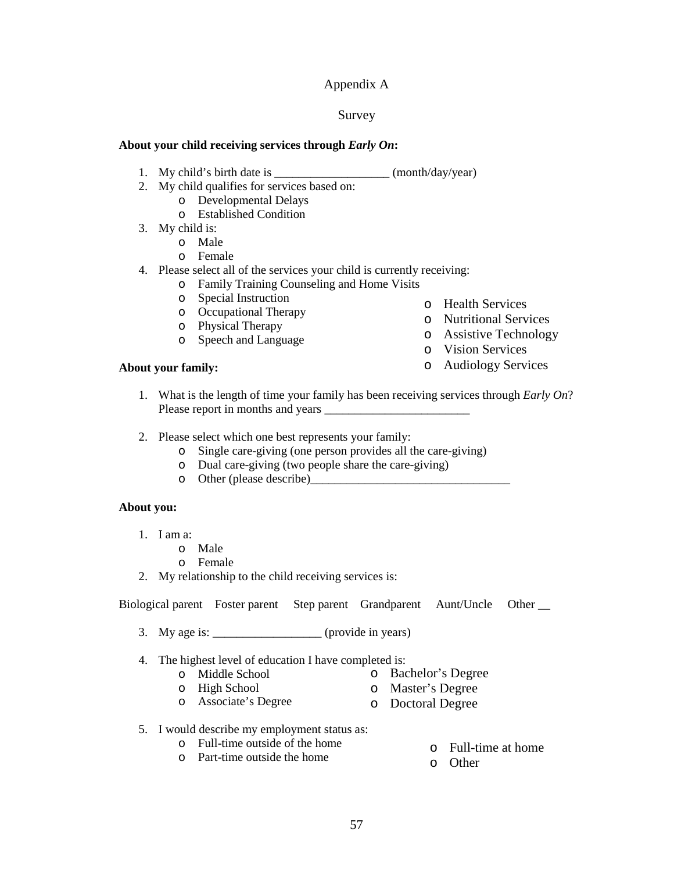## Appendix A

#### Survey

#### **About your child receiving services through** *Early On***:**

- 1. My child's birth date is \_\_\_\_\_\_\_\_\_\_\_\_\_\_\_\_\_\_\_ (month/day/year)
- 2. My child qualifies for services based on:
	- o Developmental Delays
	- o Established Condition
- 3. My child is:
	- o Male
	- o Female
- 4. Please select all of the services your child is currently receiving:
	- o Family Training Counseling and Home Visits
	- o Special Instruction
	- o Occupational Therapy
	- o Physical Therapy
	- o Speech and Language
- **About your family:**
- o Health Services
- o Nutritional Services
- o Assistive Technology
	- o Vision Services
	- o Audiology Services
- 1. What is the length of time your family has been receiving services through *Early On*? Please report in months and years \_\_\_\_\_\_\_\_\_\_\_\_\_\_\_\_\_\_\_\_\_\_\_\_
- 2. Please select which one best represents your family:
	- o Single care-giving (one person provides all the care-giving)
	- o Dual care-giving (two people share the care-giving)
	- o Other (please describe)

#### **About you:**

- 1. I am a:
	- o Male
	- o Female
- 2. My relationship to the child receiving services is:

Biological parent Foster parent Step parent Grandparent Aunt/Uncle Other \_\_

3. My age is:  $\frac{1}{2}$  (provide in years)

4. The highest level of education I have completed is:<br>  $\sim$  Middle School  $\sim$  Bac

- o Middle School
- o Bachelor's Degree
- o High School
- o Master's Degree
- o Associate's Degree o Doctoral Degree
- 5. I would describe my employment status as:
	- o Full-time outside of the home o Part-time outside the home
- o Full-time at home
- o Other
- 57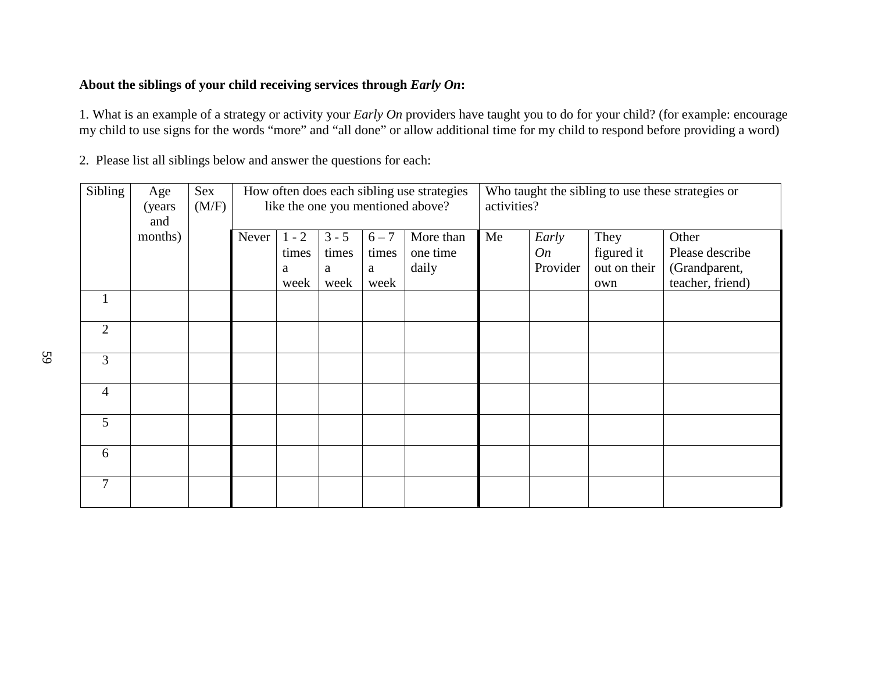# **About the siblings of your child receiving services through** *Early On***:**

1. What is an example of a strategy or activity your *Early On* providers have taught you to do for your child? (for example: encourage my child to use signs for the words "more" and "all done" or allow additional time for my child to respond before providing a word)

| Sibling        | Age<br>(years)<br>and | Sex<br>(M/F) | How often does each sibling use strategies<br>like the one you mentioned above? |                  |                  |                  | activities?           |    |             | Who taught the sibling to use these strategies or |                                   |
|----------------|-----------------------|--------------|---------------------------------------------------------------------------------|------------------|------------------|------------------|-----------------------|----|-------------|---------------------------------------------------|-----------------------------------|
|                | months)               |              | Never                                                                           | $1 - 2$<br>times | $3 - 5$<br>times | $6 - 7$<br>times | More than<br>one time | Me | Early<br>On | They<br>figured it                                | Other<br>Please describe          |
|                |                       |              |                                                                                 | a<br>week        | a<br>week        | a<br>week        | daily                 |    | Provider    | out on their<br>own                               | (Grandparent,<br>teacher, friend) |
|                |                       |              |                                                                                 |                  |                  |                  |                       |    |             |                                                   |                                   |
| $\overline{2}$ |                       |              |                                                                                 |                  |                  |                  |                       |    |             |                                                   |                                   |
| 3              |                       |              |                                                                                 |                  |                  |                  |                       |    |             |                                                   |                                   |
| $\overline{4}$ |                       |              |                                                                                 |                  |                  |                  |                       |    |             |                                                   |                                   |
| 5              |                       |              |                                                                                 |                  |                  |                  |                       |    |             |                                                   |                                   |
| 6              |                       |              |                                                                                 |                  |                  |                  |                       |    |             |                                                   |                                   |
| 7              |                       |              |                                                                                 |                  |                  |                  |                       |    |             |                                                   |                                   |

2. Please list all siblings below and answer the questions for each: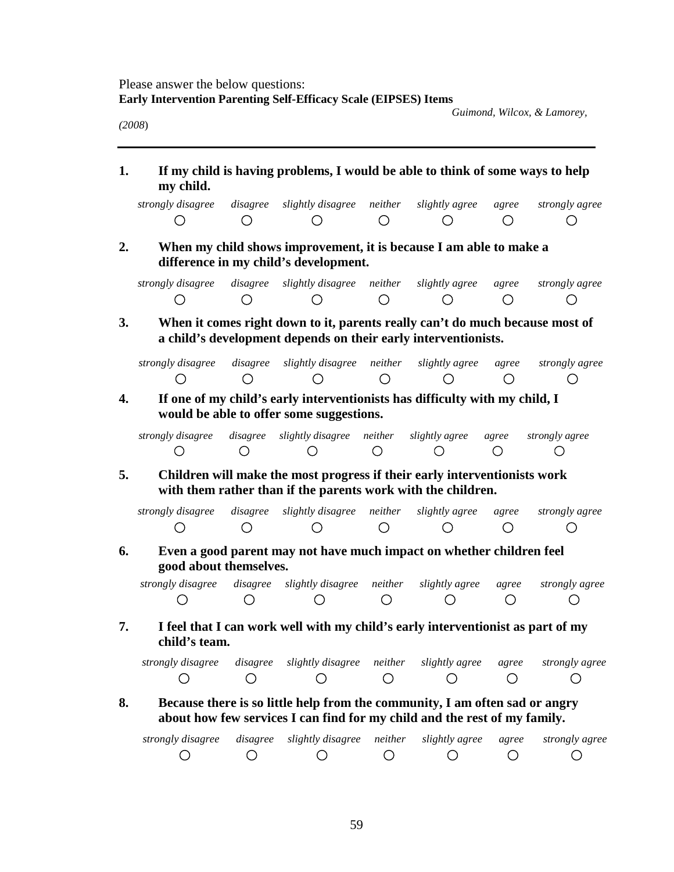Please answer the below questions: **Early Intervention Parenting Self-Efficacy Scale (EIPSES) Items**

 *Guimond, Wilcox, & Lamorey,* 

*(2008*)

**1. If my child is having problems, I would be able to think of some ways to help my child.** 

| strongly disagree disagree slightly disagree neither slightly agree agree strongly agree |  |  |  |
|------------------------------------------------------------------------------------------|--|--|--|
|                                                                                          |  |  |  |

**2. When my child shows improvement, it is because I am able to make a difference in my child's development.** 

| strongly disagree disagree slightly disagree neither slightly agree agree strongly agree |  |  |  |
|------------------------------------------------------------------------------------------|--|--|--|
|                                                                                          |  |  |  |

**3. When it comes right down to it, parents really can't do much because most of a child's development depends on their early interventionists.** 

| strongly disagree disagree slightly disagree neither slightly agree agree strongly agree |  |  |  |
|------------------------------------------------------------------------------------------|--|--|--|
|                                                                                          |  |  |  |

**4. If one of my child's early interventionists has difficulty with my child, I would be able to offer some suggestions.** 

| strongly disagree disagree slightly disagree neither slightly agree agree strongly agree |  |  |  |
|------------------------------------------------------------------------------------------|--|--|--|
|                                                                                          |  |  |  |

**5. Children will make the most progress if their early interventionists work with them rather than if the parents work with the children.** 

| strongly disagree disagree slightly disagree neither slightly agree agree strongly agree |  |  |  |
|------------------------------------------------------------------------------------------|--|--|--|
|                                                                                          |  |  |  |

**6. Even a good parent may not have much impact on whether children feel good about themselves.** 

*strongly disagree disagree slightly disagree neither slightly agree agree strongly agree*  $\bigcirc$  $\bigcirc$  $\bigcirc$  $\bigcirc$  $\bigcirc$  $\bigcirc$  $\bigcirc$ 

**7. I feel that I can work well with my child's early interventionist as part of my child's team.** 

|  | strongly disagree disagree slightly disagree neither slightly agree agree strongly agree |  |  |
|--|------------------------------------------------------------------------------------------|--|--|
|  |                                                                                          |  |  |

# **8. Because there is so little help from the community, I am often sad or angry about how few services I can find for my child and the rest of my family.**

| strongly disagree disagree slightly disagree neither slightly agree agree strongly agree |  |  |  |
|------------------------------------------------------------------------------------------|--|--|--|
|                                                                                          |  |  |  |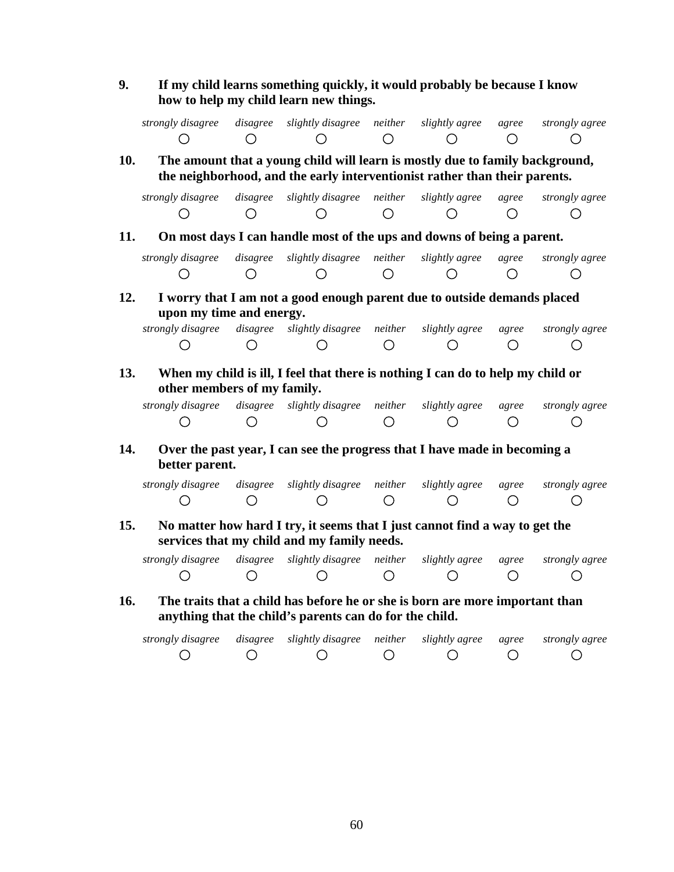**9. If my child learns something quickly, it would probably be because I know how to help my child learn new things.** 

*strongly disagree disagree slightly disagree neither slightly agree agree strongly agree*  $\bigcirc$  $\bigcirc$  $\bigcirc$  $\bigcirc$  $\bigcirc$  $\bigcirc$  $\bigcirc$ 

**10. The amount that a young child will learn is mostly due to family background, the neighborhood, and the early interventionist rather than their parents.** 

| strongly disagree disagree slightly disagree neither slightly agree agree strongly agree |  |  |  |
|------------------------------------------------------------------------------------------|--|--|--|
|                                                                                          |  |  |  |

**11. On most days I can handle most of the ups and downs of being a parent.** 

|  | strongly disagree disagree slightly disagree neither slightly-agree agree strongly-agree |  |  |
|--|------------------------------------------------------------------------------------------|--|--|
|  |                                                                                          |  |  |

**12. I worry that I am not a good enough parent due to outside demands placed upon my time and energy.** 

| strongly disagree disagree slightly disagree neither slightly agree agree strongly agree |  |  |  |
|------------------------------------------------------------------------------------------|--|--|--|
|                                                                                          |  |  |  |

**13. When my child is ill, I feel that there is nothing I can do to help my child or other members of my family.** 

| strongly disagree | disagree slightly disagree neither slightly-agree agree strongly-agree |  |  |
|-------------------|------------------------------------------------------------------------|--|--|
|                   |                                                                        |  |  |

**14. Over the past year, I can see the progress that I have made in becoming a better parent.** 

|  | strongly disagree disagree slightly disagree neither slightly agree agree strongly agree |  |  |
|--|------------------------------------------------------------------------------------------|--|--|
|  |                                                                                          |  |  |

**15. No matter how hard I try, it seems that I just cannot find a way to get the services that my child and my family needs.** 

| strongly disagree | disagree slightly disagree neither slightly-agree agree strongly-agree |  |  |
|-------------------|------------------------------------------------------------------------|--|--|
|                   |                                                                        |  |  |

**16. The traits that a child has before he or she is born are more important than anything that the child's parents can do for the child.** 

| strongly disagree disagree slightly disagree neither slightly agree agree strongly agree |  |  |  |
|------------------------------------------------------------------------------------------|--|--|--|
|                                                                                          |  |  |  |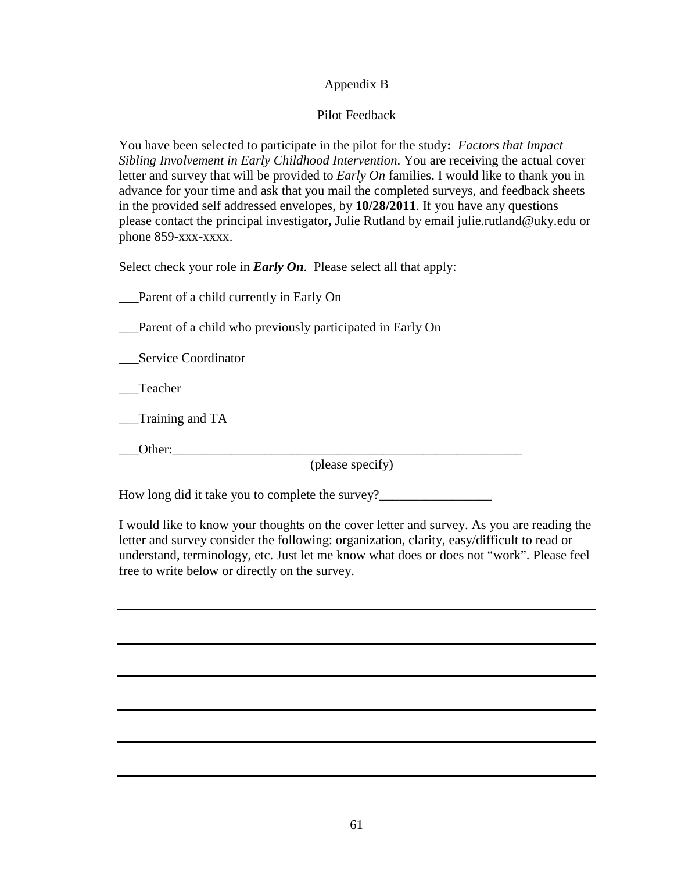# Appendix B

# Pilot Feedback

You have been selected to participate in the pilot for the study**:** *Factors that Impact Sibling Involvement in Early Childhood Intervention*. You are receiving the actual cover letter and survey that will be provided to *Early On* families. I would like to thank you in advance for your time and ask that you mail the completed surveys, and feedback sheets in the provided self addressed envelopes, by **10/28/2011**. If you have any questions please contact the principal investigator**,** Julie Rutland by email julie.rutland@uky.edu or phone 859-xxx-xxxx.

Select check your role in *Early On*. Please select all that apply:

\_\_\_Parent of a child currently in Early On

Parent of a child who previously participated in Early On

\_\_\_Service Coordinator

\_\_\_Teacher

\_\_\_Training and TA

\_\_\_Other:\_\_\_\_\_\_\_\_\_\_\_\_\_\_\_\_\_\_\_\_\_\_\_\_\_\_\_\_\_\_\_\_\_\_\_\_\_\_\_\_\_\_\_\_\_\_\_\_\_\_\_\_\_

(please specify)

How long did it take you to complete the survey?

I would like to know your thoughts on the cover letter and survey. As you are reading the letter and survey consider the following: organization, clarity, easy/difficult to read or understand, terminology, etc. Just let me know what does or does not "work". Please feel free to write below or directly on the survey.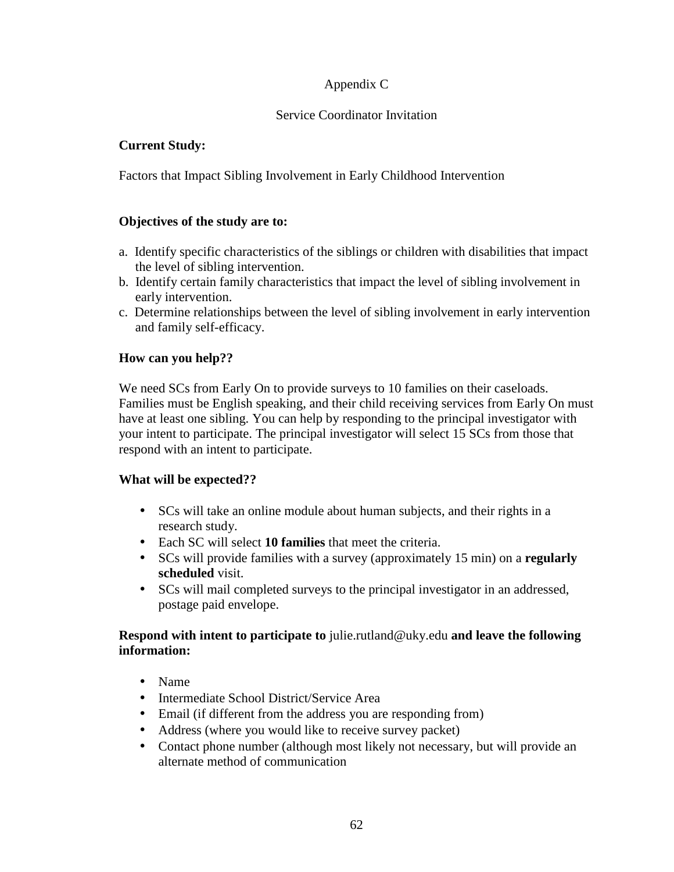# Appendix C

## Service Coordinator Invitation

## **Current Study:**

Factors that Impact Sibling Involvement in Early Childhood Intervention

## **Objectives of the study are to:**

- a. Identify specific characteristics of the siblings or children with disabilities that impact the level of sibling intervention.
- b. Identify certain family characteristics that impact the level of sibling involvement in early intervention.
- c. Determine relationships between the level of sibling involvement in early intervention and family self-efficacy.

# **How can you help??**

We need SCs from Early On to provide surveys to 10 families on their caseloads. Families must be English speaking, and their child receiving services from Early On must have at least one sibling. You can help by responding to the principal investigator with your intent to participate. The principal investigator will select 15 SCs from those that respond with an intent to participate.

## **What will be expected??**

- SCs will take an online module about human subjects, and their rights in a research study.
- Each SC will select **10 families** that meet the criteria.
- SCs will provide families with a survey (approximately 15 min) on a **regularly scheduled** visit.
- SCs will mail completed surveys to the principal investigator in an addressed, postage paid envelope.

## **Respond with intent to participate to** julie.rutland@uky.edu **and leave the following information:**

- Name
- Intermediate School District/Service Area
- Email (if different from the address you are responding from)
- Address (where you would like to receive survey packet)
- Contact phone number (although most likely not necessary, but will provide an alternate method of communication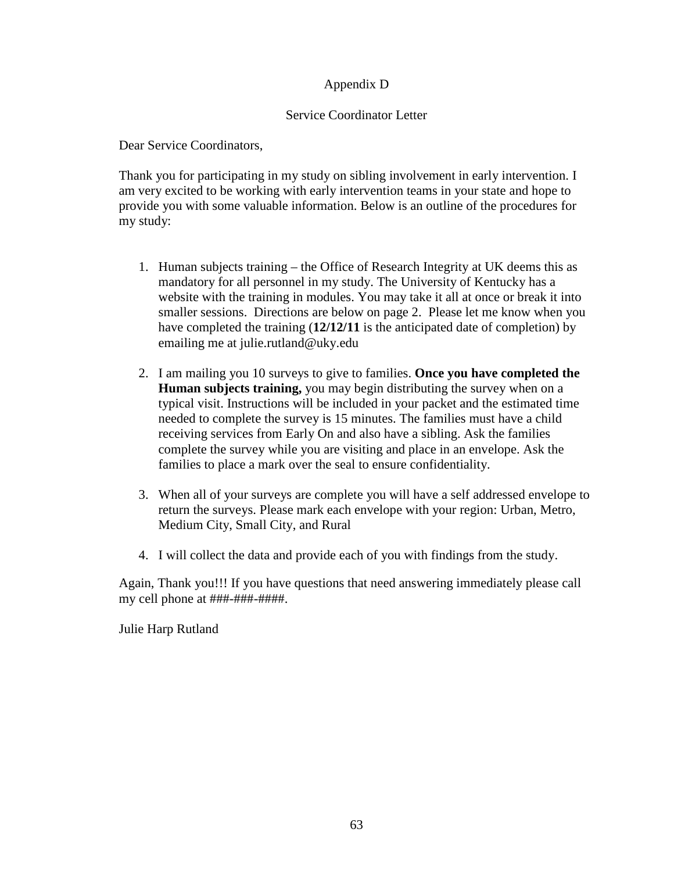# Appendix D

### Service Coordinator Letter

Dear Service Coordinators,

Thank you for participating in my study on sibling involvement in early intervention. I am very excited to be working with early intervention teams in your state and hope to provide you with some valuable information. Below is an outline of the procedures for my study:

- 1. Human subjects training the Office of Research Integrity at UK deems this as mandatory for all personnel in my study. The University of Kentucky has a website with the training in modules. You may take it all at once or break it into smaller sessions. Directions are below on page 2. Please let me know when you have completed the training (**12/12/11** is the anticipated date of completion) by emailing me at julie.rutland@uky.edu
- 2. I am mailing you 10 surveys to give to families. **Once you have completed the Human subjects training,** you may begin distributing the survey when on a typical visit. Instructions will be included in your packet and the estimated time needed to complete the survey is 15 minutes. The families must have a child receiving services from Early On and also have a sibling. Ask the families complete the survey while you are visiting and place in an envelope. Ask the families to place a mark over the seal to ensure confidentiality.
- 3. When all of your surveys are complete you will have a self addressed envelope to return the surveys. Please mark each envelope with your region: Urban, Metro, Medium City, Small City, and Rural
- 4. I will collect the data and provide each of you with findings from the study.

Again, Thank you!!! If you have questions that need answering immediately please call my cell phone at ###-###-####.

Julie Harp Rutland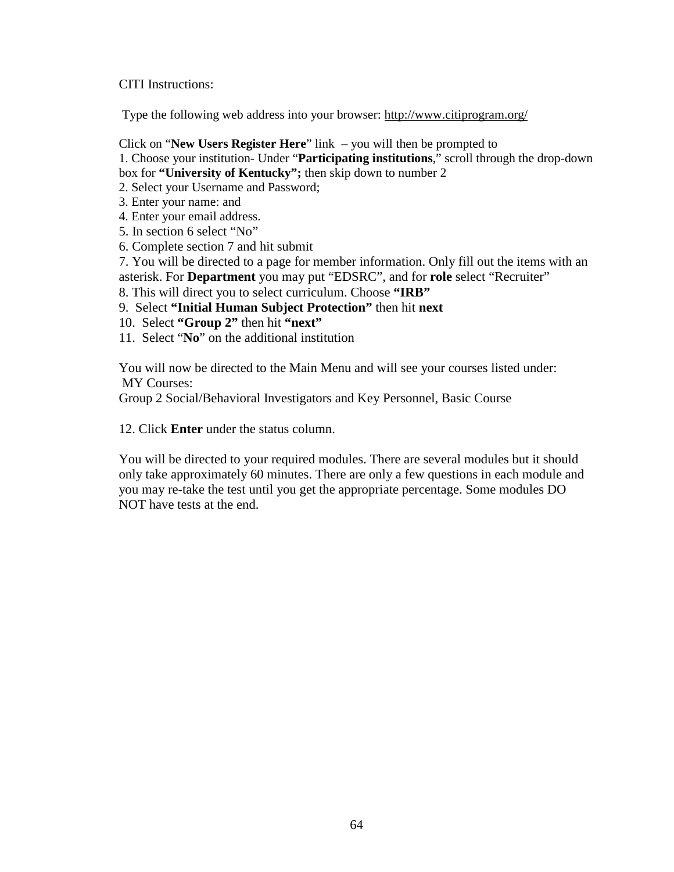CITI Instructions:

Type the following web address into your browser: http://www.citiprogram.org/

Click on "**New Users Register Here**" link – you will then be prompted to

1. Choose your institution- Under "**Participating institutions**," scroll through the drop-down box for **"University of Kentucky";** then skip down to number 2

2. Select your Username and Password;

- 3. Enter your name: and
- 4. Enter your email address.
- 5. In section 6 select "No"
- 6. Complete section 7 and hit submit
- 7. You will be directed to a page for member information. Only fill out the items with an asterisk. For **Department** you may put "EDSRC", and for **role** select "Recruiter"
- 8. This will direct you to select curriculum. Choose **"IRB"**
- 9. Select **"Initial Human Subject Protection"** then hit **next**
- 10. Select **"Group 2"** then hit **"next"**
- 11. Select "**No**" on the additional institution

You will now be directed to the Main Menu and will see your courses listed under: MY Courses:

Group 2 Social/Behavioral Investigators and Key Personnel, Basic Course

12. Click **Enter** under the status column.

You will be directed to your required modules. There are several modules but it should only take approximately 60 minutes. There are only a few questions in each module and you may re-take the test until you get the appropriate percentage. Some modules DO NOT have tests at the end.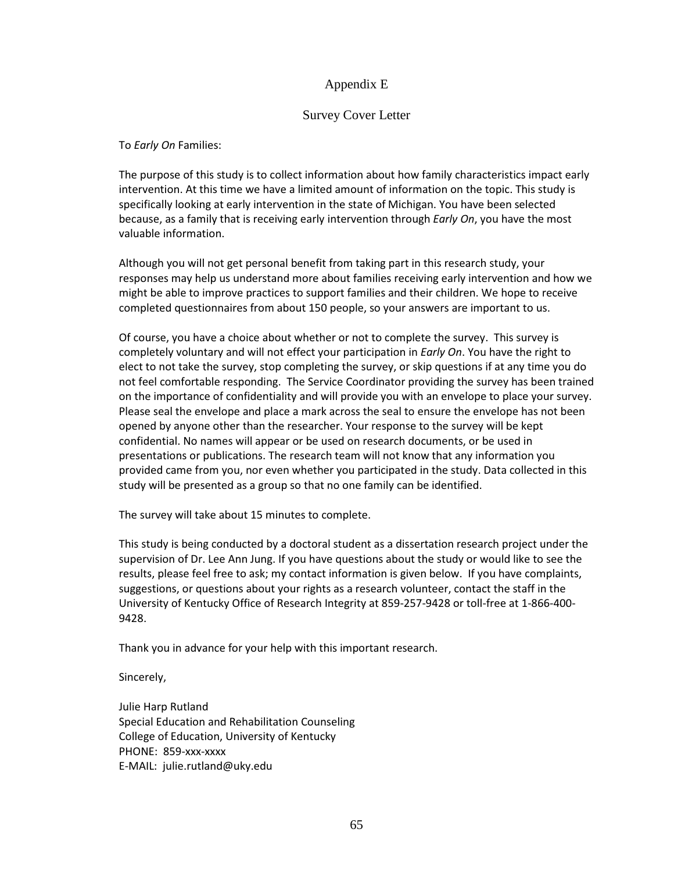### Appendix E

### Survey Cover Letter

To Early On Families:

The purpose of this study is to collect information about how family characteristics impact early intervention. At this time we have a limited amount of information on the topic. This study is specifically looking at early intervention in the state of Michigan. You have been selected because, as a family that is receiving early intervention through Early On, you have the most valuable information.

Although you will not get personal benefit from taking part in this research study, your responses may help us understand more about families receiving early intervention and how we might be able to improve practices to support families and their children. We hope to receive completed questionnaires from about 150 people, so your answers are important to us.

Of course, you have a choice about whether or not to complete the survey. This survey is completely voluntary and will not effect your participation in *Early On*. You have the right to elect to not take the survey, stop completing the survey, or skip questions if at any time you do not feel comfortable responding. The Service Coordinator providing the survey has been trained on the importance of confidentiality and will provide you with an envelope to place your survey. Please seal the envelope and place a mark across the seal to ensure the envelope has not been opened by anyone other than the researcher. Your response to the survey will be kept confidential. No names will appear or be used on research documents, or be used in presentations or publications. The research team will not know that any information you provided came from you, nor even whether you participated in the study. Data collected in this study will be presented as a group so that no one family can be identified.

The survey will take about 15 minutes to complete.

This study is being conducted by a doctoral student as a dissertation research project under the supervision of Dr. Lee Ann Jung. If you have questions about the study or would like to see the results, please feel free to ask; my contact information is given below. If you have complaints, suggestions, or questions about your rights as a research volunteer, contact the staff in the University of Kentucky Office of Research Integrity at 859-257-9428 or toll-free at 1-866-400- 9428.

Thank you in advance for your help with this important research.

Sincerely,

Julie Harp Rutland Special Education and Rehabilitation Counseling College of Education, University of Kentucky PHONE: 859-xxx-xxxx E-MAIL: julie.rutland@uky.edu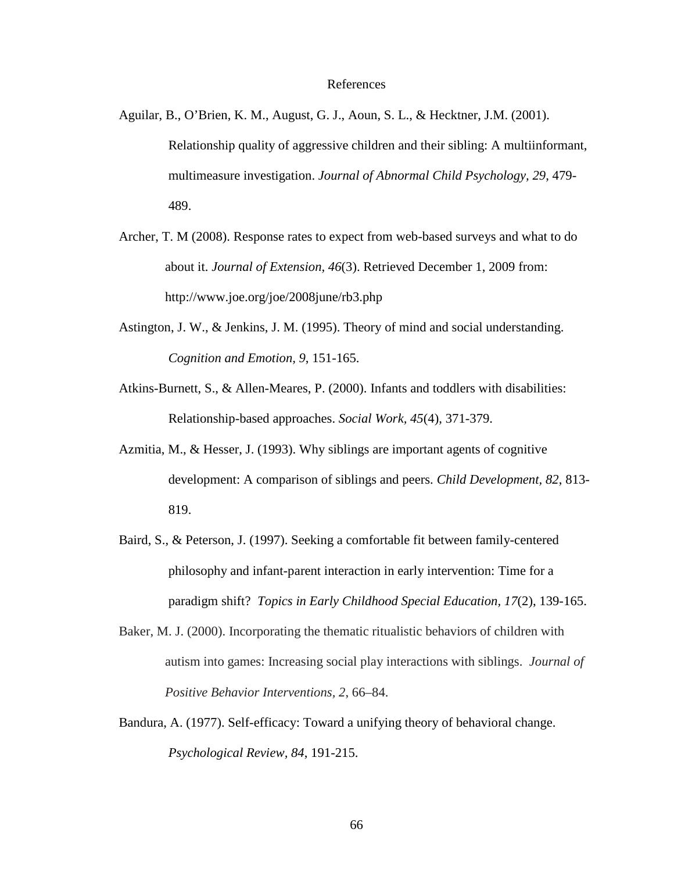#### References

- Aguilar, B., O'Brien, K. M., August, G. J., Aoun, S. L., & Hecktner, J.M. (2001). Relationship quality of aggressive children and their sibling: A multiinformant, multimeasure investigation. *Journal of Abnormal Child Psychology, 29*, 479- 489.
- Archer, T. M (2008). Response rates to expect from web-based surveys and what to do about it. *Journal of Extension, 46*(3). Retrieved December 1, 2009 from: http://www.joe.org/joe/2008june/rb3.php
- Astington, J. W., & Jenkins, J. M. (1995). Theory of mind and social understanding. *Cognition and Emotion, 9*, 151-165.
- Atkins-Burnett, S., & Allen-Meares, P. (2000). Infants and toddlers with disabilities: Relationship-based approaches. *Social Work, 45*(4), 371-379.
- Azmitia, M., & Hesser, J. (1993). Why siblings are important agents of cognitive development: A comparison of siblings and peers. *Child Development, 82*, 813- 819.
- Baird, S., & Peterson, J. (1997). Seeking a comfortable fit between family-centered philosophy and infant-parent interaction in early intervention: Time for a paradigm shift? *Topics in Early Childhood Special Education, 17*(2), 139-165.
- Baker, M. J. (2000). Incorporating the thematic ritualistic behaviors of children with autism into games: Increasing social play interactions with siblings. *Journal of Positive Behavior Interventions, 2*, 66–84.
- Bandura, A. (1977). Self-efficacy: Toward a unifying theory of behavioral change. *Psychological Review, 84*, 191-215.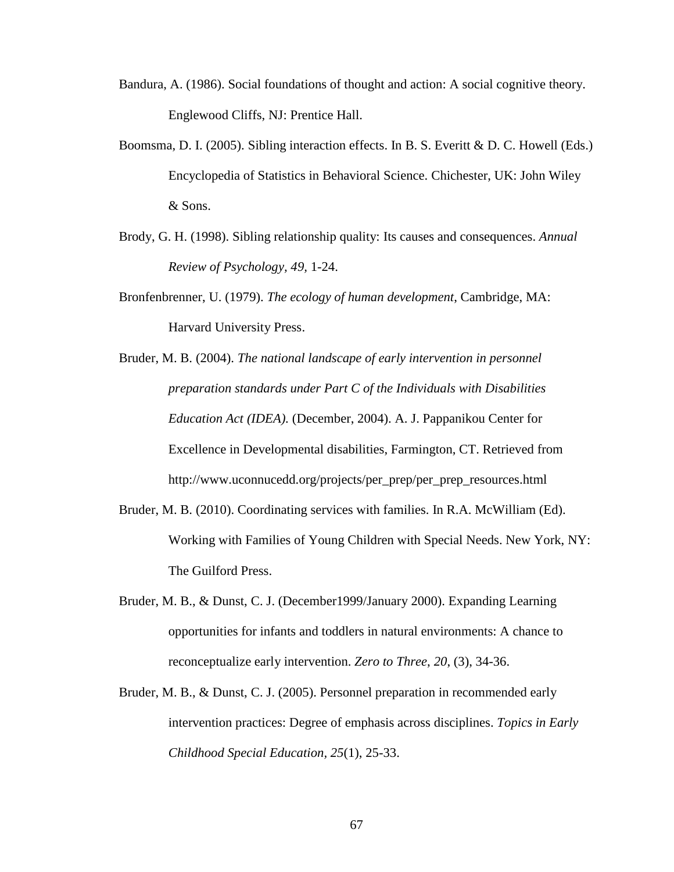- Bandura, A. (1986). Social foundations of thought and action: A social cognitive theory. Englewood Cliffs, NJ: Prentice Hall.
- Boomsma, D. I. (2005). Sibling interaction effects. In B. S. Everitt & D. C. Howell (Eds.) Encyclopedia of Statistics in Behavioral Science. Chichester, UK: John Wiley & Sons.
- Brody, G. H. (1998). Sibling relationship quality: Its causes and consequences. *Annual Review of Psychology, 49,* 1-24.
- Bronfenbrenner, U. (1979). *The ecology of human development*, Cambridge, MA: Harvard University Press.
- Bruder, M. B. (2004). *The national landscape of early intervention in personnel preparation standards under Part C of the Individuals with Disabilities Education Act (IDEA).* (December, 2004). A. J. Pappanikou Center for Excellence in Developmental disabilities, Farmington, CT. Retrieved from http://www.uconnucedd.org/projects/per\_prep/per\_prep\_resources.html
- Bruder, M. B. (2010). Coordinating services with families. In R.A. McWilliam (Ed). Working with Families of Young Children with Special Needs. New York, NY: The Guilford Press.
- Bruder, M. B., & Dunst, C. J. (December1999/January 2000). Expanding Learning opportunities for infants and toddlers in natural environments: A chance to reconceptualize early intervention. *Zero to Three*, *20*, (3), 34-36.
- Bruder, M. B., & Dunst, C. J. (2005). Personnel preparation in recommended early intervention practices: Degree of emphasis across disciplines. *Topics in Early Childhood Special Education, 25*(1), 25-33.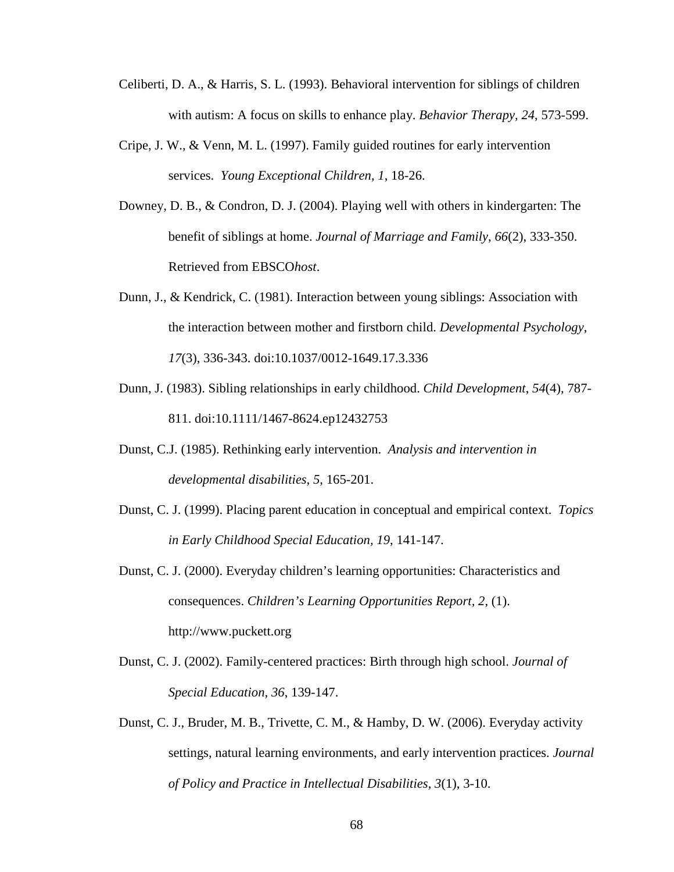- Celiberti, D. A., & Harris, S. L. (1993). Behavioral intervention for siblings of children with autism: A focus on skills to enhance play. *Behavior Therapy, 24*, 573-599.
- Cripe, J. W., & Venn, M. L. (1997). Family guided routines for early intervention services. *Young Exceptional Children, 1*, 18-26.
- Downey, D. B., & Condron, D. J. (2004). Playing well with others in kindergarten: The benefit of siblings at home. *Journal of Marriage and Family*, *66*(2), 333-350. Retrieved from EBSCO*host*.
- Dunn, J., & Kendrick, C. (1981). Interaction between young siblings: Association with the interaction between mother and firstborn child. *Developmental Psychology*, *17*(3), 336-343. doi:10.1037/0012-1649.17.3.336
- Dunn, J. (1983). Sibling relationships in early childhood. *Child Development*, *54*(4), 787- 811. doi:10.1111/1467-8624.ep12432753
- Dunst, C.J. (1985). Rethinking early intervention. *Analysis and intervention in developmental disabilities, 5*, 165-201.
- Dunst, C. J. (1999). Placing parent education in conceptual and empirical context. *Topics in Early Childhood Special Education, 19*, 141-147.
- Dunst, C. J. (2000). Everyday children's learning opportunities: Characteristics and consequences. *Children's Learning Opportunities Report, 2*, (1). http://www.puckett.org
- Dunst, C. J. (2002). Family-centered practices: Birth through high school. *Journal of Special Education, 36*, 139-147.
- Dunst, C. J., Bruder, M. B., Trivette, C. M., & Hamby, D. W. (2006). Everyday activity settings, natural learning environments, and early intervention practices. *Journal of Policy and Practice in Intellectual Disabilities, 3*(1), 3-10.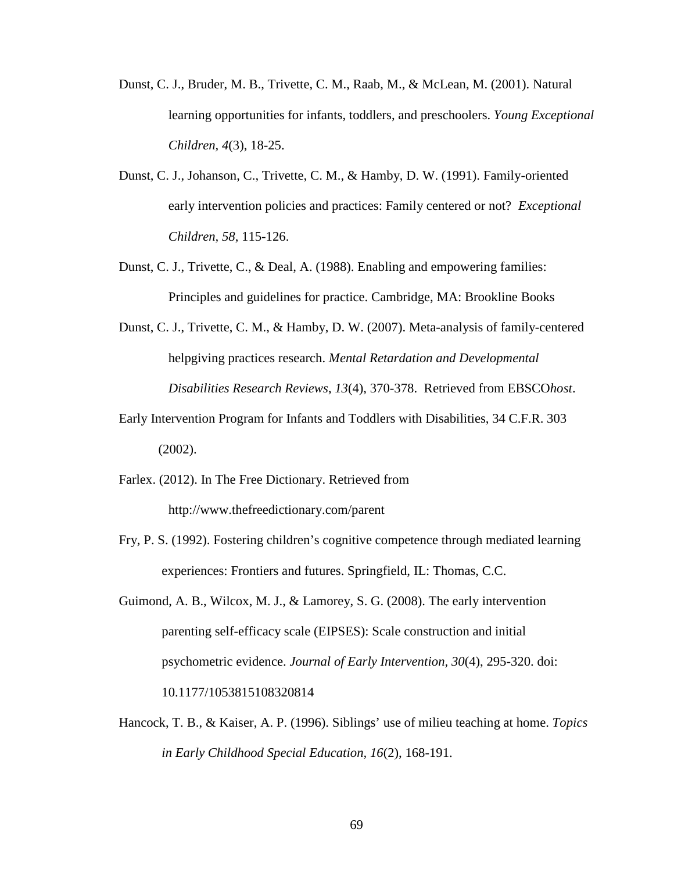- Dunst, C. J., Bruder, M. B., Trivette, C. M., Raab, M., & McLean, M. (2001). Natural learning opportunities for infants, toddlers, and preschoolers. *Young Exceptional Children, 4*(3), 18-25.
- Dunst, C. J., Johanson, C., Trivette, C. M., & Hamby, D. W. (1991). Family-oriented early intervention policies and practices: Family centered or not? *Exceptional Children, 58*, 115-126.
- Dunst, C. J., Trivette, C., & Deal, A. (1988). Enabling and empowering families: Principles and guidelines for practice. Cambridge, MA: Brookline Books
- Dunst, C. J., Trivette, C. M., & Hamby, D. W. (2007). Meta-analysis of family-centered helpgiving practices research. *Mental Retardation and Developmental Disabilities Research Reviews*, *13*(4), 370-378. Retrieved from EBSCO*host*.
- Early Intervention Program for Infants and Toddlers with Disabilities, 34 C.F.R. 303 (2002).
- Farlex. (2012). In The Free Dictionary. Retrieved from http://www.thefreedictionary.com/parent
- Fry, P. S. (1992). Fostering children's cognitive competence through mediated learning experiences: Frontiers and futures. Springfield, IL: Thomas, C.C.
- Guimond, A. B., Wilcox, M. J., & Lamorey, S. G. (2008). The early intervention parenting self-efficacy scale (EIPSES): Scale construction and initial psychometric evidence. *Journal of Early Intervention, 30*(4), 295-320. doi: 10.1177/1053815108320814
- Hancock, T. B., & Kaiser, A. P. (1996). Siblings' use of milieu teaching at home. *Topics in Early Childhood Special Education, 16*(2), 168-191.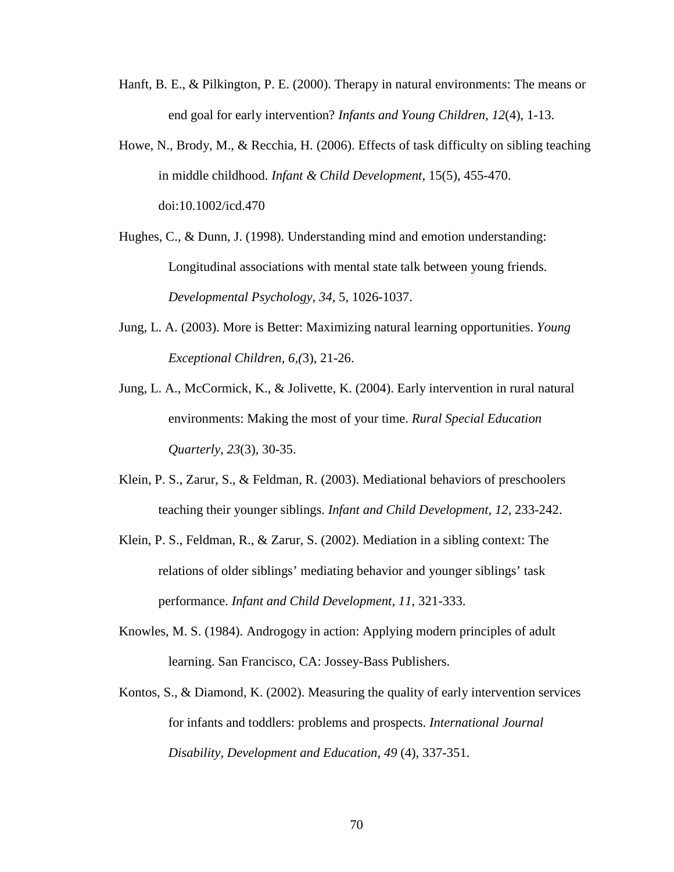- Hanft, B. E., & Pilkington, P. E. (2000). Therapy in natural environments: The means or end goal for early intervention? *Infants and Young Children, 12*(4), 1-13.
- Howe, N., Brody, M., & Recchia, H. (2006). Effects of task difficulty on sibling teaching in middle childhood. *Infant & Child Development*, 15(5), 455-470. doi:10.1002/icd.470
- Hughes, C., & Dunn, J. (1998). Understanding mind and emotion understanding: Longitudinal associations with mental state talk between young friends. *Developmental Psychology, 34*, 5, 1026-1037.
- Jung, L. A. (2003). More is Better: Maximizing natural learning opportunities. *Young Exceptional Children, 6,(*3), 21-26.
- Jung, L. A., McCormick, K., & Jolivette, K. (2004). Early intervention in rural natural environments: Making the most of your time. *Rural Special Education Quarterly, 23*(3), 30-35.
- Klein, P. S., Zarur, S., & Feldman, R. (2003). Mediational behaviors of preschoolers teaching their younger siblings. *Infant and Child Development, 12*, 233-242.
- Klein, P. S., Feldman, R., & Zarur, S. (2002). Mediation in a sibling context: The relations of older siblings' mediating behavior and younger siblings' task performance. *Infant and Child Development, 11*, 321-333.
- Knowles, M. S. (1984). Androgogy in action: Applying modern principles of adult learning. San Francisco, CA: Jossey-Bass Publishers.
- Kontos, S., & Diamond, K. (2002). Measuring the quality of early intervention services for infants and toddlers: problems and prospects. *International Journal Disability, Development and Education, 49* (4), 337-351.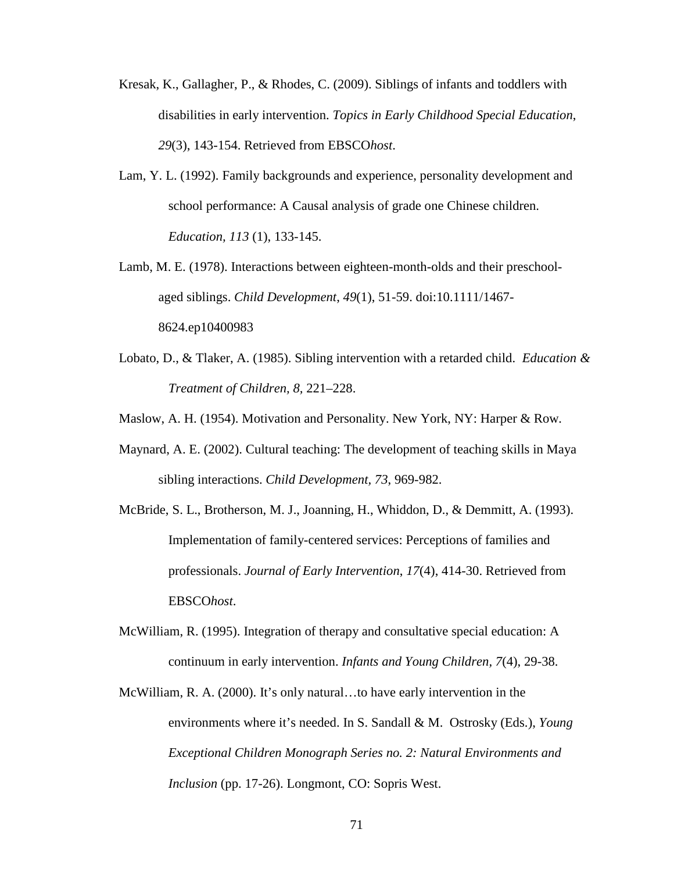- Kresak, K., Gallagher, P., & Rhodes, C. (2009). Siblings of infants and toddlers with disabilities in early intervention. *Topics in Early Childhood Special Education*, *29*(3), 143-154. Retrieved from EBSCO*host*.
- Lam, Y. L. (1992). Family backgrounds and experience, personality development and school performance: A Causal analysis of grade one Chinese children. *Education, 113* (1), 133-145.
- Lamb, M. E. (1978). Interactions between eighteen-month-olds and their preschool aged siblings. *Child Development*, *49*(1), 51-59. doi:10.1111/1467- 8624.ep10400983
- Lobato, D., & Tlaker, A. (1985). Sibling intervention with a retarded child. *Education & Treatment of Children, 8,* 221–228.
- Maslow, A. H. (1954). Motivation and Personality. New York, NY: Harper & Row*.*
- Maynard, A. E. (2002). Cultural teaching: The development of teaching skills in Maya sibling interactions. *Child Development, 73*, 969-982.
- McBride, S. L., Brotherson, M. J., Joanning, H., Whiddon, D., & Demmitt, A. (1993). Implementation of family-centered services: Perceptions of families and professionals. *Journal of Early Intervention*, *17*(4), 414-30. Retrieved from EBSCO*host*.
- McWilliam, R. (1995). Integration of therapy and consultative special education: A continuum in early intervention. *Infants and Young Children, 7*(4), 29-38.
- McWilliam, R. A. (2000). It's only natural…to have early intervention in the environments where it's needed. In S. Sandall & M. Ostrosky (Eds.), *Young Exceptional Children Monograph Series no. 2: Natural Environments and Inclusion* (pp. 17-26). Longmont, CO: Sopris West.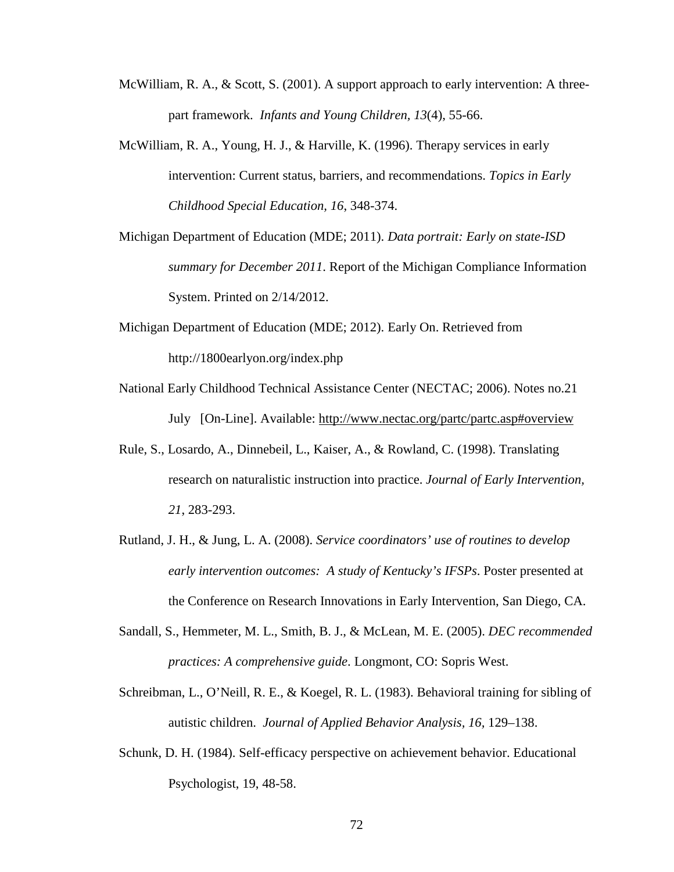- McWilliam, R. A., & Scott, S. (2001). A support approach to early intervention: A threepart framework. *Infants and Young Children, 13*(4), 55-66.
- McWilliam, R. A., Young, H. J., & Harville, K. (1996). Therapy services in early intervention: Current status, barriers, and recommendations. *Topics in Early Childhood Special Education, 16*, 348-374.
- Michigan Department of Education (MDE; 2011). *Data portrait: Early on state-ISD summary for December 2011*. Report of the Michigan Compliance Information System. Printed on 2/14/2012.
- Michigan Department of Education (MDE; 2012). Early On. Retrieved from http://1800earlyon.org/index.php
- National Early Childhood Technical Assistance Center (NECTAC; 2006). Notes no.21 July [On-Line]. Available: http://www.nectac.org/partc/partc.asp#overview
- Rule, S., Losardo, A., Dinnebeil, L., Kaiser, A., & Rowland, C. (1998). Translating research on naturalistic instruction into practice. *Journal of Early Intervention, 21*, 283-293.
- Rutland, J. H., & Jung, L. A. (2008). *Service coordinators' use of routines to develop early intervention outcomes: A study of Kentucky's IFSPs*. Poster presented at the Conference on Research Innovations in Early Intervention, San Diego, CA.
- Sandall, S., Hemmeter, M. L., Smith, B. J., & McLean, M. E. (2005). *DEC recommended practices: A comprehensive guide*. Longmont, CO: Sopris West.
- Schreibman, L., O'Neill, R. E., & Koegel, R. L. (1983). Behavioral training for sibling of autistic children. *Journal of Applied Behavior Analysis, 16,* 129–138.
- Schunk, D. H. (1984). Self-efficacy perspective on achievement behavior. Educational Psychologist, 19, 48-58.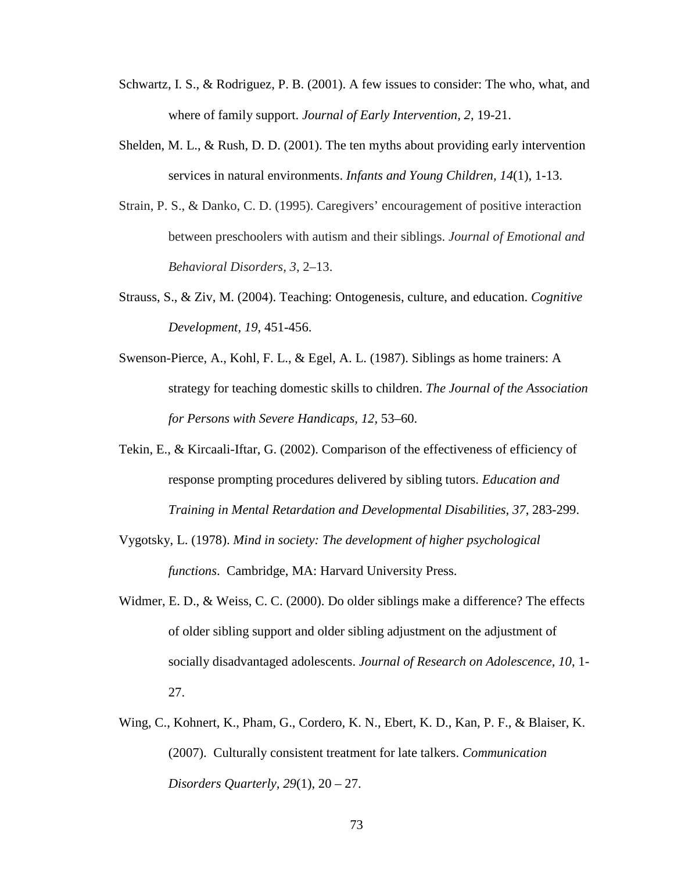- Schwartz, I. S., & Rodriguez, P. B. (2001). A few issues to consider: The who, what, and where of family support. *Journal of Early Intervention, 2*, 19-21.
- Shelden, M. L., & Rush, D. D. (2001). The ten myths about providing early intervention services in natural environments. *Infants and Young Children, 14*(1), 1-13.
- Strain, P. S., & Danko, C. D. (1995). Caregivers' encouragement of positive interaction between preschoolers with autism and their siblings. *Journal of Emotional and Behavioral Disorders, 3*, 2–13.
- Strauss, S., & Ziv, M. (2004). Teaching: Ontogenesis, culture, and education. *Cognitive Development, 19*, 451-456.
- Swenson-Pierce, A., Kohl, F. L., & Egel, A. L. (1987). Siblings as home trainers: A strategy for teaching domestic skills to children. *The Journal of the Association for Persons with Severe Handicaps, 12,* 53–60.
- Tekin, E., & Kircaali-Iftar, G. (2002). Comparison of the effectiveness of efficiency of response prompting procedures delivered by sibling tutors. *Education and Training in Mental Retardation and Developmental Disabilities, 37*, 283-299.
- Vygotsky, L. (1978). *Mind in society: The development of higher psychological functions*. Cambridge, MA: Harvard University Press.
- Widmer, E. D., & Weiss, C. C. (2000). Do older siblings make a difference? The effects of older sibling support and older sibling adjustment on the adjustment of socially disadvantaged adolescents. *Journal of Research on Adolescence, 10*, 1- 27.
- Wing, C., Kohnert, K., Pham, G., Cordero, K. N., Ebert, K. D., Kan, P. F., & Blaiser, K. (2007). Culturally consistent treatment for late talkers. *Communication Disorders Quarterly, 29*(1), 20 – 27.